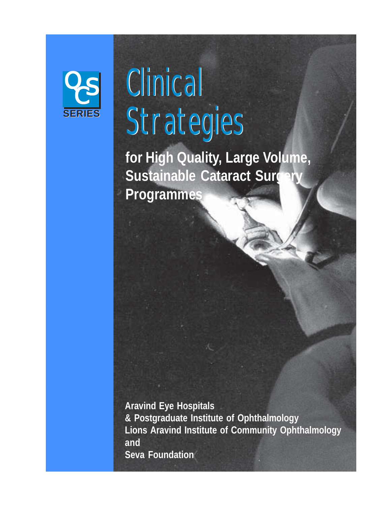

the contract of the contract of the contract of the contract of the contract of the contract of the contract of the contract of the contract of the contract of the contract of the contract of the contract of the contract of the contract of the contract of the contract of the contract of the contract of the contract of the contract of the contract of the contract of the contract of the contract of the contract of the contract of the contract of the contract of the contract of the contract of the contract of the contract of the contract of the contract of the contract of the contract of the contract of the contract of the contract of the contract of the contract of the contract of the contract of the contract of the contract of the contract of the contract of the contract of the contract of the contract of the contract of the contract of the contract of the contract of the contract of the contract of the contract of the contract of the contract of the contract of the contract of the contract of the contract of the contract of the contract of the contract of the contract of the contract of the contract of the contract of the contract of the contract of the contract of the contract of the contract of the contract of the contract of the contract of the contract of the contract of the contract of the contract of the contract of the contract of the contract of the contract of the contract of the contract of the contract of the contract of the contract of the contract of the contract of the contract of the contract of the contract of the contract of the contract of the contract of the contract of the contract of the contract of the contract of the contract of the contract of the contract of the contract of the contract of the contract of the contract of the contract of the contract of the contract of the contract of the contract of the contract of the contract of the contract of the contract of the contract of the contract of the contract of the contract of the contract of the contract of the contract of the contract of the contract of the contract of the contract of the contract of the contract of the contract of the contract of the contract of the contract of the contract of the contract of the contract of the contract of the contract of the contract of the contract of the contract of the contract of the contract of the contract of the contract of the contract of the contract of the contract of the contract of the contract of the contract of the contract of the contract of the contract of the contract of the contract of the contract of the contract of the contract of the contract of the contract of the contract of the contract of the contract of the contract of the contract of the contract of the contract of the contract of the contract of the contract of the contract of the contract of the contract of the contract of the contract of the contract of the contract of the contract of the contract of the contract of the contract of the contract of the contract of the contract of the contract of the contract of the contract of the contract of the contract of the contract of the contract of the contract of the contract of the contract of the contract of the contract of the contract of the contract of the contract of the contract of the contract of the contract of the contract of the contract of the contract of the contract of the contract of the contract of the contract of the contract of the contract of the contract of the contract of the contract of the contract of the contract of the contract of the contract of the contract of the contract of the contract of the contract of the contract of the contract of the contract of the contract of the contract of the contract of the contract of the contract of the contract of the contract of the contract of the contract of the contract of the contract of the contract of the contract of the contract of the contract of the contract of the contract of the contract of the contract of the contract of the contract of the contract of the contract of the contract of the contract of the contract of the contract of the contract of the contract of the contract of the contract of the contract of the contract of the contract of the contract of the contract of the contract of the contract of the contract of the contract of the contract of the contract of the contract of the contract of the contract of the contract of the contract of the contract of the contract of the contract of the contract of the contract of the contract of the contract of the contract of the contract of the contract of the contract of the contract of the contract of the contract of the contract of the contract of the contract of the contract of the contract of the contract of the contract of the contract of the contract of the contract of the contract of the contract of the contract of the contract of the contract of the contract of the contract of

the contract of the contract of the contract of the contract of the contract of the contract of the contract of the contract of the contract of the contract of the contract of the contract of the contract of the contract of the contract of the contract of the contract of the contract of the contract of the contract of the contract of the contract of the contract of the contract of the contract of the contract of the contract of the contract of

# Clinical Clinical Strategies Strategies

**for High Quality, Large Volume, Sustainable Cataract Surg Programmes**

**Aravind Eye Hospitals & Postgraduate Institute of Ophthalmology Lions Aravind Institute of Community Ophthalmology and Seva Foundation**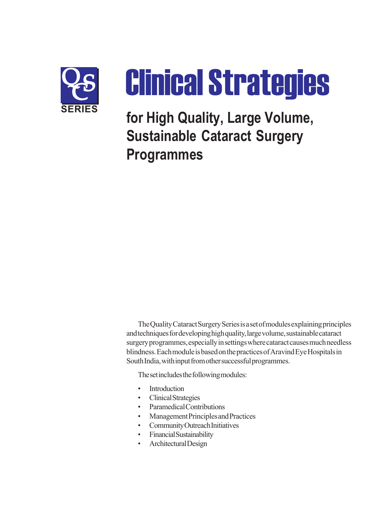

# **Clinical Strategies**

**for High Quality, Large Volume, Sustainable Cataract Surgery Programmes**

The Quality Cataract Surgery Series is a set of modules explaining principles and techniques for developing high quality, large volume, sustainable cataract surgery programmes, especially in settings where cataract causes much needless blindness. Each module is based on the practices of Aravind Eye Hospitals in South India, with input from other successful programmes.

The set includes the following modules:

- Introduction
- Clinical Strategies
- Paramedical Contributions
- Management Principles and Practices
- Community Outreach Initiatives
- Financial Sustainability
- Architectural Design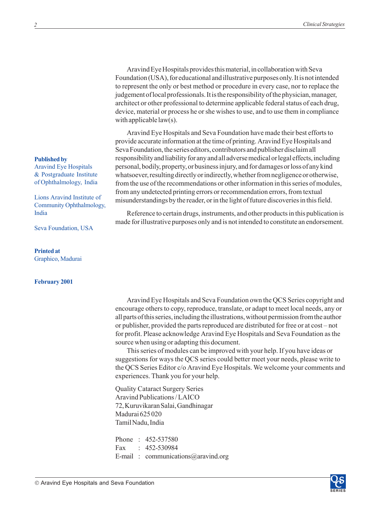Aravind Eye Hospitals provides this material, in collaboration with Seva Foundation (USA), for educational and illustrative purposes only. It is not intended to represent the only or best method or procedure in every case, nor to replace the judgement of local professionals. It is the responsibility of the physician, manager, architect or other professional to determine applicable federal status of each drug, device, material or process he or she wishes to use, and to use them in compliance with applicable law(s).

Aravind Eye Hospitals and Seva Foundation have made their best efforts to provide accurate information at the time of printing. Aravind Eye Hospitals and Seva Foundation, the series editors, contributors and publisher disclaim all responsibility and liability for any and all adverse medical or legal effects, including personal, bodily, property, or business injury, and for damages or loss of any kind whatsoever, resulting directly or indirectly, whether from negligence or otherwise, from the use of the recommendations or other information in this series of modules, from any undetected printing errors or recommendation errors, from textual misunderstandings by the reader, or in the light of future discoveries in this field.

Reference to certain drugs, instruments, and other products in this publication is made for illustrative purposes only and is not intended to constitute an endorsement.

**Printed at**

**Published by**

India

Aravind Eye Hospitals & Postgraduate Institute of Ophthalmology, India

Lions Aravind Institute of Community Ophthalmology,

Seva Foundation, USA

Graphico, Madurai

#### **February 2001**

*2*

Aravind Eye Hospitals and Seva Foundation own the QCS Series copyright and encourage others to copy, reproduce, translate, or adapt to meet local needs, any or all parts of this series, including the illustrations, without permission from the author or publisher, provided the parts reproduced are distributed for free or at cost – not for profit. Please acknowledge Aravind Eye Hospitals and Seva Foundation as the source when using or adapting this document.

This series of modules can be improved with your help. If you have ideas or suggestions for ways the QCS series could better meet your needs, please write to the QCS Series Editor c/o Aravind Eye Hospitals. We welcome your comments and experiences. Thank you for your help.

Quality Cataract Surgery Series Aravind Publications / LAICO 72, Kuruvikaran Salai, Gandhinagar Madurai 625 020 Tamil Nadu, India

Phone : 452-537580 Fax : 452-530984 E-mail : communications  $@$  aravind.org

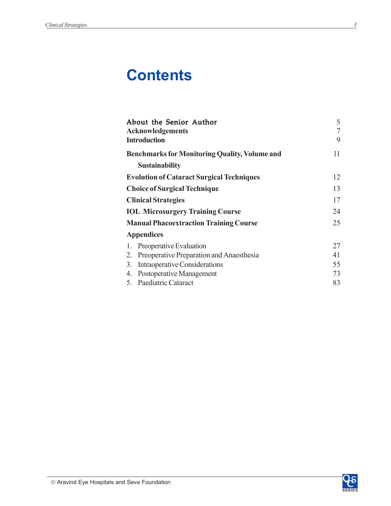# **Contents**

| About the Senior Author<br><b>Acknowledgements</b><br><b>Introduction</b> | 5<br>7<br>9 |
|---------------------------------------------------------------------------|-------------|
| <b>Benchmarks for Monitoring Quality, Volume and</b>                      | 11          |
| <b>Sustainability</b>                                                     |             |
| <b>Evolution of Cataract Surgical Techniques</b>                          | 12          |
| <b>Choice of Surgical Technique</b>                                       | 13          |
| <b>Clinical Strategies</b>                                                | 17          |
| <b>IOL Microsurgery Training Course</b>                                   | 24          |
| <b>Manual Phacoextraction Training Course</b>                             | 25          |
| <b>Appendices</b>                                                         |             |
| Preoperative Evaluation<br>Ι.                                             | 27          |
| Preoperative Preparation and Anaesthesia<br>2.                            | 41          |
| Intraoperative Considerations<br>3.                                       | 55          |
| Postoperative Management<br>4.                                            | 73          |
| 5. Paediatric Cataract                                                    | 83          |

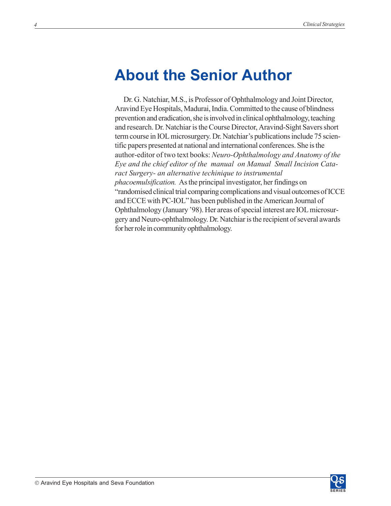# <span id="page-4-0"></span>**About the Senior Author**

Dr. G. Natchiar, M.S., is Professor of Ophthalmology and Joint Director, Aravind Eye Hospitals, Madurai, India. Committed to the cause of blindness prevention and eradication, she is involved in clinical ophthalmology, teaching and research. Dr. Natchiar is the Course Director, Aravind-Sight Savers short term course in IOL microsurgery. Dr. Natchiar's publications include 75 scientific papers presented at national and international conferences. She is the author-editor of two text books: *Neuro-Ophthalmology and Anatomy of the Eye and the chief editor of the manual on Manual Small Incision Cataract Surgery- an alternative techinique to instrumental phacoemulsification.* As the principal investigator, her findings on ìrandomised clinical trial comparing complications and visual outcomes of ICCE and ECCE with PC-IOL" has been published in the American Journal of Ophthalmology (January '98). Her areas of special interest are IOL microsurgery and Neuro-ophthalmology. Dr. Natchiar is the recipient of several awards for her role in community ophthalmology.

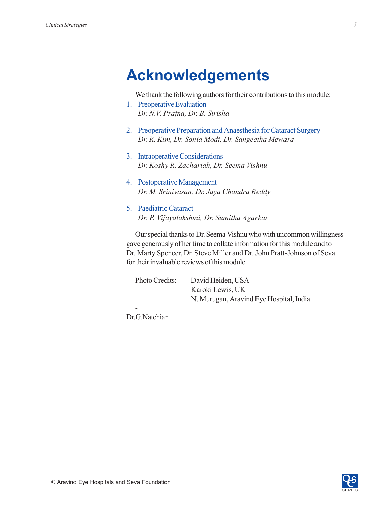# <span id="page-5-0"></span>**Acknowledgements**

We thank the following authors for their contributions to this module:

- 1. Preoperative Evaluation *Dr. N.V. Prajna, Dr. B. Sirisha*
- 2. Preoperative Preparation and Anaesthesia for Cataract Surgery *Dr. R. Kim, Dr. Sonia Modi, Dr. Sangeetha Mewara*
- 3. Intraoperative Considerations *Dr. Koshy R. Zachariah, Dr. Seema Vishnu*
- 4. Postoperative Management *Dr. M. Srinivasan, Dr. Jaya Chandra Reddy*
- 5. Paediatric Cataract *Dr. P. Vijayalakshmi, Dr. Sumitha Agarkar*

Our special thanks to Dr. Seema Vishnu who with uncommon willingness gave generously of her time to collate information for this module and to Dr. Marty Spencer, Dr. Steve Miller and Dr. John Pratt-Johnson of Seva for their invaluable reviews of this module.

| Photo Credits: | David Heiden, USA                       |
|----------------|-----------------------------------------|
|                | Karoki Lewis, UK                        |
|                | N. Murugan, Aravind Eye Hospital, India |

- Dr.G.Natchiar



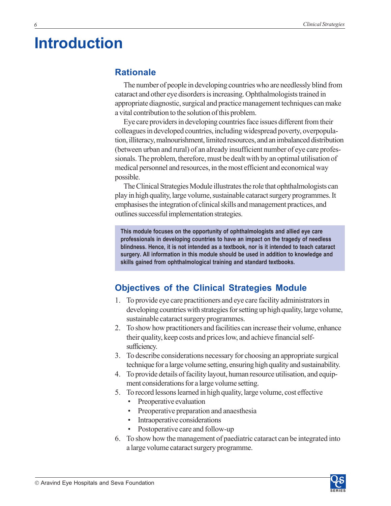# <span id="page-6-0"></span>**Introduction**

# **Rationale**

The number of people in developing countries who are needlessly blind from cataract and other eye disorders is increasing. Ophthalmologists trained in appropriate diagnostic, surgical and practice management techniques can make a vital contribution to the solution of this problem.

Eye care providers in developing countries face issues different from their colleagues in developed countries, including widespread poverty, overpopulation, illiteracy, malnourishment, limited resources, and an imbalanced distribution (between urban and rural) of an already insufficient number of eye care professionals. The problem, therefore, must be dealt with by an optimal utilisation of medical personnel and resources, in the most efficient and economical way possible.

The Clinical Strategies Module illustrates the role that ophthalmologists can play in high quality, large volume, sustainable cataract surgery programmes. It emphasises the integration of clinical skills and management practices, and outlines successful implementation strategies.

**This module focuses on the opportunity of ophthalmologists and allied eye care professionals in developing countries to have an impact on the tragedy of needless blindness. Hence, it is not intended as a textbook, nor is it intended to teach cataract surgery. All information in this module should be used in addition to knowledge and skills gained from ophthalmological training and standard textbooks.**

# **Objectives of the Clinical Strategies Module**

- 1. To provide eye care practitioners and eye care facility administrators in developing countries with strategies for setting up high quality, large volume, sustainable cataract surgery programmes.
- 2. To show how practitioners and facilities can increase their volume, enhance their quality, keep costs and prices low, and achieve financial selfsufficiency.
- 3. To describe considerations necessary for choosing an appropriate surgical technique for a large volume setting, ensuring high quality and sustainability.
- 4. To provide details of facility layout, human resource utilisation, and equipment considerations for a large volume setting.
- 5. To record lessons learned in high quality, large volume, cost effective
	- Preoperative evaluation
	- Preoperative preparation and anaesthesia
	- Intraoperative considerations
	- Postoperative care and follow-up
- 6. To show how the management of paediatric cataract can be integrated into a large volume cataract surgery programme.

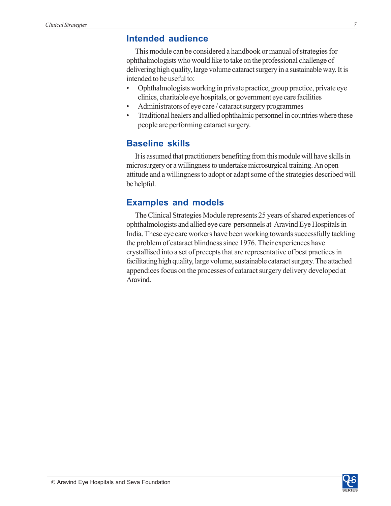#### **Intended audience**

This module can be considered a handbook or manual of strategies for ophthalmologists who would like to take on the professional challenge of delivering high quality, large volume cataract surgery in a sustainable way. It is intended to be useful to:

- Ophthalmologists working in private practice, group practice, private eye clinics, charitable eye hospitals, or government eye care facilities
- Administrators of eye care / cataract surgery programmes
- ï Traditional healers and allied ophthalmic personnel in countries where these people are performing cataract surgery.

## **Baseline skills**

It is assumed that practitioners benefiting from this module will have skills in microsurgery or a willingness to undertake microsurgical training. An open attitude and a willingness to adopt or adapt some of the strategies described will be helpful.

## **Examples and models**

The Clinical Strategies Module represents 25 years of shared experiences of ophthalmologists and allied eye care personnels at Aravind Eye Hospitals in India. These eye care workers have been working towards successfully tackling the problem of cataract blindness since 1976. Their experiences have crystallised into a set of precepts that are representative of best practices in facilitating high quality, large volume, sustainable cataract surgery. The attached appendices focus on the processes of cataract surgery delivery developed at Aravind.



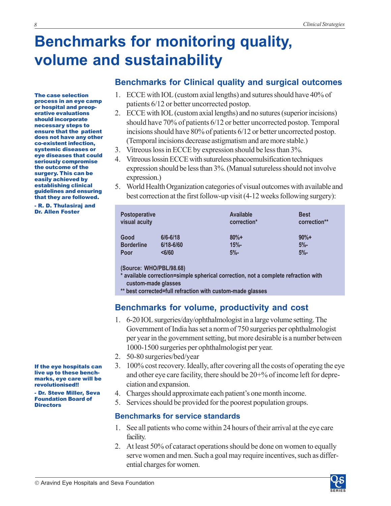# <span id="page-8-0"></span>**Benchmarks for monitoring quality, volume and sustainability**

The case selection process in an eye camp or hospital and preoperative evaluations should incorporate necessary steps to ensure that the patient does not have any other co-existent infection, systemic diseases or eye diseases that could seriously compromise the outcome of the surgery. This can be easily achieved by establishing clinical guidelines and ensuring that they are followed.

- R. D. Thulasiraj and Dr. Allen Foster

If the eye hospitals can live up to these benchmarks, eye care will be revolutionised!!

- Dr. Steve Miller, Seva Foundation Board of **Directors** 

## **Benchmarks for Clinical quality and surgical outcomes**

- 1. ECCE with IOL (custom axial lengths) and sutures should have 40% of patients 6/12 or better uncorrected postop.
- 2. ECCE with IOL (custom axial lengths) and no sutures (superior incisions) should have 70% of patients 6/12 or better uncorrected postop. Temporal incisions should have 80% of patients 6/12 or better uncorrected postop. (Temporal incisions decrease astigmatism and are more stable.)
- 3. Vitreous loss in ECCE by expression should be less than 3%.
- 4. Vitreous lossin ECCE with sutureless phacoemulsification techniques expression should be less than 3%. (Manual sutureless should not involve expression.)
- 5. World Health Organization categories of visual outcomes with available and best correction at the first follow-up visit (4-12 weeks following surgery):

| <b>Postoperative</b><br>visual acuity |               | <b>Available</b><br>correction* | <b>Best</b><br>correction** |
|---------------------------------------|---------------|---------------------------------|-----------------------------|
| Good                                  | $6/6 - 6/18$  | $80%+$                          | $90%+$                      |
| <b>Borderline</b>                     | $6/18 - 6/60$ | $15% -$                         | 5%                          |
| Poor                                  | < 6/60        | $5% -$                          | $5% -$                      |

**(Source: WHO/PBL/98.68)**

- **\* available correction=simple spherical correction, not a complete refraction with custom-made glasses**
- **\*\* best corrected=full refraction with custom-made glasses**

## **Benchmarks for volume, productivity and cost**

- 1. 6-20 IOL surgeries/day/ophthalmologist in a large volume setting. The Government of India has set a norm of 750 surgeries per ophthalmologist per year in the government setting, but more desirable is a number between 1000-1500 surgeries per ophthalmologist per year.
- 2. 50-80 surgeries/bed/year
- 3. 100% cost recovery. Ideally, after covering all the costs of operating the eye and other eye care facility, there should be 20+% of income left for depreciation and expansion.
- 4. Charges should approximate each patient's one month income.
- 5. Services should be provided for the poorest population groups.

#### **Benchmarks for service standards**

- 1. See all patients who come within 24 hours of their arrival at the eye care facility.
- 2. At least 50% of cataract operations should be done on women to equally serve women and men. Such a goal may require incentives, such as differential charges for women.

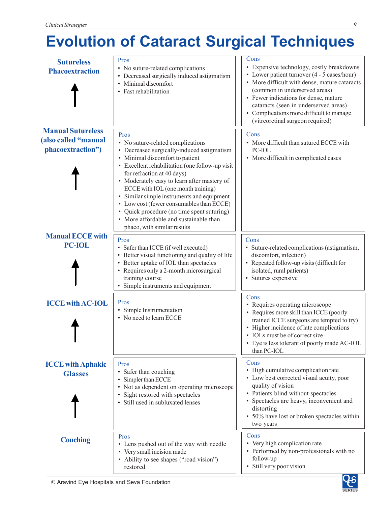# <span id="page-9-0"></span>**Evolution of Cataract Surgical Techniques**

| <b>Sutureless</b><br><b>Phacoextraction</b>                           | Pros<br>• No suture-related complications<br>• Decreased surgically induced astigmatism<br>• Minimal discomfort<br>• Fast rehabilitation                                                                                                                                                                                                                                                                                                                                                                          | Cons<br>• Expensive technology, costly breakdowns<br>• Lower patient turnover (4 - 5 cases/hour)<br>• More difficult with dense, mature cataracts<br>(common in underserved areas)<br>• Fewer indications for dense, mature<br>cataracts (seen in underserved areas)<br>• Complications more difficult to manage<br>(vitreoretinal surgeon required) |
|-----------------------------------------------------------------------|-------------------------------------------------------------------------------------------------------------------------------------------------------------------------------------------------------------------------------------------------------------------------------------------------------------------------------------------------------------------------------------------------------------------------------------------------------------------------------------------------------------------|------------------------------------------------------------------------------------------------------------------------------------------------------------------------------------------------------------------------------------------------------------------------------------------------------------------------------------------------------|
| <b>Manual Sutureless</b><br>(also called "manual<br>phacoextraction") | Pros<br>• No suture-related complications<br>• Decreased surgically-induced astigmatism<br>• Minimal discomfort to patient<br>• Excellent rehabilitation (one follow-up visit<br>for refraction at 40 days)<br>• Moderately easy to learn after mastery of<br>ECCE with IOL (one month training)<br>• Similar simple instruments and equipment<br>• Low cost (fewer consumables than ECCE)<br>• Quick procedure (no time spent suturing)<br>• More affordable and sustainable than<br>phaco, with similar results | Cons<br>• More difficult than sutured ECCE with<br>PC-IOL<br>• More difficult in complicated cases                                                                                                                                                                                                                                                   |
| <b>Manual ECCE with</b><br><b>PC-IOL</b>                              | Pros<br>• Safer than ICCE (if well executed)<br>• Better visual functioning and quality of life<br>• Better uptake of IOL than spectacles<br>• Requires only a 2-month microsurgical<br>training course<br>Simple instruments and equipment                                                                                                                                                                                                                                                                       | Cons<br>• Suture-related complications (astigmatism,<br>discomfort, infection)<br>• Repeated follow-up visits (difficult for<br>isolated, rural patients)<br>· Sutures expensive                                                                                                                                                                     |
| <b>ICCE with AC-IOL</b>                                               | Pros<br>• Simple Instrumentation<br>• No need to learn ECCE                                                                                                                                                                                                                                                                                                                                                                                                                                                       | Cons<br>• Requires operating microscope<br>• Requires more skill than ICCE (poorly<br>trained ICCE surgeons are tempted to try)<br>• Higher incidence of late complications<br>• IOLs must be of correct size<br>• Eye is less tolerant of poorly made AC-IOL<br>than PC-IOL                                                                         |
| <b>ICCE</b> with Aphakic<br><b>Glasses</b>                            | Pros<br>• Safer than couching<br>• Simpler than ECCE<br>• Not as dependent on operating microscope<br>• Sight restored with spectacles<br>• Still used in subluxated lenses                                                                                                                                                                                                                                                                                                                                       | Cons<br>• High cumulative complication rate<br>• Low best corrected visual acuity, poor<br>quality of vision<br>• Patients blind without spectacles<br>Spectacles are heavy, inconvenient and<br>distorting<br>50% have lost or broken spectacles within<br>two years                                                                                |
| <b>Couching</b>                                                       | Pros<br>• Lens pushed out of the way with needle<br>• Very small incision made<br>• Ability to see shapes ("road vision")<br>restored                                                                                                                                                                                                                                                                                                                                                                             | Cons<br>• Very high complication rate<br>• Performed by non-professionals with no<br>follow-up<br>Still very poor vision                                                                                                                                                                                                                             |

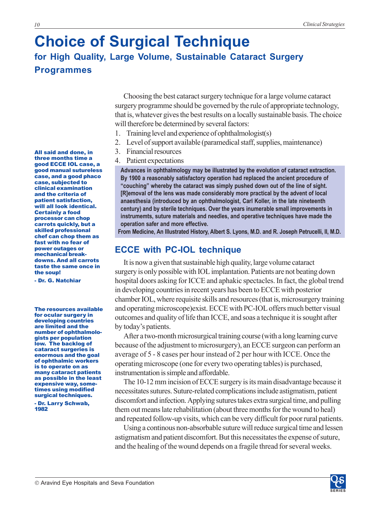# <span id="page-10-0"></span>**Choice of Surgical Technique for High Quality, Large Volume, Sustainable Cataract Surgery Programmes**

Choosing the best cataract surgery technique for a large volume cataract surgery programme should be governed by the rule of appropriate technology, that is, whatever gives the best results on a locally sustainable basis. The choice will therefore be determined by several factors:

- 1. Training level and experience of ophthalmologist(s)
- 2. Level of support available (paramedical staff, supplies, maintenance)
- 3. Financial resources
- 4. Patient expectations

**Advances in ophthalmology may be illustrated by the evolution of cataract extraction. By 1900 a reasonably satisfactory operation had replaced the ancient procedure of ìcouchingî whereby the cataract was simply pushed down out of the line of sight. [R]emoval of the lens was made considerably more practical by the advent of local anaesthesia (introduced by an ophthalmologist, Carl Koller, in the late nineteenth century) and by sterile techniques. Over the years inumerable small improvements in instrumemts, suture materials and needles, and operative techniques have made the operation safer and more effective.**

 **From Medicine, An Illustrated History, Albert S. Lyons, M.D. and R. Joseph Petrucelli, II, M.D.**

# **ECCE with PC-IOL technique**

It is now a given that sustainable high quality, large volume cataract surgery is only possible with IOL implantation. Patients are not beating down hospital doors asking for ICCE and aphakic spectacles. In fact, the global trend in developing countries in recent years has been to ECCE with posterior chamber IOL, where requisite skills and resources (that is, microsurgery training and operating microscope)exist. ECCE with PC-IOL offers much better visual outcomes and quality of life than ICCE, and soas a technique it is sought after by today's patients.

After a two-month microsurgical training course (with a long learning curve because of the adjustment to microsurgery), an ECCE surgeon can perform an average of 5 - 8 cases per hour instead of 2 per hour with ICCE. Once the operating microscope (one for every two operating tables) is purchased, instrumentation is simple and affordable.

The 10-12 mm incision of ECCE surgery is its main disadvantage because it necessitates sutures. Suture-related complications include astigmatism, patient discomfort and infection. Applying sutures takes extra surgical time, and pulling them out means late rehabilitation (about three months for the wound to heal) and repeated follow-up visits, which can be very difficult for poor rural patients.

Using a continous non-absorbable suture will reduce surgical time and lessen astigmatism and patient discomfort. But this necessitates the expense of suture, and the healing of the wound depends on a fragile thread for several weeks.

All said and done, in three months time a good ECCE IOL case, a good manual sutureless case, and a good phaco case, subjected to clinical examination and the criteria of patient satisfaction, will all look identical. Certainly a food processor can chop carrots quickly, but a skilled professional chef can chop them as fast with no fear of power outages or mechanical breakdowns. And all carrots taste the same once in the soup!

- Dr. G. Natchiar

The resources available for ocular surgery in developing countries are limited and the number of ophthalmologists per population low. The backlog of cataract surgeries is enormous and the goal of ophthalmic workers is to operate on as many cataract patients as possible in the least expensive way, sometimes using modified surgical techniques.

- Dr. Larry Schwab, 1982

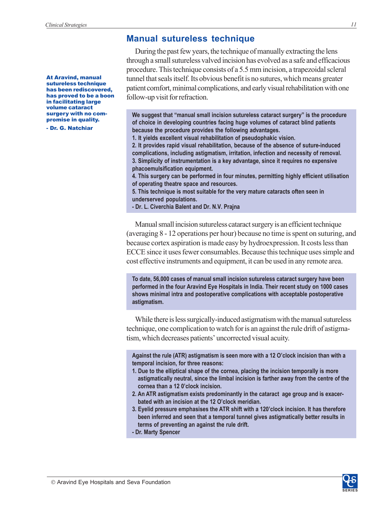## **Manual sutureless technique**

During the past few years, the technique of manually extracting the lens through a small sutureless valved incision has evolved as a safe and efficacious procedure. This technique consists of a 5.5 mm incision, a trapezoidal scleral tunnel that seals itself. Its obvious benefit is no sutures, which means greater patient comfort, minimal complications, and early visual rehabilitation with one follow-up visit for refraction.

We suggest that "manual small incision sutureless cataract surgery" is the procedure **of choice in developing countries facing huge volumes of cataract blind patients because the procedure provides the following advantages.**

**1. It yields excellent visual rehabilitation of pseudophakic vision.**

**2. It provides rapid visual rehabilitation, because of the absence of suture-induced complications, including astigmatism, irritation, infection and necessity of removal. 3. Simplicity of instrumentation is a key advantage, since it requires no expensive phacoemulsification equipment.**

**4. This surgery can be performed in four minutes, permitting highly efficient utilisation of operating theatre space and resources.**

**5. This technique is most suitable for the very mature cataracts often seen in underserved populations.**

**- Dr. L. Civerchia Balent and Dr. N.V. Prajna**

Manual small incision sutureless cataract surgery is an efficient technique (averaging 8 - 12 operations per hour) because no time is spent on suturing, and because cortex aspiration is made easy by hydroexpression. It costs less than ECCE since it uses fewer consumables. Because this technique uses simple and cost effective instruments and equipment, it can be used in any remote area.

**To date, 56,000 cases of manual small incision sutureless cataract surgery have been performed in the four Aravind Eye Hospitals in India. Their recent study on 1000 cases shows minimal intra and postoperative complications with acceptable postoperative astigmatism.**

While there is less surgically-induced astigmatism with the manual sutureless technique, one complication to watch for is an against the rule drift of astigmatism, which decreases patients' uncorrected visual acuity.

**Against the rule (ATR) astigmatism is seen more with a 12 Oíclock incision than with a temporal incision, for three reasons:**

- **1. Due to the elliptical shape of the cornea, placing the incision temporally is more astigmatically neutral, since the limbal incision is farther away from the centre of the cornea than a 12 0íclock incision.**
- **2. An ATR astigmatism exists predominantly in the cataract age group and is exacer**bated with an incision at the 12 O'clock meridian.
- **3. Eyelid pressure emphasises the ATR shift with a 120íclock incision. It has therefore been inferred and seen that a temporal tunnel gives astigmatically better results in terms of preventing an against the rule drift.**
- **Dr. Marty Spencer**

At Aravind, manual sutureless technique has been rediscovered, has proved to be a boon in facilitating large volume cataract surgery with no compromise in quality.

- Dr. G. Natchiar

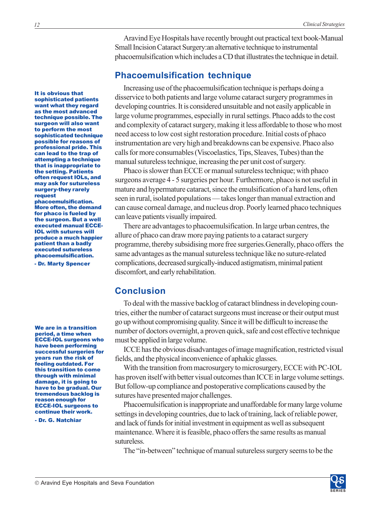Aravind Eye Hospitals have recently brought out practical text book-Manual Small Incision Cataract Surgery:an alternative technique to instrumental phacoemulsification which includes a CD that illustrates the technique in detail.

#### **Phacoemulsification technique**

Increasing use of the phacoemulsification technique is perhaps doing a disservice to both patients and large volume cataract surgery programmes in developing countries. It is considered unsuitable and not easily applicable in large volume programmes, especially in rural settings. Phaco adds to the cost and complexity of cataract surgery, making it less affordable to those who most need access to low cost sight restoration procedure. Initial costs of phaco instrumentation are very high and breakdowns can be expensive. Phaco also calls for more consumables (Viscoelastics, Tips, Sleaves, Tubes) than the manual sutureless technique, increasing the per unit cost of surgery.

Phaco is slower than ECCE or manual sutureless technique; with phaco surgeons average 4 - 5 surgeries per hour. Furthermore, phaco is not useful in mature and hypermature cataract, since the emulsification of a hard lens, often seen in rural, isolated populations — takes longer than manual extraction and can cause corneal damage, and nucleus drop. Poorly learned phaco techniques can leave patients visually impaired.

There are advantages to phacoemulsification. In large urban centres, the allure of phaco can draw more paying patients to a cataract surgery programme, thereby subsidising more free surgeries.Generally, phaco offers the same advantages as the manual sutureless technique like no suture-related complications, decreased surgically-induced astigmatism, minimal patient discomfort, and early rehabilitation.

#### **Conclusion**

To deal with the massive backlog of cataract blindness in developing countries, either the number of cataract surgeons must increase or their output must go up without compromising quality. Since it will be difficult to increase the number of doctors overnight, a proven quick, safe and cost effective technique must be applied in large volume.

ICCE has the obvious disadvantages of image magnification, restricted visual fields, and the physical inconvenience of aphakic glasses.

With the transition from macrosurgery to microsurgery, ECCE with PC-IOL has proven itself with better visual outcomes than ICCE in large volume settings. But follow-up compliance and postoperative complications caused by the sutures have presented major challenges.

Phacoemulsification is inappropriate and unaffordable for many large volume settings in developing countries, due to lack of training, lack of reliable power, and lack of funds for initial investment in equipment as well as subsequent maintenance. Where it is feasible, phaco offers the same results as manual sutureless.

The "in-between" technique of manual sutureless surgery seems to be the

It is obvious that sophisticated patients want what they regard as the most advanced technique possible. The surgeon will also want to perform the most sophisticated technique possible for reasons of professional pride. This can lead to the trap of attempting a technique that is inappropriate to the setting. Patients often request IOLs, and may ask for sutureless surgery-they rarely request phacoemulsification.

More often, the demand for phaco is fueled by the surgeon. But a well executed manual ECCE-IOL with sutures will produce a much happier patient than a badly executed sutureless phacoemulsification.

- Dr. Marty Spencer

We are in a transition period, a time when ECCE-IOL surgeons who have been performing successful surgeries for years run the risk of feeling outdated. For this transition to come through with minimal damage, it is going to have to be gradual. Our tremendous backlog is reason enough for ECCE-IOL surgeons to continue their work.

- Dr. G. Natchiar

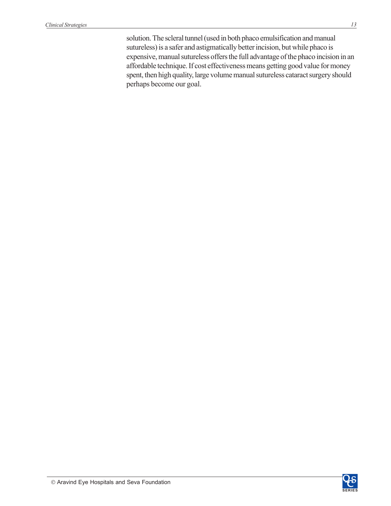solution. The scleral tunnel (used in both phaco emulsification and manual sutureless) is a safer and astigmatically better incision, but while phaco is expensive, manual sutureless offers the full advantage of the phaco incision in an affordable technique. If cost effectiveness means getting good value for money spent, then high quality, large volume manual sutureless cataract surgery should perhaps become our goal.

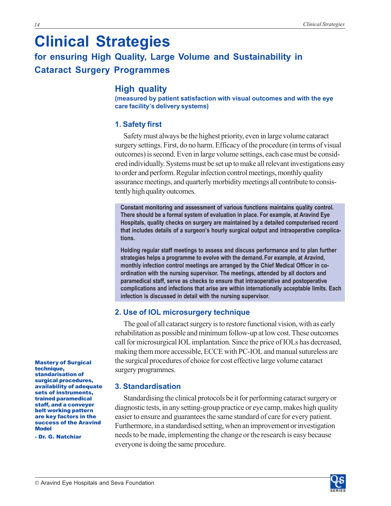# <span id="page-14-0"></span>**Clinical Strategies**

# **for ensuring High Quality, Large Volume and Sustainability in Cataract Surgery Programmes**

## **High quality**

**(measured by patient satisfaction with visual outcomes and with the eye care facilityís delivery systems)**

#### **1. Safety first**

Safety must always be the highest priority, even in large volume cataract surgery settings. First, do no harm. Efficacy of the procedure (in terms of visual outcomes) is second. Even in large volume settings, each case must be considered individually. Systems must be set up to make all relevant investigations easy to order and perform. Regular infection control meetings, monthly quality assurance meetings, and quarterly morbidity meetings all contribute to consistently high quality outcomes.

**Constant monitoring and assessment of various functions maintains quality control. There should be a formal system of evaluation in place. For example, at Aravind Eye Hospitals, quality checks on surgery are maintained by a detailed computerised record that includes details of a surgeonís hourly surgical output and intraoperative complications.**

**Holding regular staff meetings to assess and discuss performance and to plan further strategies helps a programme to evolve with the demand. For example, at Aravind, monthly infection control meetings are arranged by the Chief Medical Officer in coordination with the nursing supervisor. The meetings, attended by all doctors and paramedical staff, serve as checks to ensure that intraoperative and postoperative complications and infections that arise are within internationally acceptable limits. Each infection is discussed in detail with the nursing supervisor.**

#### **2. Use of IOL microsurgery technique**

The goal of all cataract surgery is to restore functional vision, with as early rehabilitation as possible and minimum follow-up at low cost. These outcomes call for microsurgical IOL implantation. Since the price of IOLs has decreased, making them more accessible, ECCE with PC-IOL and manual sutureless are the surgical procedures of choice for cost effective large volume cataract surgery programmes.

#### **3. Standardisation**

Standardising the clinical protocols be it for performing cataract surgery or diagnostic tests, in any setting-group practice or eye camp, makes high quality easier to ensure and guarantees the same standard of care for every patient. Furthermore, in a standardised setting, when an improvement or investigation needs to be made, implementing the change or the research is easy because everyone is doing the same procedure.

Mastery of Surgical technique, standarisation of surgical procedures, availability of adequate sets of instruments, trained paramedical staff, and a conveyer belt working pattern are key factors in the success of the Aravind Model

- Dr. G. Natchiar

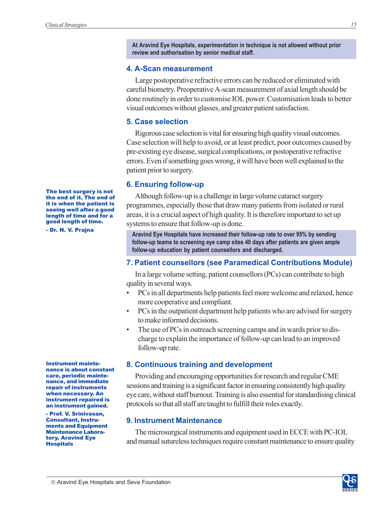**At Aravind Eye Hospitals, experimentation in technique is not allowed without prior review and authorisation by senior medical staff.**

#### **4. A-Scan measurement**

Large postoperative refractive errors can be reduced or eliminated with careful biometry. Preoperative A-scan measurement of axial length should be done routinely in order to customise IOL power. Customisation leads to better visual outcomes without glasses, and greater patient satisfaction.

#### **5. Case selection**

Rigorous case selection is vital for ensuring high quality visual outcomes. Case selection will help to avoid, or at least predict, poor outcomes caused by pre-existing eye disease, surgical complications, or postoperative refractive errors. Even if something goes wrong, it will have been well explained to the patient prior to surgery.

#### **6. Ensuring follow-up**

Although follow-up is a challenge in large volume cataract surgery programmes, especially those that draw many patients from isolated or rural areas, it is a crucial aspect of high quality. It is therefore important to set up systems to ensure that follow-up is done.

**Aravind Eye Hospitals have increased their follow-up rate to over 95% by sending follow-up teams to screening eye camp sites 40 days after patients are given ample follow-up education by patient counsellors and discharged.**

#### **7. Patient counsellors (see Paramedical Contributions Module)**

In a large volume setting, patient counsellors (PCs) can contribute to high quality in several ways.

- PCs in all departments help patients feel more welcome and relaxed, hence more cooperative and compliant.
- ï PCs in the outpatient department help patients who are advised for surgery to make informed decisions.
- The use of PCs in outreach screening camps and in wards prior to discharge to explain the importance of follow-up can lead to an improved follow-up rate.

#### **8. Continuous training and development**

Providing and encouraging opportunities for research and regular CME sessions and training is a significant factor in ensuring consistently high quality eye care, without staff burnout. Training is also essential for standardising clinical protocols so that all staff are taught to fulfill their roles exactly.

#### **9. Instrument Maintenance**

The microsurgical instruments and equipment used in ECCE with PC-IOL and manual sutureless techniques require constant maintenance to ensure quality

The best surgery is not the end of it. The end of it is when the patient is seeing well after a good length of time and for a good length of time.

- Dr. N. V. Prajna

Instrument maintenance is about constant care, periodic maintenance, and immediate repair of instruments when necessary. An instrument repaired is an instrument gained.

- Prof. V. Srinivasan, Consultant, Instruments and Equipment Maintenance Laboratory, Aravind Eye Hospitals

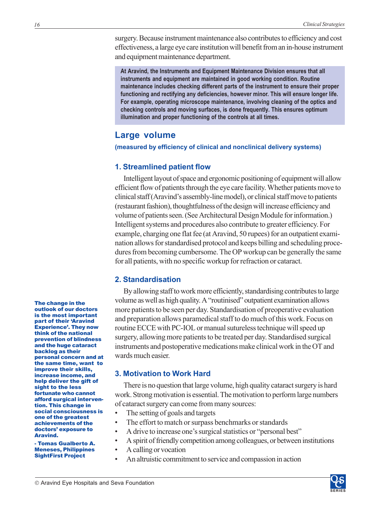surgery. Because instrument maintenance also contributes to efficiency and cost effectiveness, a large eye care institution will benefit from an in-house instrument and equipment maintenance department.

**At Aravind, the Instruments and Equipment Maintenance Division ensures that all instruments and equipment are maintained in good working condition. Routine maintenance includes checking different parts of the instrument to ensure their proper functioning and rectifying any deficiencies, however minor. This will ensure longer life. For example, operating microscope maintenance, involving cleaning of the optics and checking controls and moving surfaces, is done frequently. This ensures optimum illumination and proper functioning of the controls at all times.**

#### **Large volume**

**(measured by efficiency of clinical and nonclinical delivery systems)**

#### **1. Streamlined patient flow**

Intelligent layout of space and ergonomic positioning of equipment will allow efficient flow of patients through the eye care facility. Whether patients move to clinical staff (Aravind's assembly-line model), or clinical staff move to patients (restaurant fashion), thoughtfulness of the design will increase efficiency and volume of patients seen. (See Architectural Design Module for information.) Intelligent systems and procedures also contribute to greater efficiency. For example, charging one flat fee (at Aravind, 50 rupees) for an outpatient examination allows for standardised protocol and keeps billing and scheduling procedures from becoming cumbersome. The OP workup can be generally the same for all patients, with no specific workup for refraction or cataract.

#### **2. Standardisation**

By allowing staff to work more efficiently, standardising contributes to large volume as well as high quality. A "routinised" outpatient examination allows more patients to be seen per day. Standardisation of preoperative evaluation and preparation allows paramedical staff to do much of this work. Focus on routine ECCE with PC-IOL or manual sutureless technique will speed up surgery, allowing more patients to be treated per day. Standardised surgical instruments and postoperative medications make clinical work in the OT and wards much easier.

#### **3. Motivation to Work Hard**

There is no question that large volume, high quality cataract surgery is hard work. Strong motivation is essential. The motivation to perform large numbers of cataract surgery can come from many sources:

- The setting of goals and targets
- The effort to match or surpass benchmarks or standards
- A drive to increase one's surgical statistics or "personal best"
- A spirit of friendly competition among colleagues, or between institutions
- A calling or vocation
- An altruistic commitment to service and compassion in action

The change in the outlook of our doctors is the most important part of their 'Aravind **Experience'. They now** think of the national prevention of blindness and the huge cataract backlog as their personal concern and at the same time, want to improve their skills, increase income, and help deliver the gift of sight to the less fortunate who cannot afford surgical intervention. This change in social consciousness is one of the greatest achievements of the doctors' exposure to Aravind.

- Tomas Gualberto A. Meneses, Philippines SightFirst Project

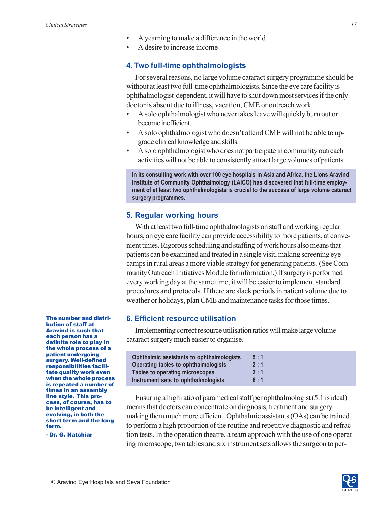A desire to increase income

#### **4. Two full-time ophthalmologists**

For several reasons, no large volume cataract surgery programme should be without at least two full-time ophthalmologists. Since the eye care facility is ophthalmologist-dependent, it will have to shut down most services if the only doctor is absent due to illness, vacation, CME or outreach work.

- A solo ophthalmologist who never takes leave will quickly burn out or become inefficient.
- A solo ophthalmologist who doesn't attend CME will not be able to upgrade clinical knowledge and skills.
- A solo ophthalmologist who does not participate in community outreach activities will not be able to consistently attract large volumes of patients.

**In its consulting work with over 100 eye hospitals in Asia and Africa, the Lions Aravind Institute of Community Ophthalmology (LAICO) has discovered that full-time employment of at least two ophthalmologists is crucial to the success of large volume cataract surgery programmes.**

#### **5. Regular working hours**

With at least two full-time ophthalmologists on staff and working regular hours, an eye care facility can provide accessibility to more patients, at convenient times. Rigorous scheduling and staffing of work hours also means that patients can be examined and treated in a single visit, making screening eye camps in rural areas a more viable strategy for generating patients. (See Community Outreach Initiatives Module for information.) If surgery is performed every working day at the same time, it will be easier to implement standard procedures and protocols. If there are slack periods in patient volume due to weather or holidays, plan CME and maintenance tasks for those times.

#### **6. Efficient resource utilisation**

Implementing correct resource utilisation ratios will make large volume cataract surgery much easier to organise.

| Ophthalmic assistants to ophthalmologists | 5:1 |
|-------------------------------------------|-----|
| Operating tables to ophthalmologists      | 2:1 |
| Tables to operating microscopes           | 2:1 |
| Instrument sets to ophthalmologists       | 6:1 |

Ensuring a high ratio of paramedical staff per ophthalmologist (5:1 is ideal) means that doctors can concentrate on diagnosis, treatment and surgery – making them much more efficient. Ophthalmic assistants (OAs) can be trained to perform a high proportion of the routine and repetitive diagnostic and refraction tests. In the operation theatre, a team approach with the use of one operating microscope, two tables and six instrument sets allows the surgeon to per-

The number and distribution of staff at Aravind is such that each person has a definite role to play in the whole process of a patient undergoing surgery. Well-defined responsibilities facilitate quality work even when the whole process is repeated a number of times in an assembly line style. This process, of course, has to be intelligent and evolving, in both the short term and the long term.

- Dr. G. Natchiar

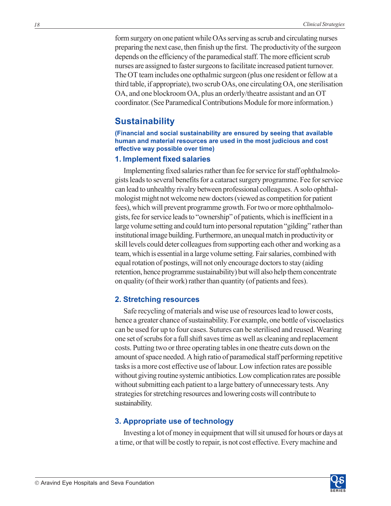form surgery on one patient while OAs serving as scrub and circulating nurses preparing the next case, then finish up the first. The productivity of the surgeon depends on the efficiency of the paramedical staff. The more efficient scrub nurses are assigned to faster surgeons to facilitate increased patient turnover. The OT team includes one opthalmic surgeon (plus one resident or fellow at a third table, if appropriate), two scrub OAs, one circulating OA, one sterilisation OA, and one blockroom OA, plus an orderly/theatre assistant and an OT coordinator. (See Paramedical Contributions Module for more information.)

## **Sustainability**

**(Financial and social sustainability are ensured by seeing that available human and material resources are used in the most judicious and cost effective way possible over time)**

#### **1. Implement fixed salaries**

Implementing fixed salaries rather than fee for service for staff ophthalmologists leads to several benefits for a cataract surgery programme. Fee for service can lead to unhealthy rivalry between professional colleagues. A solo ophthalmologist might not welcome new doctors (viewed as competition for patient fees), which will prevent programme growth. For two or more ophthalmologists, fee for service leads to "ownership" of patients, which is inefficient in a large volume setting and could turn into personal reputation "gilding" rather than institutional image building. Furthermore, an unequal match in productivity or skill levels could deter colleagues from supporting each other and working as a team, which is essential in a large volume setting. Fair salaries, combined with equal rotation of postings, will not only encourage doctors to stay (aiding retention, hence programme sustainability) but will also help them concentrate on quality (of their work) rather than quantity (of patients and fees).

#### **2. Stretching resources**

Safe recycling of materials and wise use of resources lead to lower costs, hence a greater chance of sustainability. For example, one bottle of viscoelastics can be used for up to four cases. Sutures can be sterilised and reused. Wearing one set of scrubs for a full shift saves time as well as cleaning and replacement costs. Putting two or three operating tables in one theatre cuts down on the amount of space needed. A high ratio of paramedical staff performing repetitive tasks is a more cost effective use of labour. Low infection rates are possible without giving routine systemic antibiotics. Low complication rates are possible without submitting each patient to a large battery of unnecessary tests. Any strategies for stretching resources and lowering costs will contribute to sustainability.

#### **3. Appropriate use of technology**

Investing a lot of money in equipment that will sit unused for hours or days at a time, or that will be costly to repair, is not cost effective. Every machine and

**SERIES**  $\overline{\mathsf{C}}$ Qs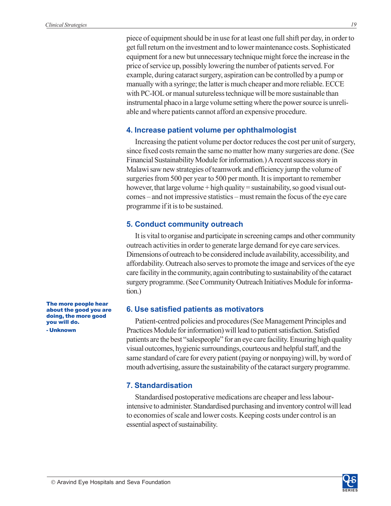piece of equipment should be in use for at least one full shift per day, in order to get full return on the investment and to lower maintenance costs. Sophisticated equipment for a new but unnecessary technique might force the increase in the price of service up, possibly lowering the number of patients served. For example, during cataract surgery, aspiration can be controlled by a pump or manually with a syringe; the latter is much cheaper and more reliable. ECCE with PC-IOL or manual sutureless technique will be more sustainable than instrumental phaco in a large volume setting where the power source is unreliable and where patients cannot afford an expensive procedure.

#### **4. Increase patient volume per ophthalmologist**

Increasing the patient volume per doctor reduces the cost per unit of surgery, since fixed costs remain the same no matter how many surgeries are done. (See Financial Sustainability Module for information.) A recent success story in Malawi saw new strategies of teamwork and efficiency jump the volume of surgeries from 500 per year to 500 per month. It is important to remember however, that large volume + high quality = sustainability, so good visual outcomes – and not impressive statistics – must remain the focus of the eye care programme if it is to be sustained.

#### **5. Conduct community outreach**

It is vital to organise and participate in screening camps and other community outreach activities in order to generate large demand for eye care services. Dimensions of outreach to be considered include availability, accessibility, and affordability. Outreach also serves to promote the image and services of the eye care facility in the community, again contributing to sustainability of the cataract surgery programme. (See Community Outreach Initiatives Module for information.)

#### **6. Use satisfied patients as motivators**

Patient-centred policies and procedures (See Management Principles and Practices Module for information) will lead to patient satisfaction. Satisfied patients are the best "salespeople" for an eye care facility. Ensuring high quality visual outcomes, hygienic surroundings, courteous and helpful staff, and the same standard of care for every patient (paying or nonpaying) will, by word of mouth advertising, assure the sustainability of the cataract surgery programme.

#### **7. Standardisation**

Standardised postoperative medications are cheaper and less labourintensive to administer. Standardised purchasing and inventory control will lead to economies of scale and lower costs. Keeping costs under control is an essential aspect of sustainability.

The more people hear about the good you are doing, the more good you will do.

- Unknown

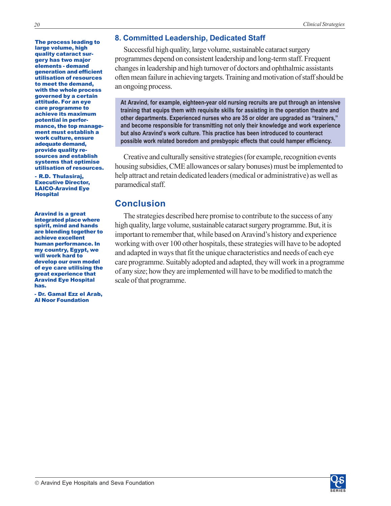The process leading to large volume, high quality cataract surgery has two major elements - demand generation and efficient utilisation of resources to meet the demand, with the whole process governed by a certain attitude. For an eye care programme to achieve its maximum potential in performance, the top management must establish a work culture, ensure adequate demand, provide quality resources and establish systems that optimise utilisation of resources.

- R.D. Thulasiraj, Executive Director, LAICO-Aravind Eye Hospital

Aravind is a great integrated place where spirit, mind and hands are blending together to achieve excellent human performance. In my country, Egypt, we will work hard to develop our own model of eye care utilising the great experience that Aravind Eye Hospital has.

- Dr. Gamal Ezz el Arab, Al Noor Foundation

#### **8. Committed Leadership, Dedicated Staff**

Successful high quality, large volume, sustainable cataract surgery programmes depend on consistent leadership and long-term staff. Frequent changes in leadership and high turnover of doctors and ophthalmic assistants often mean failure in achieving targets. Training and motivation of staff should be an ongoing process.

**At Aravind, for example, eighteen-year old nursing recruits are put through an intensive training that equips them with requisite skills for assisting in the operation theatre and** other departments. Experienced nurses who are 35 or older are upgraded as "trainers," **and become responsible for transmitting not only their knowledge and work experience** but also Aravind's work culture. This practice has been introduced to counteract **possible work related boredom and presbyopic effects that could hamper efficiency.**

Creative and culturally sensitive strategies (for example, recognition events housing subsidies, CME allowances or salary bonuses) must be implemented to help attract and retain dedicated leaders (medical or administrative) as well as paramedical staff.

## **Conclusion**

The strategies described here promise to contribute to the success of any high quality, large volume, sustainable cataract surgery programme. But, it is important to remember that, while based on Aravind's history and experience working with over 100 other hospitals, these strategies will have to be adopted and adapted in ways that fit the unique characteristics and needs of each eye care programme. Suitably adopted and adapted, they will work in a programme of any size; how they are implemented will have to be modified to match the scale of that programme.

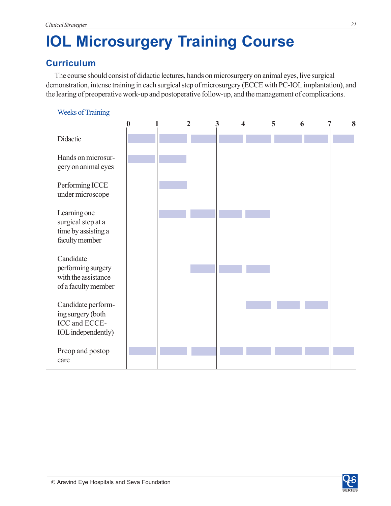# <span id="page-21-0"></span>**IOL Microsurgery Training Course**

# **Curriculum**

The course should consist of didactic lectures, hands on microsurgery on animal eyes, live surgical demonstration, intense training in each surgical step of microsurgery (ECCE with PC-IOL implantation), and the learing of preoperative work-up and postoperative follow-up, and the management of complications.

#### Weeks of Training





*21*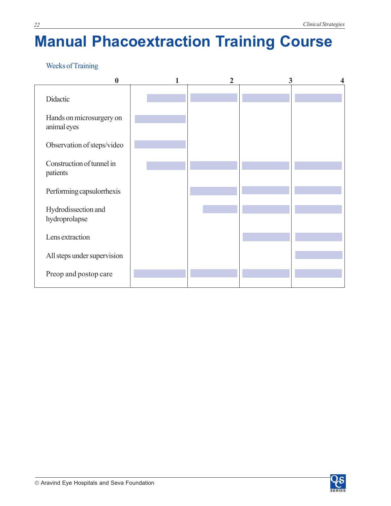# <span id="page-22-0"></span>**Manual Phacoextraction Training Course**

#### Weeks of Training

| $\boldsymbol{0}$                        | 2 | 3 |  |
|-----------------------------------------|---|---|--|
| Didactic                                |   |   |  |
| Hands on microsurgery on<br>animal eyes |   |   |  |
| Observation of steps/video              |   |   |  |
| Construction of tunnel in<br>patients   |   |   |  |
| Performing capsulorrhexis               |   |   |  |
| Hydrodissection and<br>hydroprolapse    |   |   |  |
| Lens extraction                         |   |   |  |
| All steps under supervision             |   |   |  |
| Preop and postop care                   |   |   |  |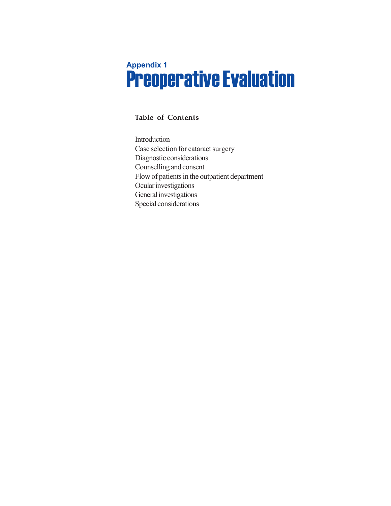# <span id="page-23-0"></span>Preoperative Evaluation **Appendix 1**

#### Table of Contents

Introduction Case selection for cataract surgery Diagnostic considerations Counselling and consent Flow of patients in the outpatient department Ocular investigations General investigations Special considerations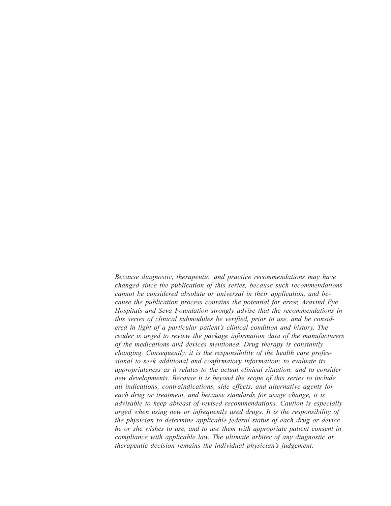*Because diagnostic, therapeutic, and practice recommendations may have changed since the publication of this series, because such recommendations cannot be considered absolute or universal in their application, and because the publication process contains the potential for error, Aravind Eye Hospitals and Seva Foundation strongly advise that the recommendations in this series of clinical submodules be verified, prior to use, and be considered in light of a particular patientís clinical condition and history. The reader is urged to review the package information data of the manufacturers of the medications and devices mentioned. Drug therapy is constantly changing. Consequently, it is the responsibility of the health care professional to seek additional and confirmatory information; to evaluate its appropriateness as it relates to the actual clinical situation; and to consider new developments. Because it is beyond the scope of this series to include all indications, contraindications, side effects, and alternative agents for each drug or treatment, and because standards for usage change, it is advisable to keep abreast of revised recommendations. Caution is especially urged when using new or infrequently used drugs. It is the responsibility of the physician to determine applicable federal status of each drug or device he or she wishes to use, and to use them with appropriate patient consent in compliance with applicable law. The ultimate arbiter of any diagnostic or therapeutic decision remains the individual physician's judgement.*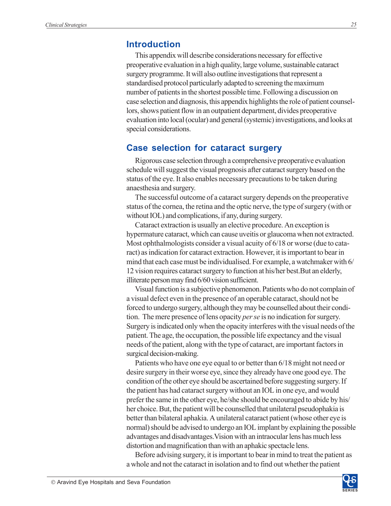#### **Introduction**

This appendix will describe considerations necessary for effective preoperative evaluation in a high quality, large volume, sustainable cataract surgery programme. It will also outline investigations that represent a standardised protocol particularly adapted to screening the maximum number of patients in the shortest possible time. Following a discussion on case selection and diagnosis, this appendix highlights the role of patient counsellors, shows patient flow in an outpatient department, divides preoperative evaluation into local (ocular) and general (systemic) investigations, and looks at special considerations.

## **Case selection for cataract surgery**

Rigorous case selection through a comprehensive preoperative evaluation schedule will suggest the visual prognosis after cataract surgery based on the status of the eye. It also enables necessary precautions to be taken during anaesthesia and surgery.

The successful outcome of a cataract surgery depends on the preoperative status of the cornea, the retina and the optic nerve, the type of surgery (with or without IOL) and complications, if any, during surgery.

Cataract extraction is usually an elective procedure. An exception is hypermature cataract, which can cause uveitis or glaucoma when not extracted. Most ophthalmologists consider a visual acuity of 6/18 or worse (due to cataract) as indication for cataract extraction. However, it is important to bear in mind that each case must be individualised. For example, a watchmaker with 6/ 12 vision requires cataract surgery to function at his/her best.But an elderly, illiterate person may find 6/60 vision sufficient.

Visual function is a subjective phenomenon. Patients who do not complain of a visual defect even in the presence of an operable cataract, should not be forced to undergo surgery, although they may be counselled about their condition. The mere presence of lens opacity *per se* is no indication for surgery. Surgery is indicated only when the opacity interferes with the visual needs of the patient. The age, the occupation, the possible life expectancy and the visual needs of the patient, along with the type of cataract, are important factors in surgical decision-making.

Patients who have one eye equal to or better than 6/18 might not need or desire surgery in their worse eye, since they already have one good eye. The condition of the other eye should be ascertained before suggesting surgery. If the patient has had cataract surgery without an IOL in one eye, and would prefer the same in the other eye, he/she should be encouraged to abide by his/ her choice. But, the patient will be counselled that unilateral pseudophakia is better than bilateral aphakia. A unilateral cataract patient (whose other eye is normal) should be advised to undergo an IOL implant by explaining the possible advantages and disadvantages.Vision with an intraocular lens has much less distortion and magnification than with an aphakic spectacle lens.

Before advising surgery, it is important to bear in mind to treat the patient as a whole and not the cataract in isolation and to find out whether the patient

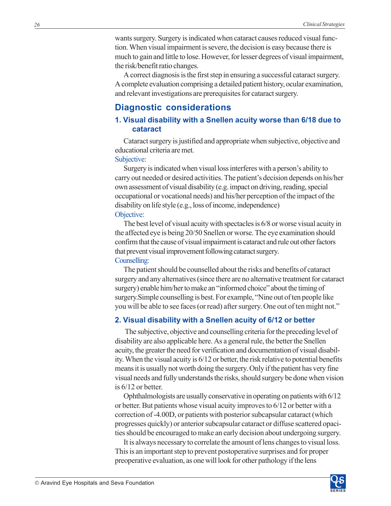wants surgery. Surgery is indicated when cataract causes reduced visual function. When visual impairment is severe, the decision is easy because there is much to gain and little to lose. However, for lesser degrees of visual impairment, the risk/benefit ratio changes.

A correct diagnosis is the first step in ensuring a successful cataract surgery. A complete evaluation comprising a detailed patient history, ocular examination, and relevant investigations are prerequisites for cataract surgery.

#### **Diagnostic considerations**

#### **1. Visual disability with a Snellen acuity worse than 6/18 due to cataract**

Cataract surgery is justified and appropriate when subjective, objective and educational criteria are met.

#### Subjective:

Surgery is indicated when visual loss interferes with a person's ability to carry out needed or desired activities. The patient's decision depends on his/her own assessment of visual disability (e.g. impact on driving, reading, special occupational or vocational needs) and his/her perception of the impact of the disability on life style (e.g., loss of income, independence) Objective:

The best level of visual acuity with spectacles is 6/8 or worse visual acuity in the affected eye is being 20/50 Snellen or worse. The eye examination should confirm that the cause of visual impairment is cataract and rule out other factors that prevent visual improvement following cataract surgery. Counselling:

The patient should be counselled about the risks and benefits of cataract surgery and any alternatives (since there are no alternative treatment for cataract surgery) enable him/her to make an "informed choice" about the timing of surgery. Simple counselling is best. For example, "Nine out of ten people like you will be able to see faces (or read) after surgery. One out of ten might not.î

#### **2. Visual disability with a Snellen acuity of 6/12 or better**

 The subjective, objective and counselling criteria for the preceding level of disability are also applicable here. As a general rule, the better the Snellen acuity, the greater the need for verification and documentation of visual disability. When the visual acuity is 6/12 or better, the risk relative to potential benefits means it is usually not worth doing the surgery. Only if the patient has very fine visual needs and fully understands the risks, should surgery be done when vision is 6/12 or better.

Ophthalmologists are usually conservative in operating on patients with 6/12 or better. But patients whose visual acuity improves to 6/12 or better with a correction of -4.00D, or patients with posterior subcapsular cataract (which progresses quickly) or anterior subcapsular cataract or diffuse scattered opacities should be encouraged to make an early decision about undergoing surgery.

It is always necessary to correlate the amount of lens changes to visual loss. This is an important step to prevent postoperative surprises and for proper preoperative evaluation, as one will look for other pathology if the lens



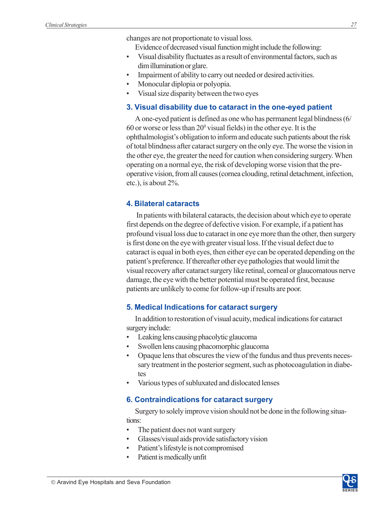changes are not proportionate to visual loss.

- Evidence of decreased visual function might include the following:
- Visual disability fluctuates as a result of environmental factors, such as dim illumination or glare.
- Impairment of ability to carry out needed or desired activities.
- Monocular diplopia or polyopia.
- Visual size disparity between the two eyes

#### **3. Visual disability due to cataract in the one-eyed patient**

A one-eyed patient is defined as one who has permanent legal blindness (6/ 60 or worse or less than  $20^{\circ}$  visual fields) in the other eye. It is the ophthalmologist's obligation to inform and educate such patients about the risk of total blindness after cataract surgery on the only eye. The worse the vision in the other eye, the greater the need for caution when considering surgery. When operating on a normal eye, the risk of developing worse vision that the preoperative vision, from all causes (cornea clouding, retinal detachment, infection, etc.), is about 2%.

#### **4. Bilateral cataracts**

In patients with bilateral cataracts, the decision about which eye to operate first depends on the degree of defective vision. For example, if a patient has profound visual loss due to cataract in one eye more than the other, then surgery is first done on the eye with greater visual loss. If the visual defect due to cataract is equal in both eyes, then either eye can be operated depending on the patient's preference. If thereafter other eye pathologies that would limit the visual recovery after cataract surgery like retinal, corneal or glaucomatous nerve damage, the eye with the better potential must be operated first, because patients are unlikely to come for follow-up if results are poor.

#### **5. Medical Indications for cataract surgery**

In addition to restoration of visual acuity, medical indications for cataract surgery include:

- Leaking lens causing phacolytic glaucoma
- Swollen lens causing phacomorphic glaucoma
- Opaque lens that obscures the view of the fundus and thus prevents necessary treatment in the posterior segment, such as photocoagulation in diabetes
- Various types of subluxated and dislocated lenses

#### **6. Contraindications for cataract surgery**

Surgery to solely improve vision should not be done in the following situations:

- The patient does not want surgery
- Glasses/visual aids provide satisfactory vision
- Patient's lifestyle is not compromised
- Patient is medically unfit

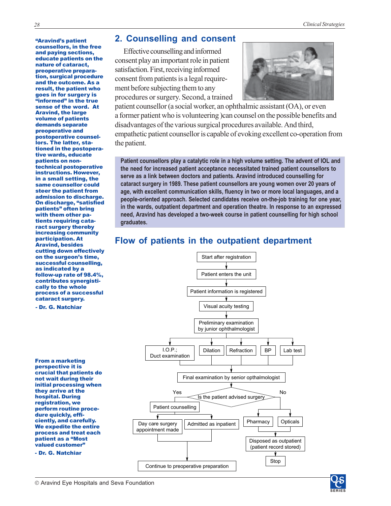"Aravind's patient counsellors, in the free and paying sections, educate patients on the nature of cataract, preoperative preparation, surgical procedure and the outcome. As a result, the patient who goes in for surgery is "informed" in the true sense of the word. At Aravind, the large volume of patients demands separate preoperative and postoperative counsellors. The latter, stationed in the postoperative wards, educate patients on nontechnical postoperative instructions. However, in a small setting, the same counsellor could steer the patient from admission to discharge. On discharge, "satisfied patients" often bring with them other patients requiring cataract surgery thereby increasing community participation. At Aravind, besides cutting down effectively on the surgeon's time, successful counselling, as indicated by a follow-up rate of 98.4%, contributes synergistically to the whole process of a successful cataract surgery. *-* Dr. G. Natchiar

#### **2. Counselling and consent**

Effective counselling and informed consent play an important role in patient satisfaction. First, receiving informed consent from patients is a legal requirement before subjecting them to any procedures or surgery. Second, a trained



patient counsellor (a social worker, an ophthalmic assistant (OA), or even a former patient who is volunteering )can counsel on the possible benefits and disadvantages of the various surgical procedures available. And third, empathetic patient counsellor is capable of evoking excellent co-operation from the patient.

**Patient counsellors play a catalytic role in a high volume setting. The advent of IOL and the need for increased patient acceptance necessitated trained patient counsellors to serve as a link between doctors and patients. Aravind introduced counselling for cataract surgery in 1989. These patient counsellors are young women over 20 years of age, with excellent communication skills, fluency in two or more local languages, and a people-oriented approach. Selected candidates receive on-the-job training for one year, in the wards, outpatient department and operation theatre. In response to an expressed need, Aravind has developed a two-week course in patient counselling for high school graduates.**

# **Flow of patients in the outpatient department**



From a marketing perspective it is crucial that patients do not wait during their initial processing when they arrive at the hospital. During registration, we perform routine procedure quickly, efficiently, and carefully. We expedite the entire process and treat each patient as a "Most valued customer"

- Dr. G. Natchiar

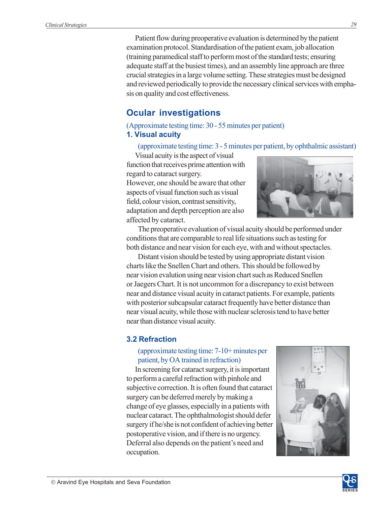Patient flow during preoperative evaluation is determined by the patient examination protocol. Standardisation of the patient exam, job allocation (training paramedical staff to perform most of the standard tests; ensuring adequate staff at the busiest times), and an assembly line approach are three crucial strategies in a large volume setting. These strategies must be designed and reviewed periodically to provide the necessary clinical services with emphasis on quality and cost effectiveness.

## **Ocular investigations**

#### (Approximate testing time: 30 - 55 minutes per patient) **1. Visual acuity**

(approximate testing time: 3 - 5 minutes per patient, by ophthalmic assistant)

Visual acuity is the aspect of visual function that receives prime attention with regard to cataract surgery. However, one should be aware that other aspects of visual function such as visual field, colour vision, contrast sensitivity, adaptation and depth perception are also affected by cataract.

The preoperative evaluation of visual acuity should be performed under conditions that are comparable to real life situations such as testing for both distance and near vision for each eye, with and without spectacles.

Distant vision should be tested by using appropriate distant vision charts like the Snellen Chart and others. This should be followed by near vision evalution using near vision chart such as Reduced Snellen or Jaegers Chart. It is not uncommon for a discrepancy to exist between near and distance visual acuity in cataract patients. For example, patients with posterior subcapsular cataract frequently have better distance than near visual acuity, while those with nuclear sclerosis tend to have better near than distance visual acuity.

#### **3.2 Refraction**

#### (approximate testing time: 7-10+ minutes per patient, by OA trained in refraction)

In screening for cataract surgery, it is important to perform a careful refraction with pinhole and subjective correction. It is often found that cataract surgery can be deferred merely by making a change of eye glasses, especially in a patients with nuclear cataract. The ophthalmologist should defer surgery if he/she is not confident of achieving better postoperative vision, and if there is no urgency. Deferral also depends on the patient's need and occupation.





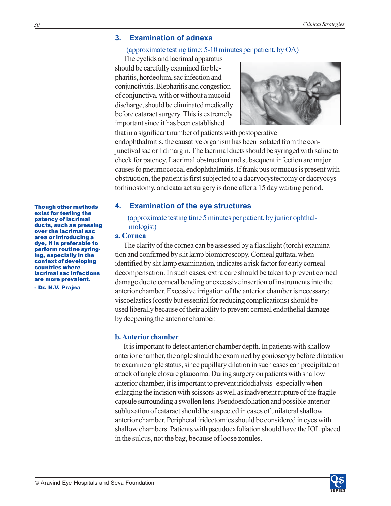#### **3. Examination of adnexa**

#### (approximate testing time: 5-10 minutes per patient, by OA)

The eyelids and lacrimal apparatus should be carefully examined for blepharitis, hordeolum, sac infection and conjunctivitis. Blepharitis and congestion of conjunctiva, with or without a mucoid discharge, should be eliminated medically before cataract surgery. This is extremely important since it has been established



that in a significant number of patients with postoperative endophthalmitis, the causative organism has been isolated from the conjunctival sac or lid margin. The lacrimal ducts should be syringed with saline to check for patency. Lacrimal obstruction and subsequent infection are major causes fo pneumococcal endophthalmitis. If frank pus or mucus is present with obstruction, the patient is first subjected to a dacryocystectomy or dacryocystorhinostomy, and cataract surgery is done after a 15 day waiting period.

#### **4. Examination of the eye structures**

 (approximate testing time 5 minutes per patient, by junior ophthal mologist)

#### **a. Cornea**

The clarity of the cornea can be assessed by a flashlight (torch) examination and confirmed by slit lamp biomicroscopy. Corneal guttata, when identified by slit lamp examination, indicates a risk factor for early corneal decompensation. In such cases, extra care should be taken to prevent corneal damage due to corneal bending or excessive insertion of instruments into the anterior chamber. Excessive irrigation of the anterior chamber is necessary; viscoelastics (costly but essential for reducing complications) should be used liberally because of their ability to prevent corneal endothelial damage by deepening the anterior chamber.

#### **b. Anterior chamber**

It is important to detect anterior chamber depth. In patients with shallow anterior chamber, the angle should be examined by gonioscopy before dilatation to examine angle status, since pupillary dilation in such cases can precipitate an attack of angle closure glaucoma. During surgery on patients with shallow anterior chamber, it is important to prevent iridodialysis- especially when enlarging the incision with scissors-as well as inadvertent rupture of the fragile capsule surrounding a swollen lens. Pseudoexfoliation and possible anterior subluxation of cataract should be suspected in cases of unilateral shallow anterior chamber. Peripheral iridectomies should be considered in eyes with shallow chambers. Patients with pseudoexfoliation should have the IOL placed in the sulcus, not the bag, because of loose zonules.

Though other methods exist for testing the patency of lacrimal ducts, such as pressing over the lacrimal sac area or introducing a dye, it is preferable to perform routine syringing, especially in the context of developing countries where lacrimal sac infections are more prevalent.

- Dr. N.V. Prajna

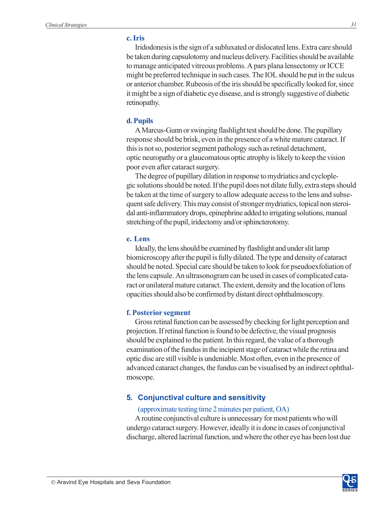#### **c. Iris**

Iridodonesis is the sign of a subluxated or dislocated lens. Extra care should be taken during capsulotomy and nucleus delivery. Facilities should be available to manage anticipated vitreous problems. A pars plana lensectomy or ICCE might be preferred technique in such cases. The IOL should be put in the sulcus or anterior chamber. Rubeosis of the iris should be specifically looked for, since it might be a sign of diabetic eye disease, and is strongly suggestive of diabetic retinopathy.

#### **d. Pupils**

A Marcus-Gunn or swinging flashlight test should be done. The pupillary response should be brisk, even in the presence of a white mature cataract. If this is not so, posterior segment pathology such as retinal detachment, optic neuropathy or a glaucomatous optic atrophy is likely to keep the vision poor even after cataract surgery.

The degree of pupillary dilation in response to mydriatics and cycloplegic solutions should be noted. If the pupil does not dilate fully, extra steps should be taken at the time of surgery to allow adequate access to the lens and subsequent safe delivery. This may consist of stronger mydriatics, topical non steroidal anti-inflammatory drops, epinephrine added to irrigating solutions, manual stretching of the pupil, iridectomy and/or sphincterotomy.

#### **e. Lens**

Ideally, the lens should be examined by flashlight and under slit lamp biomicroscopy after the pupil is fully dilated. The type and density of cataract should be noted. Special care should be taken to look for pseudoexfoliation of the lens capsule. An ultrasonogram can be used in cases of complicated cataract or unilateral mature cataract. The extent, density and the location of lens opacities should also be confirmed by distant direct ophthalmoscopy.

#### **f. Posterior segment**

Gross retinal function can be assessed by checking for light perception and projection. If retinal function is found to be defective, the visual prognosis should be explained to the patient. In this regard, the value of a thorough examination of the fundus in the incipient stage of cataract while the retina and optic disc are still visible is undeniable. Most often, even in the presence of advanced cataract changes, the fundus can be visualised by an indirect ophthalmoscope.

#### **5. Conjunctival culture and sensitivity**

#### (approximate testing time 2 minutes per patient, OA)

A routine conjunctival culture is unnecessary for most patients who will undergo cataract surgery. However, ideally it is done in cases of conjunctival discharge, altered lacrimal function, and where the other eye has been lost due

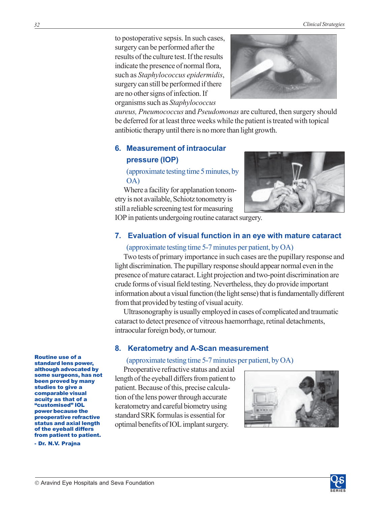to postoperative sepsis. In such cases, surgery can be performed after the results of the culture test. If the results indicate the presence of normal flora, such as *Staphylococcus epidermidis*, surgery can still be performed if there are no other signs of infection. If organisms such as *Staphylococcus*



*aureus, Pneumococcus* and *Pseudomonas* are cultured, then surgery should be deferred for at least three weeks while the patient is treated with topical antibiotic therapy until there is no more than light growth.

## **6. Measurement of intraocular pressure (IOP)**

#### (approximate testing time 5 minutes, by OA)

Where a facility for applanation tonometry is not available, Schiotz tonometry is still a reliable screening test for measuring IOP in patients undergoing routine cataract surgery.



**7. Evaluation of visual function in an eye with mature cataract**

#### (approximate testing time 5-7 minutes per patient, by OA)

Two tests of primary importance in such cases are the pupillary response and light discrimination. The pupillary response should appear normal even in the presence of mature cataract. Light projection and two-point discrimination are crude forms of visual field testing. Nevertheless, they do provide important information about a visual function (the light sense) that is fundamentally different from that provided by testing of visual acuity.

Ultrasonography is usually employed in cases of complicated and traumatic cataract to detect presence of vitreous haemorrhage, retinal detachments, intraocular foreign body, or tumour.

#### **8. Keratometry and A-Scan measurement**

#### (approximate testing time 5-7 minutes per patient, by OA)

Preoperative refractive status and axial length of the eyeball differs from patient to patient. Because of this, precise calculation of the lens power through accurate keratometry and careful biometry using standard SRK formulas is essential for optimal benefits of IOL implant surgery.



**SERIES**  $\overline{\mathsf{C}}$ Qs

Routine use of a standard lens power, although advocated by some surgeons, has not been proved by many studies to give a comparable visual acuity as that of a ìcustomisedî IOL power because the preoperative refractive status and axial length of the eyeball differs from patient to patient.

- Dr. N.V. Prajna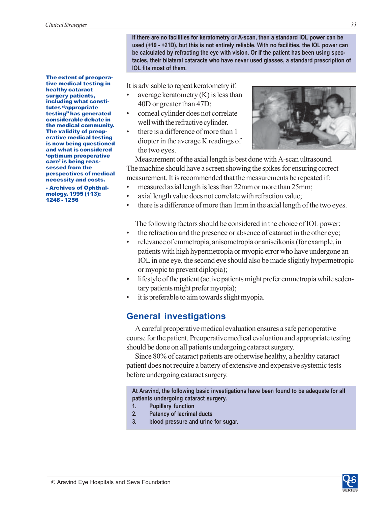The extent of preoperative medical testing in healthy cataract surgery patients, including what constitutes "appropriate testing" has generated considerable debate in the medical community. The validity of preoperative medical testing is now being questioned and what is considered ëoptimum preoperative care' is being reassessed from the perspectives of medical necessity and costs.

- Archives of Ophthalmology. 1995 (113): 1248 - 1256

**If there are no facilities for keratometry or A-scan, then a standard IOL power can be used (+19 - +21D), but this is not entirely reliable. With no facilities, the IOL power can be calculated by refracting the eye with vision. Or if the patient has been using spectacles, their bilateral cataracts who have never used glasses, a standard prescription of IOL fits most of them.**

It is advisable to repeat keratometry if:

- average keratometry  $(K)$  is less than 40D or greater than 47D;
- corneal cylinder does not correlate well with the refractive cylinder.
- there is a difference of more than 1 diopter in the average K readings of the two eyes.



Measurement of the axial length is best done with A-scan ultrasound. The machine should have a screen showing the spikes for ensuring correct measurement. It is recommended that the measurements be repeated if:

- measured axial length is less than 22mm or more than 25mm;
- axial length value does not correlate with refraction value;
- there is a difference of more than 1mm in the axial length of the two eyes.

The following factors should be considered in the choice of IOL power:

- the refraction and the presence or absence of cataract in the other eye;
- relevance of emmetropia, anisometropia or aniseikonia (for example, in patients with high hypermetropia or myopic error who have undergone an IOL in one eye, the second eye should also be made slightly hypermetropic or myopic to prevent diplopia);
- lifestyle of the patient (active patients might prefer emmetropia while sedentary patients might prefer myopia);
- it is preferable to aim towards slight myopia.

# **General investigations**

A careful preoperative medical evaluation ensures a safe perioperative course for the patient. Preoperative medical evaluation and appropriate testing should be done on all patients undergoing cataract surgery.

Since 80% of cataract patients are otherwise healthy, a healthy cataract patient does not require a battery of extensive and expensive systemic tests before undergoing cataract surgery.

**At Aravind, the following basic investigations have been found to be adequate for all patients undergoing cataract surgery.**

- **1. Pupillary function**
- **2. Patency of lacrimal ducts**
- **3. blood pressure and urine for sugar.**

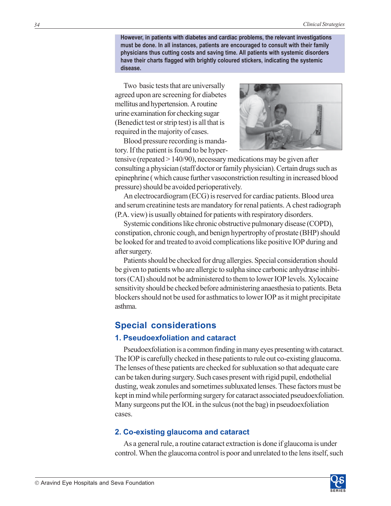**However, in patients with diabetes and cardiac problems, the relevant investigations must be done. In all instances, patients are encouraged to consult with their family physicians thus cutting costs and saving time. All patients with systemic disorders have their charts flagged with brightly coloured stickers, indicating the systemic disease.**

Two basic tests that are universally agreed upon are screening for diabetes mellitus and hypertension. A routine urine examination for checking sugar (Benedict test or strip test) is all that is required in the majority of cases.

Blood pressure recording is mandatory. If the patient is found to be hyper-



tensive (repeated > 140/90), necessary medications may be given after consulting a physician (staff doctor or family physician). Certain drugs such as epinephrine ( which cause further vasoconstriction resulting in increased blood pressure) should be avoided perioperatively.

An electrocardiogram (ECG) is reserved for cardiac patients. Blood urea and serum creatinine tests are mandatory for renal patients. A chest radiograph (P.A. view) is usually obtained for patients with respiratory disorders.

Systemic conditions like chronic obstructive pulmonary disease (COPD), constipation, chronic cough, and benign hypertrophy of prostate (BHP) should be looked for and treated to avoid complications like positive IOP during and after surgery.

Patients should be checked for drug allergies. Special consideration should be given to patients who are allergic to sulpha since carbonic anhydrase inhibitors (CAI) should not be administered to them to lower IOP levels. Xylocaine sensitivity should be checked before administering anaesthesia to patients. Beta blockers should not be used for asthmatics to lower IOP as it might precipitate asthma.

## **Special considerations**

#### **1. Pseudoexfoliation and cataract**

Pseudoexfoliation is a common finding in many eyes presenting with cataract. The IOP is carefully checked in these patients to rule out co-existing glaucoma. The lenses of these patients are checked for subluxation so that adequate care can be taken during surgery. Such cases present with rigid pupil, endothelial dusting, weak zonules and sometimes subluxated lenses. These factors must be kept in mind while performing surgery for cataract associated pseudoexfoliation. Many surgeons put the IOL in the sulcus (not the bag) in pseudoexfoliation cases.

#### **2. Co-existing glaucoma and cataract**

As a general rule, a routine cataract extraction is done if glaucoma is under control. When the glaucoma control is poor and unrelated to the lens itself, such

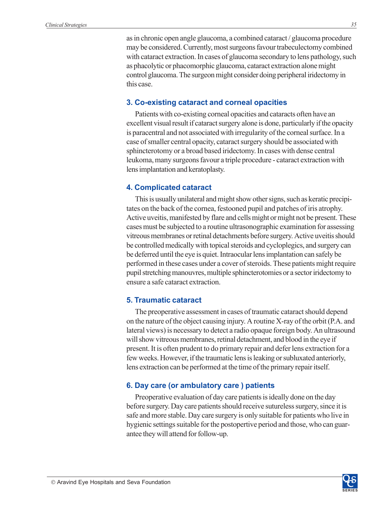as in chronic open angle glaucoma, a combined cataract / glaucoma procedure may be considered. Currently, most surgeons favour trabeculectomy combined with cataract extraction. In cases of glaucoma secondary to lens pathology, such as phacolytic or phacomorphic glaucoma, cataract extraction alone might control glaucoma. The surgeon might consider doing peripheral iridectomy in this case.

#### **3. Co-existing cataract and corneal opacities**

Patients with co-existing corneal opacities and cataracts often have an excellent visual result if cataract surgery alone is done, particularly if the opacity is paracentral and not associated with irregularity of the corneal surface. In a case of smaller central opacity, cataract surgery should be associated with sphincterotomy or a broad based iridectomy. In cases with dense central leukoma, many surgeons favour a triple procedure - cataract extraction with lens implantation and keratoplasty.

#### **4. Complicated cataract**

This is usually unilateral and might show other signs, such as keratic precipitates on the back of the cornea, festooned pupil and patches of iris atrophy. Active uveitis, manifested by flare and cells might or might not be present. These cases must be subjected to a routine ultrasonographic examination for assessing vitreous membranes or retinal detachments before surgery. Active uveitis should be controlled medically with topical steroids and cycloplegics, and surgery can be deferred until the eye is quiet. Intraocular lens implantation can safely be performed in these cases under a cover of steroids. These patients might require pupil stretching manouvres, multiple sphincterotomies or a sector iridectomy to ensure a safe cataract extraction.

#### **5. Traumatic cataract**

The preoperative assessment in cases of traumatic cataract should depend on the nature of the object causing injury. A routine X-ray of the orbit (P.A. and lateral views) is necessary to detect a radio opaque foreign body. An ultrasound will show vitreous membranes, retinal detachment, and blood in the eye if present. It is often prudent to do primary repair and defer lens extraction for a few weeks. However, if the traumatic lens is leaking or subluxated anteriorly, lens extraction can be performed at the time of the primary repair itself.

#### **6. Day care (or ambulatory care ) patients**

Preoperative evaluation of day care patients is ideally done on the day before surgery. Day care patients should receive sutureless surgery, since it is safe and more stable. Day care surgery is only suitable for patients who live in hygienic settings suitable for the postopertive period and those, who can guarantee they will attend for follow-up.



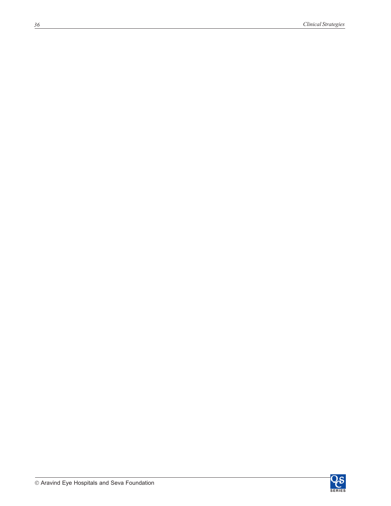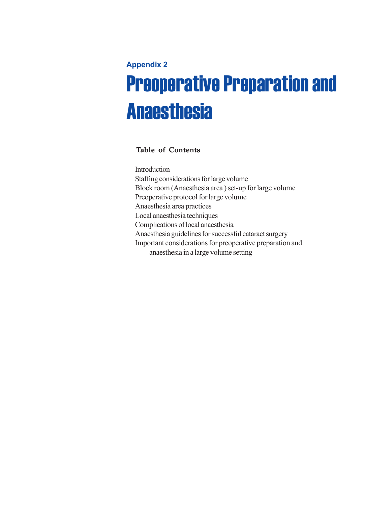#### **Appendix 2**

# Preoperative Preparation and Anaesthesia

#### Table of Contents

Introduction Staffing considerations for large volume Block room (Anaesthesia area ) set-up for large volume Preoperative protocol for large volume Anaesthesia area practices Local anaesthesia techniques Complications of local anaesthesia Anaesthesia guidelines for successful cataract surgery Important considerations for preoperative preparation and anaesthesia in a large volume setting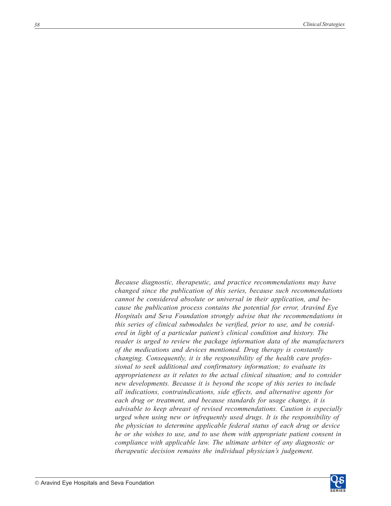*Because diagnostic, therapeutic, and practice recommendations may have changed since the publication of this series, because such recommendations cannot be considered absolute or universal in their application, and because the publication process contains the potential for error, Aravind Eye Hospitals and Seva Foundation strongly advise that the recommendations in this series of clinical submodules be verified, prior to use, and be considered in light of a particular patientís clinical condition and history. The reader is urged to review the package information data of the manufacturers of the medications and devices mentioned. Drug therapy is constantly changing. Consequently, it is the responsibility of the health care professional to seek additional and confirmatory information; to evaluate its appropriateness as it relates to the actual clinical situation; and to consider new developments. Because it is beyond the scope of this series to include all indications, contraindications, side effects, and alternative agents for each drug or treatment, and because standards for usage change, it is advisable to keep abreast of revised recommendations. Caution is especially urged when using new or infrequently used drugs. It is the responsibility of the physician to determine applicable federal status of each drug or device he or she wishes to use, and to use them with appropriate patient consent in compliance with applicable law. The ultimate arbiter of any diagnostic or therapeutic decision remains the individual physician's judgement.* 

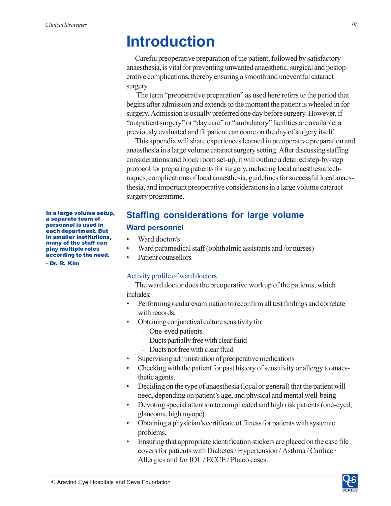# **Introduction**

Careful preoperative preparation of the patient, followed by satisfactory anaesthesia, is vital for preventing unwanted anaesthetic, surgical and postoperative complications, thereby ensuring a smooth and uneventful cataract surgery.

The term "preoperative preparation" as used here refers to the period that begins after admission and extends to the moment the patient is wheeled in for surgery. Admission is usually preferred one day before surgery. However, if "outpatient surgery" or "day care" or "ambulatory" facilities are available, a previously evaluated and fit patient can come on the day of surgery itself.

This appendix will share experiences learned in preoperative preparation and anaesthesia in a large volume cataract surgery setting. After discussing staffing considerations and block room set-up, it will outline a detailed step-by-step protocol for preparing patients for surgery, including local anaesthesia techniques, complications of local anaesthesia, guidelines for successful local anaesthesia, and important preoperative considerations in a large volume cataract surgery programme.

In a large volume setup, a separate team of personnel is used in each department. But in smaller institutions, many of the staff can play multiple roles according to the need.

- Dr. R. Kim

# **Staffing considerations for large volume Ward personnel**

- Ward doctor/s
- Ward paramedical staff (ophthalmic assistants and /or nurses)
- Patient counsellors

#### Activity profile of ward doctors

The ward doctor does the preoperative workup of the patients, which includes:

- Performing ocular examination to reconfirm all test findings and correlate with records.
- ï Obtaining conjunctival culture sensitivity for
	- One-eyed patients
	- Ducts partially free with clear fluid
	- Ducts not free with clear fluid
- Supervising administration of preoperative medications
- Checking with the patient for past history of sensitivity or allergy to anaesthetic agents.
- Deciding on the type of anaesthesia (local or general) that the patient will need, depending on patient's age, and physical and mental well-being
- Devoting special attention to complicated and high risk patients (one-eyed, glaucoma, high myope)
- Obtaining a physician's certificate of fitness for patients with systemic problems.
- Ensuring that appropriate identification stickers are placed on the case file covers for patients with Diabetes / Hypertension / Asthma / Cardiac / Allergies and for IOL / ECCE / Phaco cases.

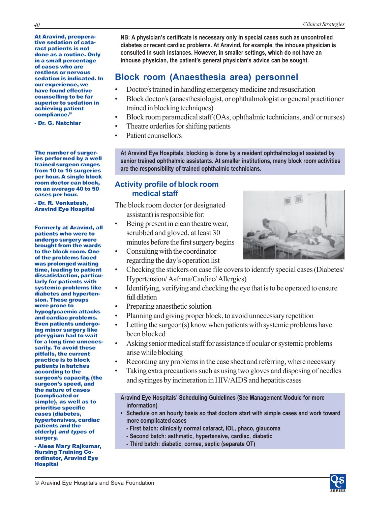At Aravind, preoperative sedation of cataract patients is not done as a routine. Only in a small percentage of cases who are restless or nervous sedation is indicated. In our experience, we have found effective counselling to be far superior to sedation in achieving patient compliance."

- Dr. G. Natchiar

The number of surgeries performed by a well trained surgeon ranges from 10 to 16 surgeries per hour. A single block room doctor can block, on an average 40 to 50 cases per hour.

- Dr. R. Venkatesh, Aravind Eye Hospital

Formerly at Aravind, all patients who were to undergo surgery were brought from the wards to the block room. One of the problems faced was prolonged waiting time, leading to patient dissatisfaction, particularly for patients with systemic problems like diabetes and hypertension. These groups were prone to hypoglycaemic attacks and cardiac problems. Even patients undergoing minor surgery like pterygium had to wait for a long time unnecessarily. To avoid these pitfalls, the current practice is to block patients in batches according to the surgeon's capacity, (the surgeon's speed, and the nature of cases (complicated or simple), as well as to prioritise specific cases (diabetes, hypertensives, cardiac patients and the elderly) *and types* of surgery.

- Alees Mary Rajkumar, Nursing Training Coordinator, Aravind Eye Hospital

**NB: A physicianís certificate is necessary only in special cases such as uncontrolled diabetes or recent cardiac problems. At Aravind, for example, the inhouse physician is consulted in such instances. However, in smaller settings, which do not have an inhouse physician, the patientís general physicianís advice can be sought.**

# **Block room (Anaesthesia area) personnel**

- Doctor/s trained in handling emergency medicine and resuscitation
- Block doctor/s (anaesthesiologist, or ophthalmologist or general practitioner trained in blocking techniques)
- Block room paramedical staff (OAs, ophthalmic technicians, and/ or nurses)
- Theatre orderlies for shifting patients
- Patient counsellor/s

**At Aravind Eye Hospitals, blocking is done by a resident ophthalmologist assisted by senior trained ophthalmic assistants. At smaller institutions, many block room activities are the responsibility of trained ophthalmic technicians.**

#### **Activity profile of block room medical staff**

The block room doctor (or designated assistant) is responsible for:

- Being present in clean theatre wear, scrubbed and gloved, at least 30 minutes before the first surgery begins
- Consulting with the coordinator regarding the day's operation list
- Checking the stickers on case file covers to identify special cases (Diabetes/ Hypertension/ Asthma/Cardiac/ Allergies)
- Identifying, verifying and checking the eye that is to be operated to ensure full dilation
- Preparing anaesthetic solution
- Planning and giving proper block, to avoid unnecessary repetition
- Letting the surgeon(s) know when patients with systemic problems have been blocked
- Asking senior medical staff for assistance if ocular or systemic problems arise while blocking
- Recording any problems in the case sheet and referring, where necessary
- Taking extra precautions such as using two gloves and disposing of needles and syringes by incineration in HIV/AIDS and hepatitis cases

#### **Aravind Eye Hospitalsí Scheduling Guidelines (See Management Module for more information)**

- **ï Schedule on an hourly basis so that doctors start with simple cases and work toward more complicated cases**
	- **First batch: clinically normal cataract, IOL, phaco, glaucoma**
	- **Second batch: asthmatic, hypertensive, cardiac, diabetic**
	- **Third batch: diabetic, cornea, septic (separate OT)**





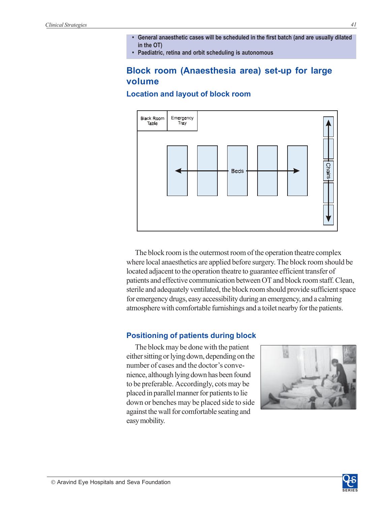- **ï General anaesthetic cases will be scheduled in the first batch (and are usually dilated in the OT)**
- **ï Paediatric, retina and orbit scheduling is autonomous**

### **Block room (Anaesthesia area) set-up for large volume**

#### **Location and layout of block room**



The block room is the outermost room of the operation theatre complex where local anaesthetics are applied before surgery. The block room should be located adjacent to the operation theatre to guarantee efficient transfer of patients and effective communication between OT and block room staff. Clean, sterile and adequately ventilated, the block room should provide sufficient space for emergency drugs, easy accessibility during an emergency, and a calming atmosphere with comfortable furnishings and a toilet nearby for the patients.

#### **Positioning of patients during block**

The block may be done with the patient either sitting or lying down, depending on the number of cases and the doctor's convenience, although lying down has been found to be preferable. Accordingly, cots may be placed in parallel manner for patients to lie down or benches may be placed side to side against the wall for comfortable seating and easy mobility.



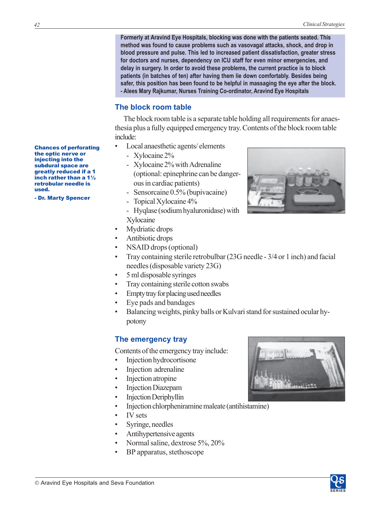**Formerly at Aravind Eye Hospitals, blocking was done with the patients seated. This method was found to cause problems such as vasovagal attacks, shock, and drop in blood pressure and pulse. This led to increased patient dissatisfaction, greater stress for doctors and nurses, dependency on ICU staff for even minor emergencies, and delay in surgery. In order to avoid these problems, the current practice is to block patients (in batches of ten) after having them lie down comfortably. Besides being safer, this position has been found to be helpful in massaging the eye after the block. - Alees Mary Rajkumar, Nurses Training Co-ordinator, Aravind Eye Hospitals**

#### **The block room table**

The block room table is a separate table holding all requirements for anaesthesia plus a fully equipped emergency tray. Contents of the block room table include:

- Local anaesthetic agents/ elements
	- Xylocaine 2%
	- Xylocaine 2% with Adrenaline (optional: epinephrine can be dangerous in cardiac patients)
	- Sensorcaine 0.5% (bupivacaine)
	- Topical Xylocaine 4%
	- Hyqlase (sodium hyaluronidase) with Xylocaine
- Mydriatic drops
- Antibiotic drops
- NSAID drops (optional)
- Tray containing sterile retrobulbar (23G needle 3/4 or 1 inch) and facial needles (disposable variety 23G)
- ï 5 ml disposable syringes
- Tray containing sterile cotton swabs
- Empty tray for placing used needles
- Eye pads and bandages
- Balancing weights, pinky balls or Kulvari stand for sustained ocular hypotony

#### **The emergency tray**

Contents of the emergency tray include:

- Injection hydrocortisone
- Injection adrenaline
- Injection atropine
- Injection Diazepam
- Injection Deriphyllin
- Injection chlorpheniramine maleate (antihistamine)
- IV sets
- Syringe, needles
- Antihypertensive agents
- Normal saline, dextrose 5%, 20%
- BP apparatus, stethoscope





Aravind Eye Hospitals and Seva Foundation

Chances of perforating the optic nerve or injecting into the subdural space are greatly reduced if a 1 inch rather than a 1½ retrobular needle is used.

*-* Dr. Marty Spencer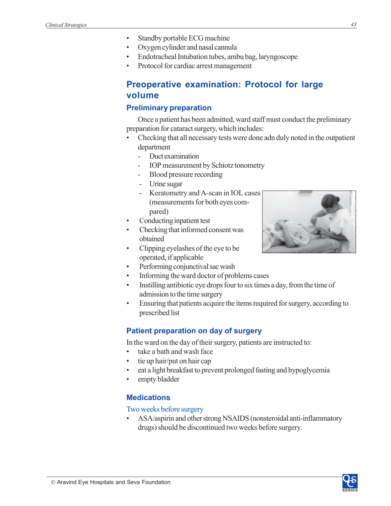- Standby portable ECG machine
- Oxygen cylinder and nasal cannula
- Endotracheal Intubation tubes, ambu bag, laryngoscope
- Protocol for cardiac arrest management

# **Preoperative examination: Protocol for large volume**

#### **Preliminary preparation**

Once a patient has been admitted, ward staff must conduct the preliminary preparation for cataract surgery, which includes:

- Checking that all necessary tests were done adn duly noted in the outpatient department
	- Duct examination
	- IOP measurement by Schiotz tonometry
	- Blood pressure recording
	- Urine sugar
	- Keratometry and A-scan in IOL cases (measurements for both eyes compared)
- Conducting inpatient test
- Checking that informed consent was obtained
- Clipping eyelashes of the eye to be operated, if applicable
- Performing conjunctival sac wash
- Informing the ward doctor of problems cases
- Instilling antibiotic eye drops four to six times a day, from the time of admission to the time surgery
- Ensuring that patients acquire the items required for surgery, according to prescribed list

#### **Patient preparation on day of surgery**

In the ward on the day of their surgery, patients are instructed to:

- take a bath and wash face
- tie up hair/put on hair cap
- eat a light breakfast to prevent prolonged fasting and hypoglycemia
- empty bladder

#### **Medications**

#### Two weeks before surgery

ASA/aspirin and other strong NSAIDS (nonsteroidal anti-inflammatory drugs) should be discontinued two weeks before surgery.



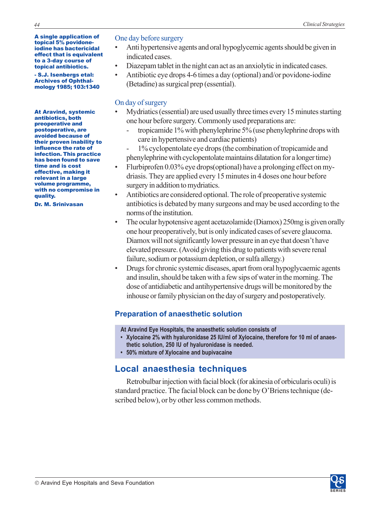A single application of topical 5% povidoneiodine has bactericidal effect that is equivalent to a 3-day course of topical antibiotics.

- S.J. Isenbergs etal: Archives of Ophthalmology 1985; 103:1340

At Aravind, systemic antibiotics, both preoperative and postoperative, are avoided because of their proven inability to influence the rate of infection. This practice has been found to save time and is cost effective, making it relevant in a large volume programme, with no compromise in quality.

Dr. M. Srinivasan

#### One day before surgery

- Anti hypertensive agents and oral hypoglycemic agents should be given in indicated cases.
- Diazepam tablet in the night can act as an anxiolytic in indicated cases.
- Antibiotic eye drops 4-6 times a day (optional) and/or povidone-iodine (Betadine) as surgical prep (essential).

#### On day of surgery

- Mydriatics (essential) are used usually three times every 15 minutes starting one hour before surgery. Commonly used preparations are:
	- tropicamide 1% with phenylephrine 5% (use phenylephrine drops with care in hypertensive and cardiac patients)
	- 1% cyclopentolate eye drops (the combination of tropicamide and phenylephrine with cyclopentolate maintains dilatation for a longer time)
- Flurbiprofen 0.03% eye drops(optional) have a prolonging effect on mydriasis. They are applied every 15 minutes in 4 doses one hour before surgery in addition to mydriatics.
- Antibiotics are considered optional. The role of preoperative systemic antibiotics is debated by many surgeons and may be used according to the norms of the institution.
- The ocular hypotensive agent acetazolamide (Diamox) 250mg is given orally one hour preoperatively, but is only indicated cases of severe glaucoma. Diamox will not significantly lower pressure in an eye that doesn't have elevated pressure. (Avoid giving this drug to patients with severe renal failure, sodium or potassium depletion, or sulfa allergy.)
- Drugs for chronic systemic diseases, apart from oral hypoglycaemic agents and insulin, should be taken with a few sips of water in the morning. The dose of antidiabetic and antihypertensive drugs will be monitored by the inhouse or family physician on the day of surgery and postoperatively.

### **Preparation of anaesthetic solution**

- **At Aravind Eye Hospitals, the anaesthetic solution consists of**
- **ï Xylocaine 2% with hyaluronidase 25 IU/ml of Xylocaine, therefore for 10 ml of anaesthetic solution, 250 IU of hyaluronidase is needed.**
- **ï 50% mixture of Xylocaine and bupivacaine**

# **Local anaesthesia techniques**

Retrobulbar injection with facial block (for akinesia of orbicularis oculi) is standard practice. The facial block can be done by  $O'$ Briens technique (described below), or by other less common methods.



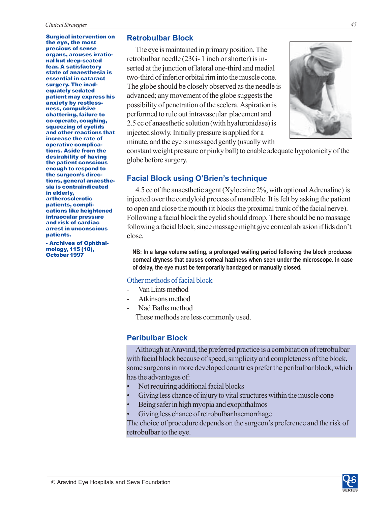Surgical intervention on the eye, the most precious of sense organs, arouses irrational but deep-seated fear. A satisfactory state of anaesthesia is essential in cataract surgery. The inadequately sedated patient may express his anxiety by restlessness, compulsive chattering, failure to co-operate, coughing, squeezing of eyelids and other reactions that increase the rate of operative complications. Aside from the desirability of having the patient conscious enough to respond to the surgeon's directions, general anaesthesia is contraindicated in elderly, artherosclerotic patients, complications like heightened intraocular pressure and risk of cardiac arrest in unconscious patients.

- Archives of Ophthalmology, 115 (10), October 1997

#### **Retrobulbar Block**

The eye is maintained in primary position. The retrobulbar needle (23G- 1 inch or shorter) is inserted at the junction of lateral one-third and medial two-third of inferior orbital rim into the muscle cone. The globe should be closely observed as the needle is advanced; any movement of the globe suggests the possibility of penetration of the scelera. Aspiration is performed to rule out intravascular placement and 2.5 cc of anaesthetic solution (with hyaluronidase) is injected slowly. Initially pressure is applied for a minute, and the eye is massaged gently (usually with



constant weight pressure or pinky ball) to enable adequate hypotonicity of the globe before surgery.

#### **Facial Block using OíBrienís technique**

4.5 cc of the anaesthetic agent (Xylocaine 2%, with optional Adrenaline) is injected over the condyloid process of mandible. It is felt by asking the patient to open and close the mouth (it blocks the proximal trunk of the facial nerve). Following a facial block the eyelid should droop. There should be no massage following a facial block, since massage might give corneal abrasion if lids don't close.

**NB: In a large volume setting, a prolonged waiting period following the block produces corneal dryness that causes corneal haziness when seen under the microscope. In case of delay, the eye must be temporarily bandaged or manually closed.**

#### Other methods of facial block

- Van Lints method
- Atkinsons method
- Nad Baths method

These methods are less commonly used.

#### **Peribulbar Block**

Although at Aravind, the preferred practice is a combination of retrobulbar with facial block because of speed, simplicity and completeness of the block, some surgeons in more developed countries prefer the peribulbar block, which has the advantages of:

- Not requiring additional facial blocks
- Giving less chance of injury to vital structures within the muscle cone
- Being safer in high myopia and exophthalmos
- Giving less chance of retrobulbar haemorrhage

The choice of procedure depends on the surgeon's preference and the risk of retrobulbar to the eye.

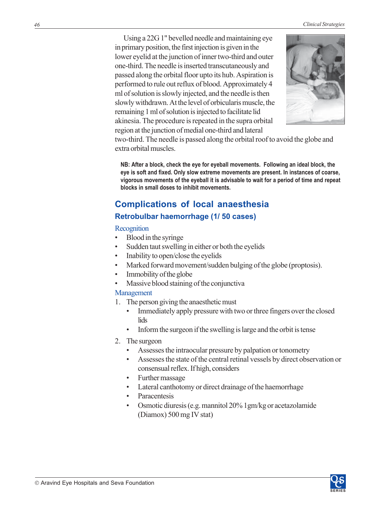



two-third. The needle is passed along the orbital roof to avoid the globe and extra orbital muscles.

**NB: After a block, check the eye for eyeball movements. Following an ideal block, the eye is soft and fixed. Only slow extreme movements are present. In instances of coarse, vigorous movements of the eyeball it is advisable to wait for a period of time and repeat blocks in small doses to inhibit movements.**

# **Complications of local anaesthesia**

#### **Retrobulbar haemorrhage (1/ 50 cases)**

#### Recognition

- Blood in the syringe
- Sudden taut swelling in either or both the eyelids
- Inability to open/close the eyelids
- Marked forward movement/sudden bulging of the globe (proptosis).
- Immobility of the globe
- Massive blood staining of the conjunctiva

#### Management

- 1. The person giving the anaesthetic must
	- Immediately apply pressure with two or three fingers over the closed lids
	- Inform the surgeon if the swelling is large and the orbit is tense
- 2. The surgeon
	- Assesses the intraocular pressure by palpation or tonometry
	- ï Assesses the state of the central retinal vessels by direct observation or consensual reflex. If high, considers
	- Further massage
	- Lateral canthotomy or direct drainage of the haemorrhage
	- Paracentesis
	- Osmotic diuresis (e.g. mannitol 20% 1gm/kg or acetazolamide (Diamox) 500 mg IV stat)

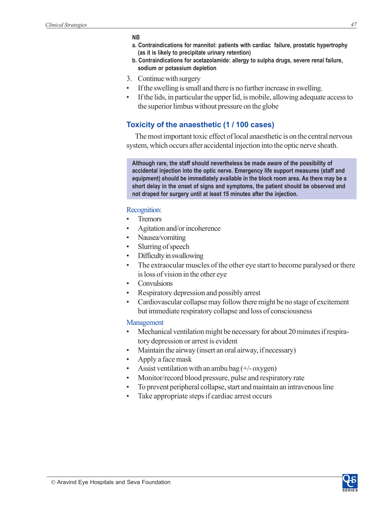#### **NB**

- **a. Contraindications for mannitol: patients with cardiac failure, prostatic hypertrophy (as it is likely to precipitate urinary retention)**
- **b. Contraindications for acetazolamide: allergy to sulpha drugs, severe renal failure, sodium or potassium depletion**
- 3. Continue with surgery
- If the swelling is small and there is no further increase in swelling.
- ï If the lids, in particular the upper lid, is mobile, allowing adequate access to the superior limbus without pressure on the globe

#### **Toxicity of the anaesthetic (1 / 100 cases)**

The most important toxic effect of local anaesthetic is on the central nervous system, which occurs after accidental injection into the optic nerve sheath.

**Although rare, the staff should nevertheless be made aware of the possibility of accidental injection into the optic nerve. Emergency life support measures (staff and equipment) should be immediately available in the block room area. As there may be a short delay in the onset of signs and symptoms, the patient should be observed and not draped for surgery until at least 15 minutes after the injection.**

#### Recognition:

- **Tremors**
- Agitation and/or incoherence
- Nausea/vomiting
- Slurring of speech
- Difficulty in swallowing
- The extraocular muscles of the other eye start to become paralysed or there is loss of vision in the other eye
- **Convulsions**
- Respiratory depression and possibly arrest
- Cardiovascular collapse may follow there might be no stage of excitement but immediate respiratory collapse and loss of consciousness

#### Management

- Mechanical ventilation might be necessary for about 20 minutes if respiratory depression or arrest is evident
- Maintain the airway (insert an oral airway, if necessary)
- Apply a face mask
- Assist ventilation with an ambu bag  $(+/-$  oxygen)
- Monitor/record blood pressure, pulse and respiratory rate
- To prevent peripheral collapse, start and maintain an intravenous line
- Take appropriate steps if cardiac arrest occurs

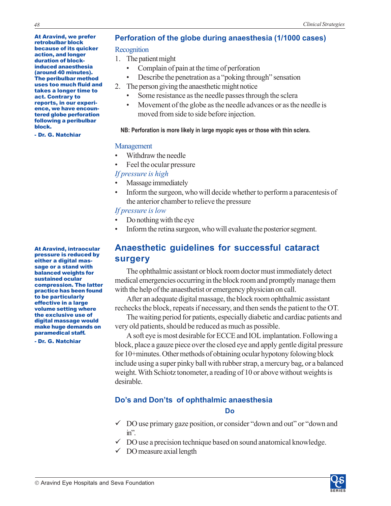At Aravind, we prefer retrobulbar block because of its quicker action, and longer duration of blockinduced anaesthesia (around 40 minutes). The peribulbar method uses too much fluid and takes a longer time to act. Contrary to reports, in our experience, we have encountered globe perforation following a peribulbar block.

- Dr. G. Natchiar

At Aravind, intraocular pressure is reduced by either a digital massage or a stand with balanced weights for sustained ocular compression. The latter practice has been found to be particularly effective in a large volume setting where the exclusive use of digital massage would make huge demands on paramedical staff.

*-* Dr. G. Natchiar

#### **Perforation of the globe during anaesthesia (1/1000 cases)**

#### **Recognition**

1. The patient might

- Complain of pain at the time of perforation
- $\bullet$  Describe the penetration as a "poking through" sensation
- 2. The person giving the anaesthetic might notice
	- Some resistance as the needle passes through the sclera
	- Movement of the globe as the needle advances or as the needle is moved from side to side before injection.

#### **NB: Perforation is more likely in large myopic eyes or those with thin sclera.**

#### Management

- Withdraw the needle
- Feel the ocular pressure

#### *If pressure is high*

- Massage immediately
- Inform the surgeon, who will decide whether to perform a paracentesis of the anterior chamber to relieve the pressure

#### *If pressure is low*

- Do nothing with the eye
- Inform the retina surgeon, who will evaluate the posterior segment.

# **Anaesthetic guidelines for successful cataract surgery**

The ophthalmic assistant or block room doctor must immediately detect medical emergencies occurring in the block room and promptly manage them with the help of the anaesthetist or emergency physician on call.

After an adequate digital massage, the block room ophthalmic assistant rechecks the block, repeats if necessary, and then sends the patient to the OT.

The waiting period for patients, especially diabetic and cardiac patients and very old patients, should be reduced as much as possible.

A soft eye is most desirable for ECCE and IOL implantation. Following a block, place a gauze piece over the closed eye and apply gentle digital pressure for 10+minutes. Other methods of obtaining ocular hypotony folowing block include using a super pinky ball with rubber strap, a mercury bag, or a balanced weight. With Schiotz tonometer, a reading of 10 or above without weights is desirable.

#### **Doís and Doníts of ophthalmic anaesthesia**

**Do**

- $\checkmark$  DO use primary gaze position, or consider "down and out" or "down and  $in$ ?
- $\checkmark$  DO use a precision technique based on sound anatomical knowledge.
- $\checkmark$  DO measure axial length

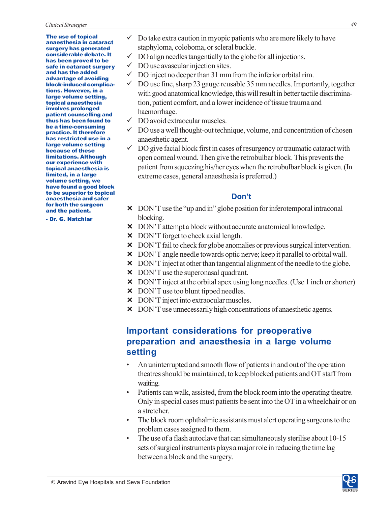The use of topical anaesthesia in cataract surgery has generated considerable debate. It has been proved to be safe in cataract surgery and has the added advantage of avoiding block-induced complications. However, in a large volume setting, topical anaesthesia involves prolonged patient counselling and thus has been found to be a time-consuming practice. It therefore has restricted use in a large volume setting because of these limitations. Although our experience with topical anaesthesia is limited, in a large volume setting, we have found a good block to be superior to topical anaesthesia and safer for both the surgeon and the patient.

- Dr. G. Natchiar

- $\checkmark$  Do take extra caution in myopic patients who are more likely to have staphyloma, coloboma, or scleral buckle.
- $\checkmark$  DO align needles tangentially to the globe for all injections.
- $\checkmark$  DO use avascular injection sites.
- $\checkmark$  DO inject no deeper than 31 mm from the inferior orbital rim.
- $\checkmark$  DO use fine, sharp 23 gauge reusable 35 mm needles. Importantly, together with good anatomical knowledge, this will result in better tactile discrimination, patient comfort, and a lower incidence of tissue trauma and haemorrhage.
- $\checkmark$  DO avoid extraocular muscles.
- $\checkmark$  DO use a well thought-out technique, volume, and concentration of chosen anaesthetic agent.
- $\checkmark$  DO give facial block first in cases of resurgency or traumatic cataract with open corneal wound. Then give the retrobulbar block. This prevents the patient from squeezing his/her eyes when the retrobulbar block is given. (In extreme cases, general anaesthesia is preferred.)

#### **Donít**

- $\boldsymbol{\times}$  DON'T use the "up and in" globe position for inferotemporal intraconal blocking.
- $\times$  DON'T attempt a block without accurate anatomical knowledge.
- $\times$  DON'T forget to check axial length.
- $\times$  DON'T fail to check for globe anomalies or previous surgical intervention.
- $\times$  DON'T angle needle towards optic nerve; keep it parallel to orbital wall.
- $\times$  DON'T inject at other than tangential alignment of the needle to the globe.
- $\times$  DON'T use the superonasal quadrant.
- $\boldsymbol{\times}$  DON'T inject at the orbital apex using long needles. (Use 1 inch or shorter)
- $\times$  DON'T use too blunt tipped needles.
- $\times$  DON'T inject into extraocular muscles.
- $\times$  DON'T use unnecessarily high concentrations of anaesthetic agents.

# **Important considerations for preoperative preparation and anaesthesia in a large volume setting**

- An uninterrupted and smooth flow of patients in and out of the operation theatres should be maintained, to keep blocked patients and OT staff from waiting.
- Patients can walk, assisted, from the block room into the operating theatre. Only in special cases must patients be sent into the OT in a wheelchair or on a stretcher.
- The block room ophthalmic assistants must alert operating surgeons to the problem cases assigned to them.
- The use of a flash autoclave that can simultaneously sterilise about 10-15 sets of surgical instruments plays a major role in reducing the time lag between a block and the surgery.

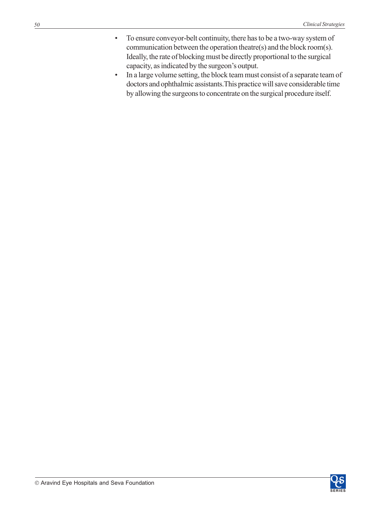- To ensure conveyor-belt continuity, there has to be a two-way system of communication between the operation theatre(s) and the block room(s). Ideally, the rate of blocking must be directly proportional to the surgical capacity, as indicated by the surgeon's output.
- In a large volume setting, the block team must consist of a separate team of doctors and ophthalmic assistants.This practice will save considerable time by allowing the surgeons to concentrate on the surgical procedure itself.

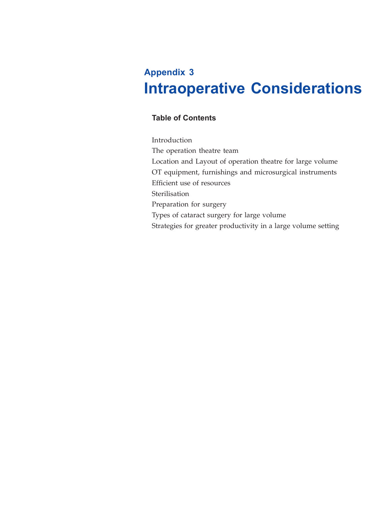# **Appendix 3 Intraoperative Considerations**

#### **Table of Contents**

Introduction The operation theatre team Location and Layout of operation theatre for large volume OT equipment, furnishings and microsurgical instruments Efficient use of resources Sterilisation Preparation for surgery Types of cataract surgery for large volume Strategies for greater productivity in a large volume setting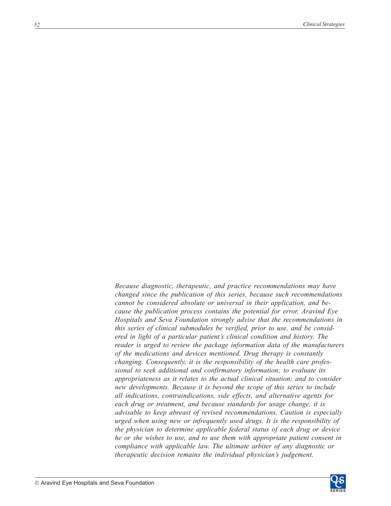*Because diagnostic, therapeutic, and practice recommendations may have changed since the publication of this series, because such recommendations cannot be considered absolute or universal in their application, and because the publication process contains the potential for error, Aravind Eye Hospitals and Seva Foundation strongly advise that the recommendations in this series of clinical submodules be verified, prior to use, and be considered in light of a particular patientís clinical condition and history. The reader is urged to review the package information data of the manufacturers of the medications and devices mentioned. Drug therapy is constantly changing. Consequently, it is the responsibility of the health care professional to seek additional and confirmatory information; to evaluate its appropriateness as it relates to the actual clinical situation; and to consider new developments. Because it is beyond the scope of this series to include all indications, contraindications, side effects, and alternative agents for each drug or treatment, and because standards for usage change, it is advisable to keep abreast of revised recommendations. Caution is especially urged when using new or infrequently used drugs. It is the responsibility of the physician to determine applicable federal status of each drug or device he or she wishes to use, and to use them with appropriate patient consent in compliance with applicable law. The ultimate arbiter of any diagnostic or therapeutic decision remains the individual physician's judgement.* 

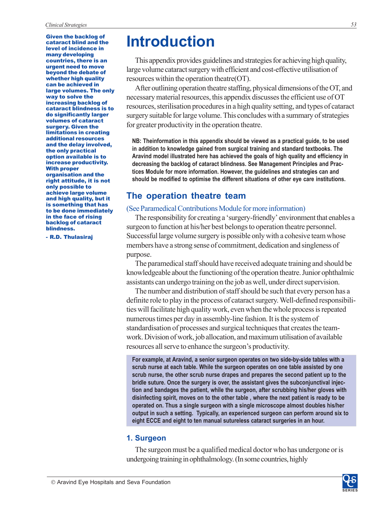cataract blind and the level of incidence in many developing countries, there is an urgent need to move beyond the debate of whether high quality can be achieved in large volumes. The only way to solve the increasing backlog of cataract blindness is to do significantly larger volumes of cataract surgery. Given the limitations in creating additional resources and the delay involved, the only practical option available is to increase productivity. With proper organisation and the right attitude, it is not only possible to achieve large volume and high quality, but it is something that has to be done immediately in the face of rising backlog of cataract blindness.

- R.D. Thulasiraj

# Given the backlog of **Introduction**

This appendix provides guidelines and strategies for achieving high quality, large volume cataract surgery with efficient and cost-effective utilisation of resources within the operation theatre(OT).

After outlining operation theatre staffing, physical dimensions of the OT, and necessary material resources, this appendix discusses the efficient use of OT resources, sterilisation procedures in a high quality setting, and types of cataract surgery suitable for large volume. This concludes with a summary of strategies for greater productivity in the operation theatre.

**NB: Theinformation in this appendix should be viewed as a practical guide, to be used in addition to knowledge gained from surgical training and standard textbooks. The Aravind model illustrated here has achieved the goals of high quality and efficiency in decreasing the backlog of cataract blindness. See Management Principles and Practices Module for more information. However, the guidelines and strategies can and should be modified to optimise the different situations of other eye care institutions.**

# **The operation theatre team**

#### (See Paramedical Contributions Module for more information)

The responsibility for creating a 'surgery-friendly' environment that enables a surgeon to function at his/her best belongs to operation theatre personnel. Successful large volume surgery is possible only with a cohesive team whose members have a strong sense of commitment, dedication and singleness of purpose.

The paramedical staff should have received adequate training and should be knowledgeable about the functioning of the operation theatre. Junior ophthalmic assistants can undergo training on the job as well, under direct supervision.

The number and distribution of staff should be such that every person has a definite role to play in the process of cataract surgery. Well-defined responsibilities will facilitate high quality work, even when the whole process is repeated numerous times per day in assembly-line fashion. It is the system of standardisation of processes and surgical techniques that creates the teamwork. Division of work, job allocation, and maximum utilisation of available resources all serve to enhance the surgeon's productivity.

**For example, at Aravind, a senior surgeon operates on two side-by-side tables with a scrub nurse at each table. While the surgeon operates on one table assisted by one scrub nurse, the other scrub nurse drapes and prepares the second patient up to the bridle suture. Once the surgery is over, the assistant gives the subconjunctival injection and bandages the patient, while the surgeon, after scrubbing his/her gloves with disinfecting spirit, moves on to the other table , where the next patient is ready to be operated on. Thus a single surgeon with a single microscope almost doubles his/her output in such a setting. Typically, an experienced surgeon can perform around six to eight ECCE and eight to ten manual sutureless cataract surgeries in an hour.**

#### **1. Surgeon**

The surgeon must be a qualified medical doctor who has undergone or is undergoing training in ophthalmology. (In some countries, highly

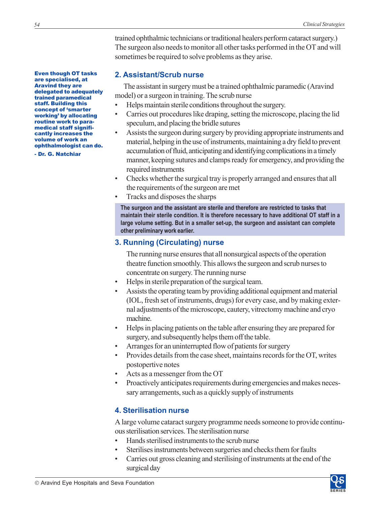trained ophthalmic technicians or traditional healers perform cataract surgery.) The surgeon also needs to monitor all other tasks performed in the OT and will sometimes be required to solve problems as they arise.

#### **2. Assistant/Scrub nurse**

The assistant in surgery must be a trained ophthalmic paramedic (Aravind model) or a surgeon in training. The scrub nurse

- Helps maintain sterile conditions throughout the surgery.
- Carries out procedures like draping, setting the microscope, placing the lid speculum, and placing the bridle sutures
- Assists the surgeon during surgery by providing appropriate instruments and material, helping in the use of instruments, maintaining a dry field to prevent accumulation of fluid, anticipating and identifying complications in a timely manner, keeping sutures and clamps ready for emergency, and providing the required instruments
- Checks whether the surgical tray is properly arranged and ensures that all the requirements of the surgeon are met
- Tracks and disposes the sharps

**The surgeon and the assistant are sterile and therefore are restricted to tasks that maintain their sterile condition. It is therefore necessary to have additional OT staff in a large volume setting. But in a smaller set-up, the surgeon and assistant can complete other preliminary work earlier.**

#### **3. Running (Circulating) nurse**

The running nurse ensures that all nonsurgical aspects of the operation theatre function smoothly. This allows the surgeon and scrub nurses to concentrate on surgery. The running nurse

- Helps in sterile preparation of the surgical team.
- Assists the operating team by providing additional equipment and material (IOL, fresh set of instruments, drugs) for every case, and by making external adjustments of the microscope, cautery, vitrectomy machine and cryo machine.
- Helps in placing patients on the table after ensuring they are prepared for surgery, and subsequently helps them off the table.
- Arranges for an uninterrupted flow of patients for surgery
- Provides details from the case sheet, maintains records for the OT, writes postopertive notes
- Acts as a messenger from the OT
- Proactively anticipates requirements during emergencies and makes necessary arrangements, such as a quickly supply of instruments

#### **4. Sterilisation nurse**

A large volume cataract surgery programme needs someone to provide continuous sterilisation services. The sterilisation nurse

- Hands sterilised instruments to the scrub nurse
- Sterilises instruments between surgeries and checks them for faults
- Carries out gross cleaning and sterilising of instruments at the end of the surgical day

Even though OT tasks are specialised, at Aravind they are delegated to adequately trained paramedical staff. Building this concept of ësmarter working' by allocating routine work to paramedical staff significantly increases the volume of work an ophthalmologist can do.

- Dr. G. Natchiar

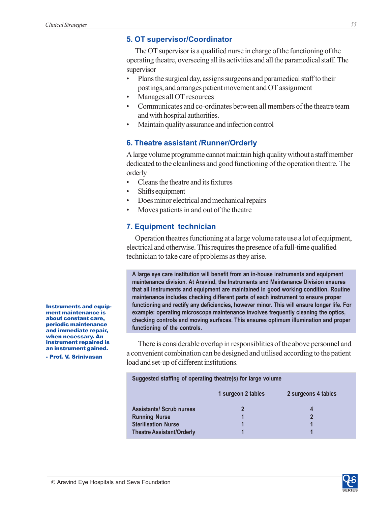#### **5. OT supervisor/Coordinator**

The OT supervisor is a qualified nurse in charge of the functioning of the operating theatre, overseeing all its activities and all the paramedical staff. The supervisor

- Plans the surgical day, assigns surgeons and paramedical staff to their postings, and arranges patient movement and OT assignment
- Manages all OT resources
- Communicates and co-ordinates between all members of the theatre team and with hospital authorities.
- Maintain quality assurance and infection control

#### **6. Theatre assistant /Runner/Orderly**

A large volume programme cannot maintain high quality without a staff member dedicated to the cleanliness and good functioning of the operation theatre. The orderly

- Cleans the theatre and its fixtures
- Shifts equipment
- Does minor electrical and mechanical repairs
- Moves patients in and out of the theatre

#### **7. Equipment technician**

Operation theatres functioning at a large volume rate use a lot of equipment, electrical and otherwise. This requires the presence of a full-time qualified technician to take care of problems as they arise.

**A large eye care institution will benefit from an in-house instruments and equipment maintenance division. At Aravind, the Instruments and Maintenance Division ensures that all instruments and equipment are maintained in good working condition. Routine maintenance includes checking different parts of each instrument to ensure proper functioning and rectify any deficiencies, however minor. This will ensure longer life. For example: operating microscope maintenance involves frequently cleaning the optics, checking controls and moving surfaces. This ensures optimum illumination and proper functioning of the controls.**

There is considerable overlap in responsiblities of the above personnel and a convenient combination can be designed and utilised according to the patient load and set-up of different institutions.

#### **Suggested staffing of operating theatre(s) for large volume**

|                                  | 1 surgeon 2 tables | 2 surgeons 4 tables |
|----------------------------------|--------------------|---------------------|
| <b>Assistants/ Scrub nurses</b>  |                    |                     |
| <b>Running Nurse</b>             |                    |                     |
| <b>Sterilisation Nurse</b>       |                    |                     |
| <b>Theatre Assistant/Orderly</b> |                    |                     |

Instruments and equipment maintenance is about constant care, periodic maintenance and immediate repair, when necessary. An instrument repaired is an instrument gained.

- Prof. V. Srinivasan

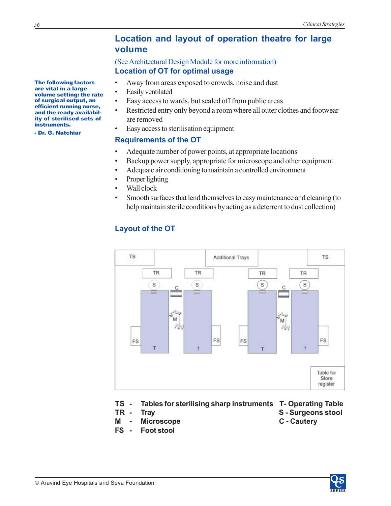#### **Location and layout of operation theatre for large volume**

#### (See Architectural Design Module for more information) **Location of OT for optimal usage**

- Away from areas exposed to crowds, noise and dust
- Easily ventilated
- Easy access to wards, but sealed off from public areas
- Restricted entry only beyond a room where all outer clothes and footwear are removed
- Easy access to sterilisation equipment

#### **Requirements of the OT**

- Adequate number of power points, at appropriate locations
- Backup power supply, appropriate for microscope and other equipment
- Adequate air conditioning to maintain a controlled environment
- Proper lighting
- Wall clock
- Smooth surfaces that lend themselves to easy maintenance and cleaning (to help maintain sterile conditions by acting as a deterrent to dust collection)

### **Layout of the OT**



- **TS Tables for sterilising sharp instruments T- Operating Table**
- 
- **M Microscope C Cautery FS - Foot stool**
- TR Tray S Surgeons stool
	-



- Dr. G. Natchiar

*56*

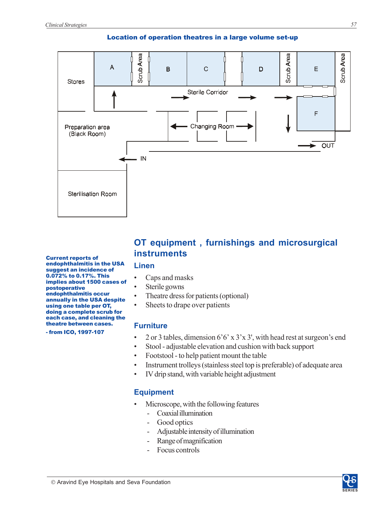

Current reports of endophthalmitis in the USA suggest an incidence of 0.072% to 0.17%. This implies about 1500 cases of postoperative endophthalmitis occur annually in the USA despite using one table per OT, doing a complete scrub for each case, and cleaning the theatre between cases.

**OT equipment , furnishings and microsurgical instruments**

#### **Linen**

- Caps and masks
- Sterile gowns
- Theatre dress for patients (optional)
- Sheets to drape over patients

#### **Furniture**

- 2 or 3 tables, dimension  $6'6' \times 3' \times 3'$ , with head rest at surgeon's end
- Stool adjustable elevation and cushion with back support
- Footstool to help patient mount the table
- Instrument trolleys (stainless steel top is preferable) of adequate area
- IV drip stand, with variable height adjustment

### **Equipment**

- Microscope, with the following features
	- Coaxial illumination
	- Good optics
	- Adjustable intensity of illumination
	- Range of magnification
	- Focus controls

- from ICO, 1997-107

![](_page_57_Picture_27.jpeg)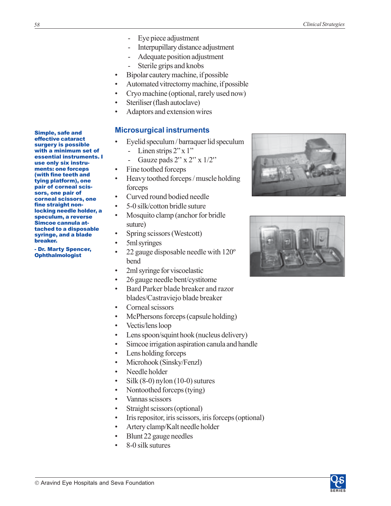- Eye piece adjustment
- Interpupillary distance adjustment
- Adequate position adjustment
- Sterile grips and knobs
- Bipolar cautery machine, if possible
- Automated vitrectomy machine, if possible
- Cryo machine (optional, rarely used now)
- Steriliser (flash autoclave)
- Adaptors and extension wires

#### **Microsurgical instruments**

- Eyelid speculum / barraquer lid speculum
	- Linen strips  $2^{\prime\prime}$  x 1"
	- Gauze pads  $2'$ <sup>'</sup> x  $2'$ <sup>'</sup> x  $1/2'$ <sup>'</sup>
- Fine toothed forceps
- Heavy toothed forceps / muscle holding forceps
- Curved round bodied needle
- $5-0$  silk/cotton bridle suture
- Mosquito clamp (anchor for bridle suture)
- Spring scissors (Westcott)
- 5ml syringes
- 22 gauge disposable needle with  $120^\circ$ bend
- 2ml syringe for viscoelastic
- ï 26 gauge needle bent/cystitome
- Bard Parker blade breaker and razor blades/Castraviejo blade breaker
- Corneal scissors
- McPhersons forceps (capsule holding)
- Vectis/lens loop
- Lens spoon/squint hook (nucleus delivery)
- Simcoe irrigation aspiration canula and handle
- Lens holding forceps
- Microhook (Sinsky/Fenzl)
- Needle holder
- $Silk (8-0) nylon (10-0) sutures$
- Nontoothed forceps (tying)
- Vannas scissors
- Straight scissors (optional)
- ï Iris repositor, iris scissors, iris forceps (optional)
- Artery clamp/Kalt needle holder
- Blunt 22 gauge needles
- 8-0 silk sutures

![](_page_58_Picture_41.jpeg)

![](_page_58_Picture_42.jpeg)

Simple, safe and effective cataract surgery is possible with a minimum set of essential instruments. I use only six instruments: one forceps (with fine teeth and tying platform), one pair of corneal scissors, one pair of corneal scissors, one fine straight nonlocking needle holder, a speculum, a reverse Simcoe cannula attached to a disposable syringe, and a blade

breaker.

- Dr. Marty Spencer, **Ophthalmologist** 

![](_page_58_Picture_45.jpeg)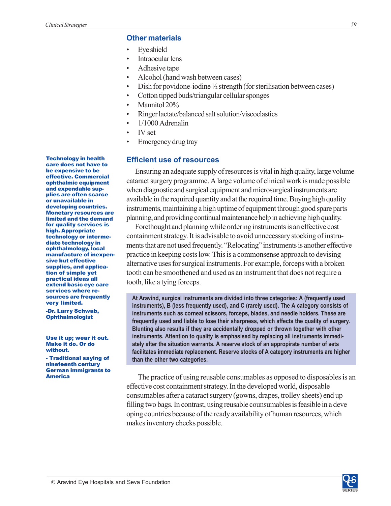#### **Other materials**

- Eye shield
- Intraocular lens
- Adhesive tape
- Alcohol (hand wash between cases)
- Dish for povidone-iodine  $\frac{1}{2}$  strength (for sterilisation between cases)
- Cotton tipped buds/triangular cellular sponges
- Mannitol 20%
- Ringer lactate/balanced salt solution/viscoelastics
- $1/1000$  Adrenalin
- ï IV set
- Emergency drug tray

#### **Efficient use of resources**

Ensuring an adequate supply of resources is vital in high quality, large volume cataract surgery programme. A large volume of clinical work is made possible when diagnostic and surgical equipment and microsurgical instruments are available in the required quantity and at the required time. Buying high quality instruments, maintaining a high uptime of equipment through good spare parts planning, and providing continual maintenance help in achieving high quality.

Forethought and planning while ordering instruments is an effective cost containment strategy. It is advisable to avoid unnecessary stocking of instruments that are not used frequently. "Relocating" instruments is another effective practice in keeping costs low. This is a commonsense approach to devising alternative uses for surgical instruments. For example, forceps with a broken tooth can be smoothened and used as an instrument that does not require a tooth, like a tying forceps.

**At Aravind, surgical instruments are divided into three categories: A (frequently used instruments), B (less frequently used), and C (rarely used). The A category consists of instruments such as corneal scissors, forceps, blades, and needle holders. These are frequently used and liable to lose their sharpness, which affects the quality of surgery. Blunting also results if they are accidentally dropped or thrown together with other instruments. Attention to quality is emphasised by replacing all instruments immediately after the situation warrants. A reserve stock of an appropirate number of sets facilitates immediate replacement. Reserve stocks of A category instruments are higher than the other two categories.**

The practice of using reusable consumables as opposed to disposables is an effective cost containment strategy. In the developed world, disposable consumables after a cataract surgery (gowns, drapes, trolley sheets) end up filling two bags. In contrast, using reusable counsumables is feasible in a deve oping countries because of the ready availability of human resources, which makes inventory checks possible.

Technology in health care does not have to be expensive to be effective. Commercial ophthalmic equipment and expendable supplies are often scarce or unavailable in developing countries. Monetary resources are limited and the demand for quality services is high. Appropriate technology or intermediate technology in ophthalmology, local manufacture of inexpensive but effective supplies, and application of simple yet practical ideas all extend basic eye care services where resources are frequently very limited.

-Dr. Larry Schwab, **Ophthalmologist** 

Use it up; wear it out. Make it do. Or do without.

- Traditional saying of nineteenth century German immigrants to America

![](_page_59_Picture_24.jpeg)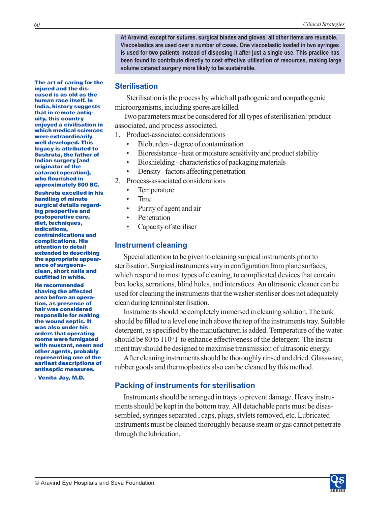**At Aravind, except for sutures, surgical blades and gloves, all other items are reusable. Viscoelastics are used over a number of cases. One viscoelastic loaded in two syringes is used for two patients instead of disposing it after just a single use. This practice has been found to contribute directly to cost effective utilisation of resources, making large volume cataract surgery more likely to be sustainable.**

#### **Sterilisation**

Sterilisation is the process by which all pathogenic and nonpathogenic microorganisms, including spores are killed.

Two parameters must be considered for all types of sterilisation: product associated, and process associated.

1. Product-associated considerations

- Bioburden degree of contamination
- Bioresistance heat or moisture sensitivity and product stability
- Bioshielding characteristics of packaging materials
- Density factors affecting penetration
- 2. Process-associated considerations
	- Temperature
	- ï Time
	- Purity of agent and air
	- Penetration
	- Capacity of steriliser

#### **Instrument cleaning**

Special attention to be given to cleaning surgical instruments prior to sterilisation. Surgical instruments vary in configuration from plane surfaces, which respond to most types of cleaning, to complicated devices that contain box locks, serrations, blind holes, and interstices. An ultrasonic cleaner can be used for cleaning the instruments that the washer steriliser does not adequately clean during terminal sterilisation.

Instruments should be completely immersed in cleaning solution. The tank should be filled to a level one inch above the top of the instruments tray. Suitable detergent, as specified by the manufacturer, is added. Temperature of the water should be 80 to 110° F to enhance effectiveness of the detergent. The instrument tray should be designed to maximise transmission of ultrasonic energy.

After cleaning instruments should be thoroughly rinsed and dried. Glassware, rubber goods and thermoplastics also can be cleaned by this method.

#### **Packing of instruments for sterilisation**

Instruments should be arranged in trays to prevent damage. Heavy instruments should be kept in the bottom tray. All detachable parts must be disassembled, syringes separated , caps, plugs, stylets removed, etc. Lubricated instruments must be cleaned thoroughly because steam or gas cannot penetrate through the lubrication.

The art of caring for the injured and the diseased is as old as the human race itself. In India, history suggests that in remote antiquity, this country enjoyed a civilisation in which medical sciences were extraordinarily well developed. This legacy is attributed to Sushruta, the father of Indian surgery [and originator of the cataract operation], who flourished in approximately 800 BC.

Sushruta excelled in his handling of minute surgical details regarding preopertive and postoperative care, diet, techniques, indications, contraindications and complications. His attention to detail extended to describing the appropriate appearance of surgeonsclean, short nails and outfitted in white.

He recommended shaving the affected area before an operation, as presence of hair was considered responsible for making the wound septic. It was also under his orders that operating rooms were fumigated with mustant, neem and other agents, probably representing one of the earliest descriptions of antiseptic measures.

- Venita Jay, M.D.

![](_page_60_Picture_28.jpeg)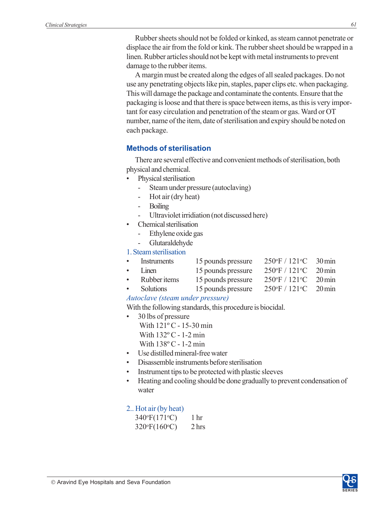Rubber sheets should not be folded or kinked, as steam cannot penetrate or displace the air from the fold or kink. The rubber sheet should be wrapped in a linen. Rubber articles should not be kept with metal instruments to prevent damage to the rubber items.

A margin must be created along the edges of all sealed packages. Do not use any penetrating objects like pin, staples, paper clips etc. when packaging. This will damage the package and contaminate the contents. Ensure that the packaging is loose and that there is space between items, as this is very important for easy circulation and penetration of the steam or gas. Ward or OT number, name of the item, date of sterilisation and expiry should be noted on each package.

#### **Methods of sterilisation**

There are several effective and convenient methods of sterilisation, both physical and chemical.

- Physical sterilisation
	- Steam under pressure (autoclaving)
	- Hot air (dry heat)
	- Boiling
	- Ultraviolet irridiation (not discussed here)
- Chemical sterilisation
	- Ethylene oxide gas
	- **Glutaraldehyde**

#### 1. Steam sterilisation

- Instruments 15 pounds pressure  $250$ <sup>o</sup>F / 121<sup>o</sup>C  $30 \,\mathrm{min}$
- Linen 15 pounds pressure 250°F / 121°C  $20$  min
- Rubber items 15 pounds pressure 250°F / 121°C  $20 \,\mathrm{min}$ 
	- Solutions 15 pounds pressure 250°F / 121°C  $20$  min

#### *Autoclave (steam under pressure)*

With the following standards, this procedure is biocidal.

- 30 lbs of pressure With 121<sup>°</sup> C - 15-30 min With 132º C - 1-2 min With 138º C - 1-2 min
- Use distilled mineral-free water
- Disassemble instruments before sterilisation
- Instrument tips to be protected with plastic sleeves
- Heating and cooling should be done gradually to prevent condensation of water

#### 2.. Hot air (by heat)

| $340^{\circ}F(171^{\circ}C)$ | 1 hr  |
|------------------------------|-------|
| $320^{\circ}F(160^{\circ}C)$ | 2 hrs |

![](_page_61_Picture_29.jpeg)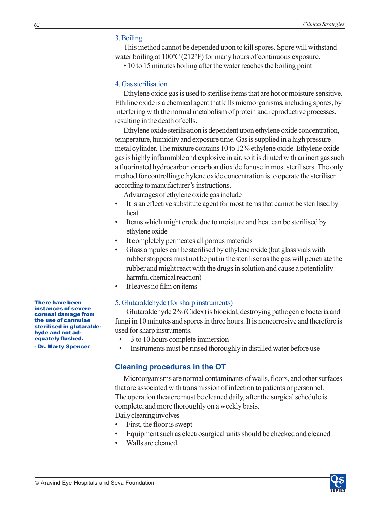#### 3. Boiling

This method cannot be depended upon to kill spores. Spore will withstand water boiling at  $100^{\circ}C(212^{\circ}F)$  for many hours of continuous exposure.

• 10 to 15 minutes boiling after the water reaches the boiling point

#### 4. Gas sterilisation

Ethylene oxide gas is used to sterilise items that are hot or moisture sensitive. Ethiline oxide is a chemical agent that kills microorganisms, including spores, by interfering with the normal metabolism of protein and reproductive processes, resulting in the death of cells.

Ethylene oxide sterilisation is dependent upon ethylene oxide concentration, temperature, humidity and exposure time. Gas is supplied in a high pressure metal cylinder. The mixture contains 10 to 12% ethylene oxide. Ethylene oxide gas is highly inflammble and explosive in air, so it is diluted with an inert gas such a fluorinated hydrocarbon or carbon dioxide for use in most sterilisers. The only method for controlling ethylene oxide concentration is to operate the steriliser according to manufacturer's instructions.

Advantages of ethylene oxide gas include

- ï It is an effective substitute agent for most items that cannot be sterilised by heat
- Items which might erode due to moisture and heat can be sterilised by ethylene oxide
- It completely permeates all porous materials
- Glass ampules can be sterilised by ethylene oxide (but glass vials with rubber stoppers must not be put in the steriliser as the gas will penetrate the rubber and might react with the drugs in solution and cause a potentiality harmful chemical reaction)
- It leaves no film on items

#### 5. Glutaraldehyde (for sharp instruments)

Glutaraldehyde 2% (Cidex) is biocidal, destroying pathogenic bacteria and fungi in 10 minutes and spores in three hours. It is noncorrosive and therefore is used for sharp instruments.

- 3 to 10 hours complete immersion
- Instruments must be rinsed thoroughly in distilled water before use

#### **Cleaning procedures in the OT**

Microorganisms are normal contaminants of walls, floors, and other surfaces that are associated with transmission of infection to patients or personnel. The operation theatere must be cleaned daily, after the surgical schedule is complete, and more thoroughly on a weekly basis.

Daily cleaning involves

- First, the floor is swept
- Equipment such as electrosurgical units should be checked and cleaned
- Walls are cleaned

There have been instances of severe corneal damage from the use of cannulae sterilised in glutaraldehyde and not adequately flushed.

- Dr. Marty Spencer

![](_page_62_Picture_27.jpeg)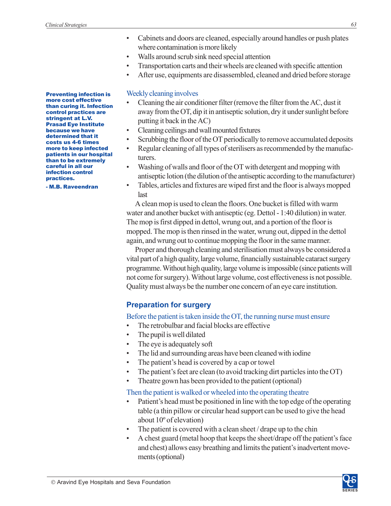- Walls around scrub sink need special attention
- Transportation carts and their wheels are cleaned with specific attention
- After use, equipments are disassembled, cleaned and dried before storage

#### Weekly cleaning involves

- Cleaning the air conditioner filter (remove the filter from the AC, dust it away from the OT, dip it in antiseptic solution, dry it under sunlight before putting it back in the AC)
- Cleaning ceilings and wall mounted fixtures
- Scrubbing the floor of the OT periodically to remove accumulated deposits
- Regular cleaning of all types of sterilisers as recommended by the manufacturers.
- Washing of walls and floor of the OT with detergent and mopping with antiseptic lotion (the dilution of the antiseptic according to the manufacturer)
- Tables, articles and fixtures are wiped first and the floor is always mopped last

A clean mop is used to clean the floors. One bucket is filled with warm water and another bucket with antiseptic (eg. Dettol - 1:40 dilution) in water. The mop is first dipped in dettol, wrung out, and a portion of the floor is mopped. The mop is then rinsed in the water, wrung out, dipped in the dettol again, and wrung out to continue mopping the floor in the same manner.

Proper and thorough cleaning and sterilisation must always be considered a vital part of a high quality, large volume, financially sustainable cataract surgery programme. Without high quality, large volume is impossible (since patients will not come for surgery). Without large volume, cost effectiveness is not possible. Quality must always be the number one concern of an eye care institution.

#### **Preparation for surgery**

Before the patient is taken inside the OT, the running nurse must ensure

- The retrobulbar and facial blocks are effective
- The pupil is well dilated
- The eye is adequately soft
- The lid and surrounding areas have been cleaned with iodine
- The patient's head is covered by a cap or towel
- The patient's feet are clean (to avoid tracking dirt particles into the  $(T)$ )
- Theatre gown has been provided to the patient (optional)

#### Then the patient is walked or wheeled into the operating theatre

- Patient's head must be positioned in line with the top edge of the operating table (a thin pillow or circular head support can be used to give the head about 10º of elevation)
- The patient is covered with a clean sheet / drape up to the chin
- A chest guard (metal hoop that keeps the sheet/drape off the patient's face and chest) allows easy breathing and limits the patient's inadvertent movements (optional)

Preventing infection is more cost effective than curing it. Infection control practices are stringent at L.V. Prasad Eye Institute because we have determined that it costs us 4-6 times more to keep infected patients in our hospital than to be extremely careful in all our infection control practices.

- M.B. Raveendran

![](_page_63_Picture_31.jpeg)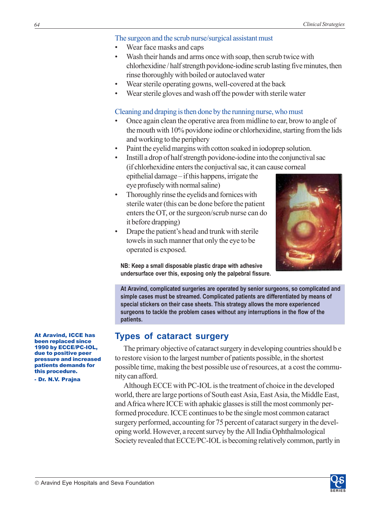#### The surgeon and the scrub nurse/surgical assistant must

- Wear face masks and caps
- Wash their hands and arms once with soap, then scrub twice with chlorhexidine / half strength povidone-iodine scrub lasting five minutes, then rinse thoroughly with boiled or autoclaved water
- Wear sterile operating gowns, well-covered at the back
- Wear sterile gloves and wash off the powder with sterile water

#### Cleaning and draping is then done by the running nurse, who must

- Once again clean the operative area from midline to ear, brow to angle of the mouth with 10% povidone iodine or chlorhexidine, starting from the lids and working to the periphery
- Paint the eyelid margins with cotton soaked in iodoprep solution.
- Instill a drop of half strength povidone-iodine into the conjunctival sac (if chlorhexidine enters the conjuctival sac, it can cause corneal epithelial damage  $-i$  f this happens, irrigate the eye profusely with normal saline)
- Thoroughly rinse the eyelids and fornices with sterile water (this can be done before the patient enters the OT, or the surgeon/scrub nurse can do it before drapping)
- Drape the patient's head and trunk with sterile towels in such manner that only the eye to be operated is exposed.

![](_page_64_Picture_12.jpeg)

**NB: Keep a small disposable plastic drape with adhesive undersurface over this, exposing only the palpebral fissure.**

**At Aravind, complicated surgeries are operated by senior surgeons, so complicated and simple cases must be streamed. Complicated patients are differentiated by means of special stickers on their case sheets. This strategy allows the more experienced surgeons to tackle the problem cases without any interruptions in the flow of the patients.**

# **Types of cataract surgery**

The primary objective of cataract surgery in developing countries should b e to restore vision to the largest number of patients possible, in the shortest possible time, making the best possible use of resources, at a cost the community can afford.

Although ECCE with PC-IOL is the treatment of choice in the developed world, there are large portions of South east Asia, East Asia, the Middle East, and Africa where ICCE with aphakic glasses is still the most commonly performed procedure. ICCE continues to be the single most common cataract surgery performed, accounting for 75 percent of cataract surgery in the developing world. However, a recent survey by the All India Ophthalmological Society revealed that ECCE/PC-IOL is becoming relatively common, partly in

At Aravind, ICCE has been replaced since 1990 by ECCE/PC-IOL, due to positive peer pressure and increased patients demands for this procedure.

- Dr. N.V. Prajna

![](_page_64_Picture_22.jpeg)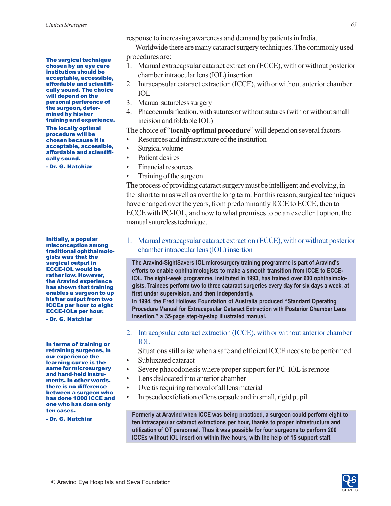The surgical technique chosen by an eye care institution should be acceptable, accessible, affordable and scientifically sound. The choice will depend on the personal perference of the surgeon, determined by his/her training and experience.

The locally optimal procedure will be chosen because it is acceptable, accessible, affordable and scientifically sound.

- Dr. G. Natchiar

Initially, a popular misconception among traditional ophthalmologists was that the surgical output in ECCE-IOL would be rather low. However, the Aravind experience has shown that training enables a surgeon to up his/her output from two ICCEs per hour to eight ECCE-IOLs per hour.

- Dr. G. Natchiar

In terms of training or retraining surgeons, in our experience the learning curve is the same for microsurgery and hand-held instruments. In other words, there is no difference between a surgeon who has done 1000 ICCE and one who has done only ten cases.

- Dr. G. Natchiar

response to increasing awareness and demand by patients in India.

Worldwide there are many cataract surgery techniques. The commonly used procedures are:

- 1. Manual extracapsular cataract extraction (ECCE), with or without posterior chamber intraocular lens (IOL) insertion
- 2. Intracapsular cataract extraction (ICCE), with or without anterior chamber IOL
- 3. Manual sutureless surgery
- 4. Phacoemulsification, with sutures or without sutures (with or without small incision and foldable IOL)

#### The choice of "**locally optimal procedure**" will depend on several factors

- Resources and infrastructure of the institution
- Surgical volume
- Patient desires
- Financial resources
- Training of the surgeon

The process of providing cataract surgery must be intelligent and evolving, in the short term as well as over the long term. For this reason, surgical techniques have changed over the years, from predominantly ICCE to ECCE, then to ECCE with PC-IOL, and now to what promises to be an excellent option, the manual sutureless technique.

1. Manual extracapsular cataract extraction (ECCE), with or without posterior chamber intraocular lens (IOL) insertion

**The Aravind-SightSavers IOL microsurgery training programme is part of Aravindís efforts to enable ophthalmologists to make a smooth transition from ICCE to ECCE-IOL. The eight-week programme, instituted in 1993, has trained over 600 ophthalmologists. Trainees perform two to three cataract surgeries every day for six days a week, at first under supervision, and then independently.**

In 1994, the Fred Hollows Foundation of Australia produced "Standard Operating **Procedure Manual for Extracapsular Cataract Extraction with Posterior Chamber Lens Insertion,î a 35-page step-by-step illustrated manual.**

2. Intracapsular cataract extraction (ICCE), with or without anterior chamber IOL

Situations still arise when a safe and efficient ICCE needs to be performed.

- Subluxated cataract
- Severe phacodonesis where proper support for PC-IOL is remote
- Lens dislocated into anterior chamber
- Uveitis requiring removal of all lens material
- In pseudoexfoliation of lens capsule and in small, rigid pupil

**Formerly at Aravind when ICCE was being practiced, a surgeon could perform eight to ten intracapsular cataract extractions per hour, thanks to proper infrastructure and utilization of OT personnel. Thus it was possible for four surgeons to perform 200 ICCEs without IOL insertion within five hours, with the help of 15 support staff.**

![](_page_65_Picture_34.jpeg)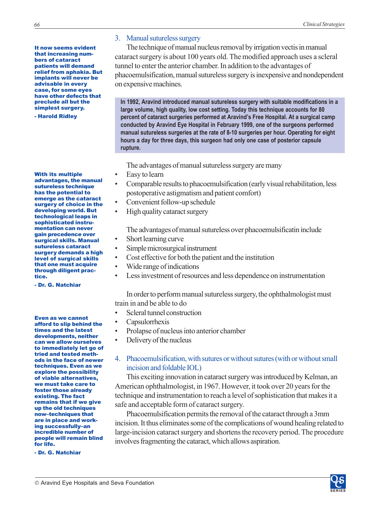It now seems evident that increasing numbers of cataract patients will demand relief from aphakia. But implants will never be advisable in every case, for some eyes have other defects that preclude all but the simplest surgery.

- Harold Ridley

With its multiple advantages, the manual sutureless technique has the potential to emerge as the cataract surgery of choice in the developing world. But technological leaps in sophisticated instrumentation can never gain precedence over surgical skills. Manual sutureless cataract surgery demands a high level of surgical skills that one must acquire through diligent practice.

- Dr. G. Natchiar

Even as we cannot afford to slip behind the times and the latest developments, neither can we allow ourselves to immediately let go of tried and tested methods in the face of newer techniques. Even as we explore the possibility of viable alternatives, we must take care to foster those already existing. The fact remains that if we give up the old techniques now-techniques that are in place and working successfully-an incredible number of people will remain blind for life.

- Dr. G. Natchiar

3. Manual sutureless surgery

The technique of manual nucleus removal by irrigation vectis in manual cataract surgery is about 100 years old. The modified approach uses a scleral tunnel to enter the anterior chamber. In addition to the advantages of phacoemulsification, manual sutureless surgery is inexpensive and nondependent on expensive machines.

**In 1992, Aravind introduced manual sutureless surgery with suitable modifications in a large volume, high quality, low cost setting. Today this technique accounts for 80** percent of cataract surgeries performed at Aravind's Free Hospital. At a surgical camp **conducted by Aravind Eye Hospital in February 1999, one of the surgeons performed manual sutureless surgeries at the rate of 8-10 surgeries per hour. Operating for eight hours a day for three days, this surgeon had only one case of posterior capsule rupture.**

The advantages of manual sutureless surgery are many

- Easy to learn
- Comparable results to phacoemulsification (early visual rehabilitation, less postoperative astigmatism and patient comfort)
- Convenient follow-up schedule
- High quality cataract surgery

The advantages of manual sutureless over phacoemulsificatin include

- Short learning curve
- Simple microsurgical instrument
- Cost effective for both the patient and the institution
- Wide range of indications
- Less investment of resources and less dependence on instrumentation

In order to perform manual sutureless surgery, the ophthalmologist must train in and be able to do

- Scleral tunnel construction
- **Capsulorrhexis**
- Prolapse of nucleus into anterior chamber
- Delivery of the nucleus
- 4. Phacoemulsification, with sutures or without sutures (with or without small incision and foldable IOL)

This exciting innovation in cataract surgery was introduced by Kelman, an American ophthalmologist, in 1967. However, it took over 20 years for the technique and instrumentation to reach a level of sophistication that makes it a safe and acceptable form of cataract surgery.

Phacoemulsification permits the removal of the cataract through a 3mm incision. It thus eliminates some of the complications of wound healing related to large-incision cataract surgery and shortens the recovery period. The procedure involves fragmenting the cataract, which allows aspiration.

![](_page_66_Picture_31.jpeg)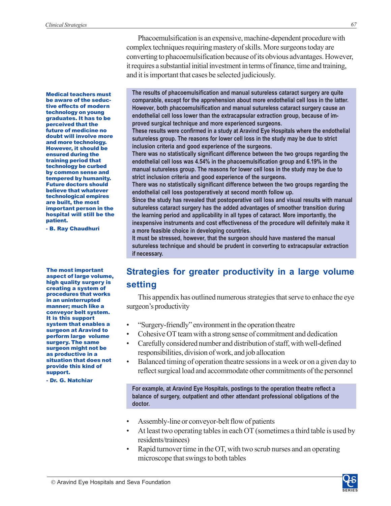Medical teachers must be aware of the seductive effects of modern technology on young graduates. It has to be perceived that the future of medicine no doubt will involve more and more technology. However, it should be ensured during the training period that technology be curbed by common sense and tempered by humanity. Future doctors should believe that whatever technological empires are built, the most important person in the hospital will still be the patient.

- B. Ray Chaudhuri

The most important aspect of large volume, high quality surgery is creating a system of procedures that works in an uninterrupted manner; much like a conveyor belt system. It is this support system that enables a surgeon at Aravind to perform large volume surgery. The same surgeon might not be as productive in a situation that does not provide this kind of support.

- Dr. G. Natchiar

Phacoemulsification is an expensive, machine-dependent procedure with complex techniques requiring mastery of skills. More surgeons today are converting to phacoemulsification because of its obvious advantages. However, it requires a substantial initial investment in terms of finance, time and training, and it is important that cases be selected judiciously.

**The results of phacoemulsification and manual sutureless cataract surgery are quite comparable, except for the apprehension about more endothelial cell loss in the latter. However, both phacoemulsification and manual sutureless cataract surgery cause an endothelial cell loss lower than the extracapsular extraction group, because of improved surgical technique and more experienced surgeons.**

**These results were confirmed in a study at Aravind Eye Hospitals where the endothelial sutureless group. The reasons for lower cell loss in the study may be due to strict inclusion criteria and good experience of the surgeons.**

**There was no statistically significant difference between the two groups regarding the endothelial cell loss was 4.54% in the phacoemulsification group and 6.19% in the manual sutureless group. The reasons for lower cell loss in the study may be due to strict inclusion criteria and good experience of the surgeons.**

**There was no statistically significant difference between the two groups regarding the endothelial cell loss postoperatively at second month follow up.**

**Since the study has revealed that postoperative cell loss and visual results with manual sutureless cataract surgery has the added advantages of smoother transition during the learning period and applicability in all types of cataract. More importantly, the inexpensive instruments and cost effectiveness of the procedure will definitely make it a more feasible choice in developing countries.**

**It must be stressed, however, that the surgeon should have mastered the manual sutureless technique and should be prudent in converting to extracapsular extraction if necessary.**

# **Strategies for greater productivity in a large volume setting**

This appendix has outlined numerous strategies that serve to enhace the eye surgeon's productivity

- "Surgery-friendly" environment in the operation theatre
- Cohesive OT team with a strong sense of commitment and dedication
- Carefully considered number and distribution of staff, with well-defined responsibilities, division of work, and job allocation
- Balanced timing of operation theatre sessions in a week or on a given day to reflect surgical load and accommodate other commitments of the personnel

**For example, at Aravind Eye Hospitals, postings to the operation theatre reflect a balance of surgery, outpatient and other attendant professional obligations of the doctor.**

- Assembly-line or conveyor-belt flow of patients
- At least two operating tables in each OT (sometimes a third table is used by residents/trainees)
- Rapid turnover time in the OT, with two scrub nurses and an operating microscope that swings to both tables

![](_page_67_Picture_24.jpeg)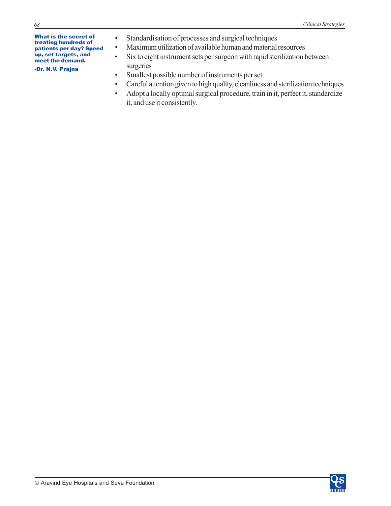What is the secret of treating hundreds of patients per day? Speed up, set targets, and meet the demand.

-Dr. N.V. Prajna

- Standardisation of processes and surgical techniques
- ï Maximum utilization of available human and material resources
- Six to eight instrument sets per surgeon with rapid sterilization between surgeries
- Smallest possible number of instruments per set
- Careful attention given to high quality, cleanliness and sterilization techniques
- ï Adopt a locally optimal surgical procedure, train in it, perfect it, standardize it, and use it consistently.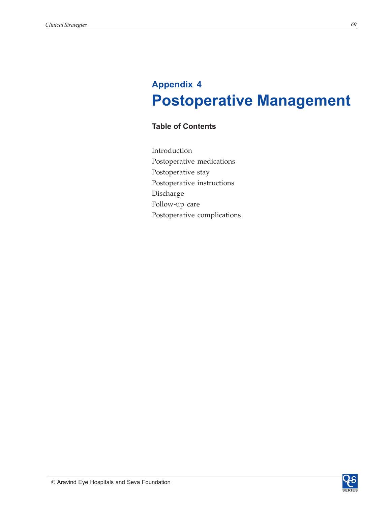# **Appendix 4 Postoperative Management**

#### **Table of Contents**

Introduction Postoperative medications Postoperative stay Postoperative instructions Discharge Follow-up care Postoperative complications *69*

![](_page_69_Picture_6.jpeg)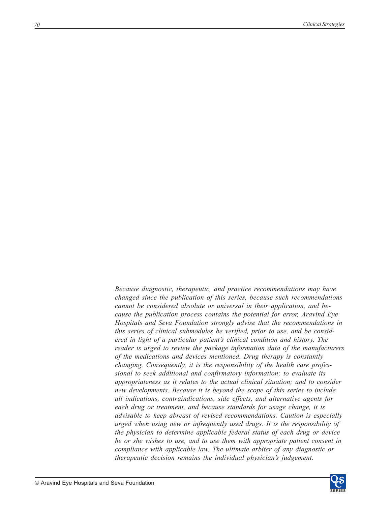*Because diagnostic, therapeutic, and practice recommendations may have changed since the publication of this series, because such recommendations cannot be considered absolute or universal in their application, and because the publication process contains the potential for error, Aravind Eye Hospitals and Seva Foundation strongly advise that the recommendations in this series of clinical submodules be verified, prior to use, and be considered in light of a particular patientís clinical condition and history. The reader is urged to review the package information data of the manufacturers of the medications and devices mentioned. Drug therapy is constantly changing. Consequently, it is the responsibility of the health care professional to seek additional and confirmatory information; to evaluate its appropriateness as it relates to the actual clinical situation; and to consider new developments. Because it is beyond the scope of this series to include all indications, contraindications, side effects, and alternative agents for each drug or treatment, and because standards for usage change, it is advisable to keep abreast of revised recommendations. Caution is especially urged when using new or infrequently used drugs. It is the responsibility of the physician to determine applicable federal status of each drug or device he or she wishes to use, and to use them with appropriate patient consent in compliance with applicable law. The ultimate arbiter of any diagnostic or therapeutic decision remains the individual physician's judgement.* 

![](_page_70_Picture_3.jpeg)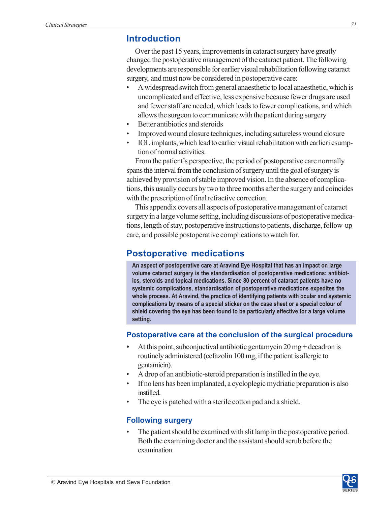# **Introduction**

changed the postoperative management of the cataract patient. The following developments are responsible for earlier visual rehabilitation following cataract surgery, and must now be considered in postoperative care: Over the past 15 years, improvements in cataract surgery have greatly

- A widespread switch from general anaesthetic to local anaesthetic, which is uncomplicated and effective, less expensive because fewer drugs are used and fewer staff are needed, which leads to fewer complications, and which allows the surgeon to communicate with the patient during surgery
- Better antibiotics and steroids
- Improved wound closure techniques, including sutureless wound closure
- ï IOL implants, which lead to earlier visual rehabilitation with earlier resumption of normal activities.

From the patient's perspective, the period of postoperative care normally spans the interval from the conclusion of surgery until the goal of surgery is achieved by provision of stable improved vision. In the absence of complications, this usually occurs by two to three months after the surgery and coincides with the prescription of final refractive correction.

This appendix covers all aspects of postoperative management of cataract surgery in a large volume setting, including discussions of postoperative medications, length of stay, postoperative instructions to patients, discharge, follow-up care, and possible postoperative complications to watch for.

# **Postoperative medications**

**An aspect of postoperative care at Aravind Eye Hospital that has an impact on large volume cataract surgery is the standardisation of postoperative medications: antibiotics, steroids and topical medications. Since 80 percent of cataract patients have no systemic complications, standardisation of postoperative medications expedites the whole process. At Aravind, the practice of identifying patients with ocular and systemic complications by means of a special sticker on the case sheet or a special colour of shield covering the eye has been found to be particularly effective for a large volume setting.**

#### **Postoperative care at the conclusion of the surgical procedure**

- **ï** At this point, subconjuctival antibiotic gentamycin 20 mg + decadron is routinely administered (cefazolin 100 mg, if the patient is allergic to gentamicin).
- A drop of an antibiotic-steroid preparation is instilled in the eye.
- If no lens has been implanated, a cycloplegic mydriatic preparation is also instilled.
- The eye is patched with a sterile cotton pad and a shield.

#### **Following surgery**

The patient should be examined with slit lamp in the postoperative period. Both the examining doctor and the assistant should scrub before the examination.

![](_page_71_Picture_20.jpeg)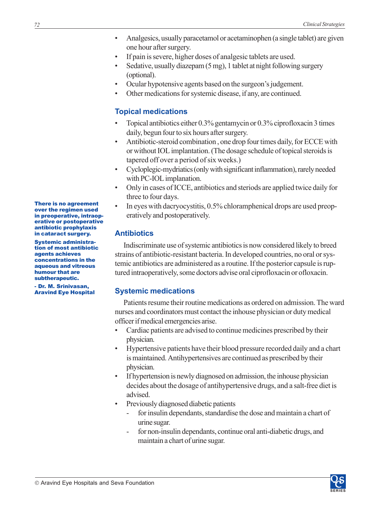- Analgesics, usually paracetamol or acetaminophen (a single tablet) are given one hour after surgery.
- If pain is severe, higher doses of analgesic tablets are used.
- Sedative, usually diazepam (5 mg), 1 tablet at night following surgery (optional).
- Ocular hypotensive agents based on the surgeon's judgement.
- Other medications for systemic disease, if any, are continued.

## **Topical medications**

- Topical antibiotics either 0.3% gentamycin or 0.3% ciprofloxacin 3 times daily, begun four to six hours after surgery.
- Antibiotic-steroid combination, one drop four times daily, for ECCE with or without IOL implantation. (The dosage schedule of topical steroids is tapered off over a period of six weeks.)
- Cycloplegic-mydriatics (only with significant inflammation), rarely needed with PC-IOL implanation.
- ï Only in cases of ICCE, antibiotics and steriods are applied twice daily for three to four days.
- In eyes with dacryocystitis, 0.5% chloramphenical drops are used preoperatively and postoperatively.

## **Antibiotics**

Indiscriminate use of systemic antibiotics is now considered likely to breed strains of antibiotic-resistant bacteria. In developed countries, no oral or systemic antibiotics are administered as a routine. If the posterior capsule is ruptured intraoperatively, some doctors advise oral ciprofloxacin or ofloxacin.

## **Systemic medications**

Patients resume their routine medications as ordered on admission. The ward nurses and coordinators must contact the inhouse physician or duty medical officer if medical emergencies arise.

- Cardiac patients are advised to continue medicines prescribed by their physician.
- Hypertensive patients have their blood pressure recorded daily and a chart is maintained. Antihypertensives are continued as prescribed by their physician.
- If hypertension is newly diagnosed on admission, the inhouse physician decides about the dosage of antihypertensive drugs, and a salt-free diet is advised.
- Previously diagnosed diabetic patients
	- for insulin dependants, standardise the dose and maintain a chart of urine sugar.
	- for non-insulin dependants, continue oral anti-diabetic drugs, and maintain a chart of urine sugar.

There is no agreement over the regimen used in preoperative, intraoperative or postoperative antibiotic prophylaxis in cataract surgery.

Systemic administration of most antibiotic agents achieves concentrations in the aqueous and vitreous humour that are subtherapeutic.

- Dr. M. Srinivasan, Aravind Eye Hospital

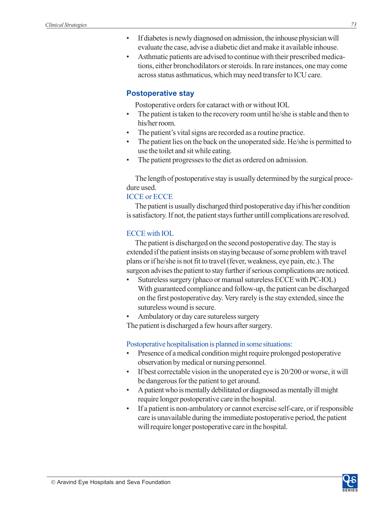- If diabetes is newly diagnosed on admission, the inhouse physician will evaluate the case, advise a diabetic diet and make it available inhouse.
- Asthmatic patients are advised to continue with their prescribed medications, either bronchodilators or steroids. In rare instances, one may come across status asthmaticus, which may need transfer to ICU care.

## **Postoperative stay**

Postoperative orders for cataract with or without IOL

- The patient is taken to the recovery room until he/she is stable and then to his/her room.
- The patient's vital signs are recorded as a routine practice.
- The patient lies on the back on the unoperated side. He/she is permitted to use the toilet and sit while eating.
- The patient progresses to the diet as ordered on admission.

The length of postoperative stay is usually determined by the surgical procedure used.

## ICCE or ECCE

The patient is usually discharged third postoperative day if his/her condition is satisfactory. If not, the patient stays further untill complications are resolved.

## ECCE with IOL

The patient is discharged on the second postoperative day. The stay is extended if the patient insists on staying because of some problem with travel plans or if he/she is not fit to travel (fever, weakness, eye pain, etc.). The surgeon advises the patient to stay further if serious complications are noticed.

- Sutureless surgery (phaco or manual sutureless ECCE with PC-IOL) With guaranteed compliance and follow-up, the patient can be discharged on the first postoperative day. Very rarely is the stay extended, since the sutureless wound is secure.
- Ambulatory or day care sutureless surgery

The patient is discharged a few hours after surgery.

## Postoperative hospitalisation is planned in some situations:

- Presence of a medical condition might require prolonged postoperative observation by medical or nursing personnel.
- $\cdot$  If best correctable vision in the unoperated eye is 20/200 or worse, it will be dangerous for the patient to get around.
- A patient who is mentally debilitated or diagnosed as mentally ill might require longer postoperative care in the hospital.
- ï If a patient is non-ambulatory or cannot exercise self-care, or if responsible care is unavailable during the immediate postoperative period, the patient will require longer postoperative care in the hospital.

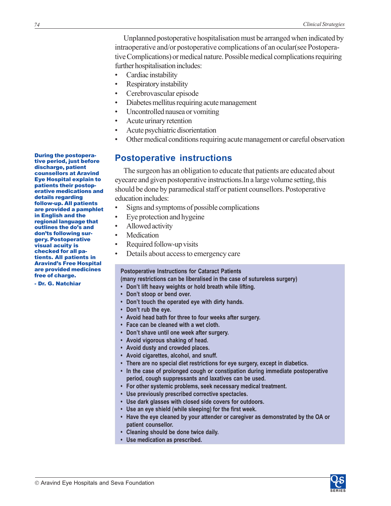Unplanned postoperative hospitalisation must be arranged when indicated by intraoperative and/or postoperative complications of an ocular(see Postoperative Complications) or medical nature. Possible medical complications requiring further hospitalisation includes:

- Cardiac instability
- Respiratory instability
- Cerebrovascular episode
- Diabetes mellitus requiring acute management
- Uncontrolled nausea or vomiting
- Acute urinary retention
- Acute psychiatric disorientation
- Other medical conditions requiring acute management or careful observation

## **Postoperative instructions**

The surgeon has an obligation to educate that patients are educated about eyecare and given postoperative instructions.In a large volume setting, this should be done by paramedical staff or patient counsellors. Postoperative education includes:

- Signs and symptoms of possible complications
- Eye protection and hygeine
- Allowed activity
- **Medication**
- Required follow-up visits
- Details about access to emergency care

#### **Postoperative Instructions for Cataract Patients**

**(many restrictions can be liberalised in the case of sutureless surgery)**

- **ï Donít lift heavy weights or hold breath while lifting.**
- **ï Donít stoop or bend over.**
- **ï Donít touch the operated eye with dirty hands.**
- **ï Donít rub the eye.**
- **ï Avoid head bath for three to four weeks after surgery.**
- **ï Face can be cleaned with a wet cloth.**
- **ï Donít shave until one week after surgery.**
- **ï Avoid vigorous shaking of head.**
- **ï Avoid dusty and crowded places.**
- **ï Avoid cigarettes, alcohol, and snuff.**
- **ï There are no special diet restrictions for eye surgery, except in diabetics.**
- **ï In the case of prolonged cough or constipation during immediate postoperative period, cough suppressants and laxatives can be used.**
- **ï For other systemic problems, seek necessary medical treatment.**
- **ï Use previously prescribed corrective spectacles.**
- **ï Use dark glasses with closed side covers for outdoors.**
- **ï Use an eye shield (while sleeping) for the first week.**
- **ï Have the eye cleaned by your attender or caregiver as demonstrated by the OA or patient counsellor.**
- **ï Cleaning should be done twice daily.**
- **ï Use medication as prescribed.**

During the postoperative period, just before discharge, patient counsellors at Aravind Eye Hospital explain to patients their postoperative medications and details regarding follow-up. All patients are provided a pamphlet in English and the regional language that outlines the do's and don'ts following surgery. Postoperative visual acuity is checked for all patients. All patients in **Aravind's Free Hospital** are provided medicines free of charge.

- Dr. G. Natchiar

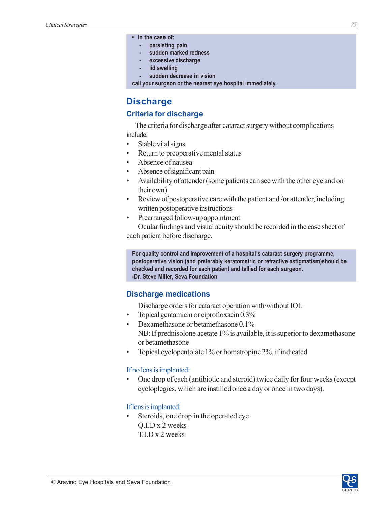- In the case of:
	- **persisting pain**
		- **sudden marked redness**
	- **excessive discharge**
	- **lid swelling**
	- **sudden decrease in vision**

**call your surgeon or the nearest eye hospital immediately.**

## **Discharge**

## **Criteria for discharge**

The criteria for discharge after cataract surgery without complications include:

- Stable vital signs
- Return to preoperative mental status
- Absence of nausea
- Absence of significant pain
- Availability of attender (some patients can see with the other eye and on their own)
- Review of postoperative care with the patient and /or attender, including written postoperative instructions
- Prearranged follow-up appointment

Ocular findings and visual acuity should be recorded in the case sheet of each patient before discharge.

For quality control and improvement of a hospital's cataract surgery programme, **postoperative vision (and preferably keratometric or refractive astigmatism)should be checked and recorded for each patient and tallied for each surgeon. -Dr. Steve Miller, Seva Foundation**

## **Discharge medications**

Discharge orders for cataract operation with/without IOL

- Topical gentamic in or ciprofloxacin  $0.3\%$
- Dexamethasone or betamethasone 0.1%
	- NB: If prednisolone acetate 1% is available, it is superior to dexamethasone or betamethasone
- Topical cyclopentolate 1% or homatropine 2%, if indicated

#### If no lens is implanted:

• One drop of each (antibiotic and steroid) twice daily for four weeks (except cycloplegics, which are instilled once a day or once in two days).

## If lens is implanted:

• Steroids, one drop in the operated eye Q.I.D x 2 weeks T.I.D x 2 weeks

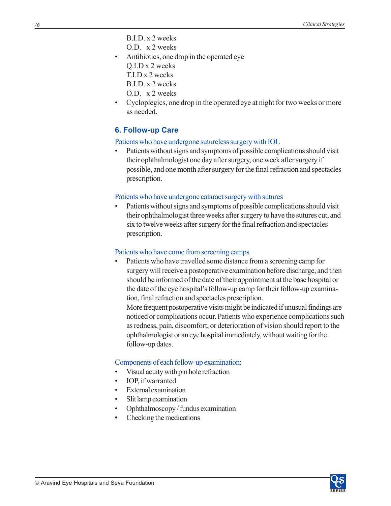B.I.D. x 2 weeks

O.D. x 2 weeks

- Antibiotics, one drop in the operated eye Q.I.D x 2 weeks T.I.D x 2 weeks B.I.D. x 2 weeks
- O.D. x 2 weeks Cycloplegics, one drop in the operated eye at night for two weeks or more as needed.

## **6. Follow-up Care**

#### Patients who have undergone sutureless surgery with IOL

Patients without signs and symptoms of possible complications should visit their ophthalmologist one day after surgery, one week after surgery if possible, and one month after surgery for the final refraction and spectacles prescription.

#### Patients who have undergone cataract surgery with sutures

Patients without signs and symptoms of possible complications should visit their ophthalmologist three weeks after surgery to have the sutures cut, and six to twelve weeks after surgery for the final refraction and spectacles prescription.

#### Patients who have come from screening camps

Patients who have travelled some distance from a screening camp for surgery will receive a postoperative examination before discharge, and then should be informed of the date of their appointment at the base hospital or the date of the eye hospital's follow-up camp for their follow-up examination, final refraction and spectacles prescription.

More frequent postoperative visits might be indicated if unusual findings are noticed or complications occur. Patients who experience complications such as redness, pain, discomfort, or deterioration of vision should report to the ophthalmologist or an eye hospital immediately, without waiting for the follow-up dates.

#### Components of each follow-up examination:

- Visual acuity with pin hole refraction
- IOP, if warranted
- External examination
- Slit lamp examination
- Ophthalmoscopy / fundus examination
- **ï** Checking the medications

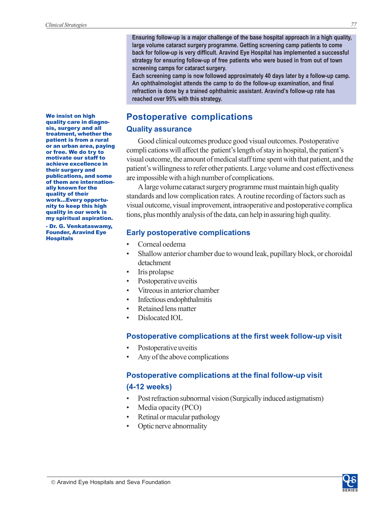**Ensuring follow-up is a major challenge of the base hospital approach in a high quality, large volume cataract surgery programme. Getting screening camp patients to come back for follow-up is very difficult. Aravind Eye Hospital has implemented a successful strategy for ensuring follow-up of free patients who were bused in from out of town screening camps for cataract surgery.**

**Each screening camp is now followed approximately 40 days later by a follow-up camp. An ophthalmologist attends the camp to do the follow-up examination, and final** refraction is done by a trained ophthalmic assistant. Aravind's follow-up rate has **reached over 95% with this strategy.**

## **Postoperative complications**

#### **Quality assurance**

Good clinical outcomes produce good visual outcomes. Postoperative compli cations will affect the patient's length of stay in hospital, the patient's visual outcome, the amount of medical staff time spent with that patient, and the patient's willingness to refer other patients. Large volume and cost effectiveness are impossible with a high number of complications.

A large volume cataract surgery programme must maintain high quality standards and low complication rates. A routine recording of factors such as visual outcome, visual improvement, intraoperative and postoperative complica tions, plus monthly analysis of the data, can help in assuring high quality.

## **Early postoperative complications**

- Corneal oedema
- Shallow anterior chamber due to wound leak, pupillary block, or choroidal detachment
- Iris prolapse
- Postoperative uveitis
- Vitreous in anterior chamber
- Infectious endophthalmitis
- Retained lens matter
- Dislocated IOL

## **Postoperative complications at the first week follow-up visit**

- Postoperative uveitis
- Any of the above complications

## **Postoperative complications at the final follow-up visit**

## **(4-12 weeks)**

- Post refraction subnormal vision (Surgically induced astigmatism)
- Media opacity (PCO)
- Retinal or macular pathology
- Optic nerve abnormality

We insist on high quality care in diagnosis, surgery and all treatment, whether the patient is from a rural or an urban area, paying or free. We do try to motivate our staff to achieve excellence in their surgery and publications, and some of them are internationally known for the quality of their work...Every opportunity to keep this high quality in our work is my spiritual aspiration.

- Dr. G. Venkataswamy, Founder, Aravind Eye **Hospitals** 

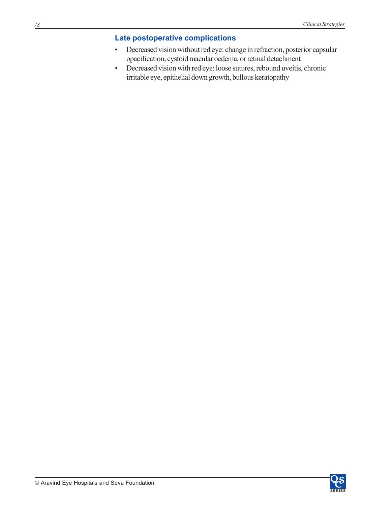## **Late postoperative complications**

- Decreased vision without red eye: change in refraction, posterior capsular opacification, cystoid macular oedema, or retinal detachment
- Decreased vision with red eye: loose sutures, rebound uveitis, chronic irritable eye, epithelial down growth, bullous keratopathy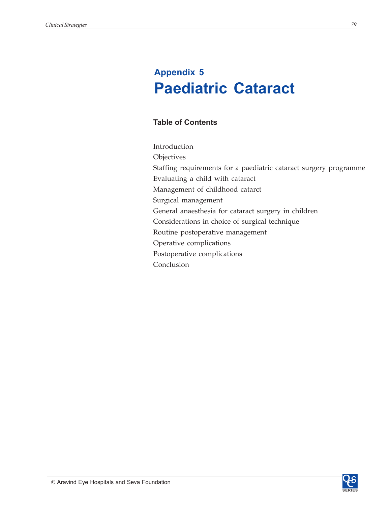# **Appendix 5 Paediatric Cataract**

## **Table of Contents**

Introduction **Objectives** Staffing requirements for a paediatric cataract surgery programme Evaluating a child with cataract Management of childhood catarct Surgical management General anaesthesia for cataract surgery in children Considerations in choice of surgical technique Routine postoperative management Operative complications Postoperative complications Conclusion

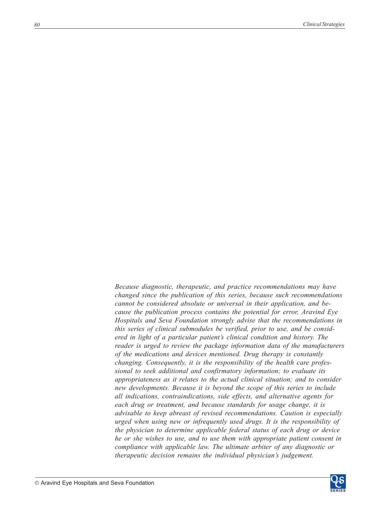*Because diagnostic, therapeutic, and practice recommendations may have changed since the publication of this series, because such recommendations cannot be considered absolute or universal in their application, and because the publication process contains the potential for error, Aravind Eye Hospitals and Seva Foundation strongly advise that the recommendations in this series of clinical submodules be verified, prior to use, and be considered in light of a particular patientís clinical condition and history. The reader is urged to review the package information data of the manufacturers of the medications and devices mentioned. Drug therapy is constantly changing. Consequently, it is the responsibility of the health care professional to seek additional and confirmatory information; to evaluate its appropriateness as it relates to the actual clinical situation; and to consider new developments. Because it is beyond the scope of this series to include all indications, contraindications, side effects, and alternative agents for each drug or treatment, and because standards for usage change, it is advisable to keep abreast of revised recommendations. Caution is especially urged when using new or infrequently used drugs. It is the responsibility of the physician to determine applicable federal status of each drug or device he or she wishes to use, and to use them with appropriate patient consent in compliance with applicable law. The ultimate arbiter of any diagnostic or therapeutic decision remains the individual physician's judgement.* 

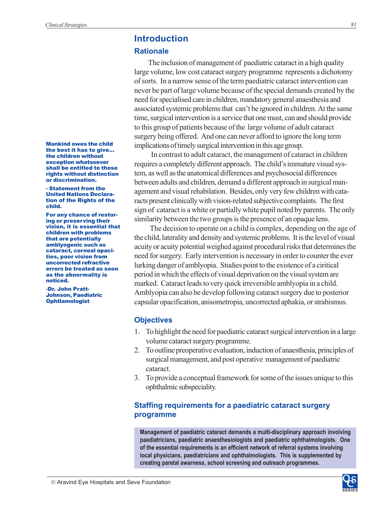# **Introduction**

#### **Rationale**

 The inclusion of management of paediatric cataract in a high quality large volume, low cost cataract surgery programme represents a dichotomy of sorts. In a narrow sense of the term paediatric cataract intervention can never be part of large volume because of the special demands created by the need for specialised care in children, mandatory general anaesthesia and associated systemic problems that can't be ignored in children. At the same time, surgical intervention is a service that one must, can and should provide to this group of patients because of the large volume of adult cataract surgery being offered. And one can never afford to ignore the long term implications of timely surgical intervention in this age group.

 In contrast to adult cataract, the management of cataract in children requires a completely different approach. The child's immature visual system, as well as the anatomical differences and psychosocial differences between adults and children, demand a different approach in surgical management and visual rehabilation. Besides, only very few children with cataracts present clinically with vision-related subjective complaints. The first sign of cataract is a white or partially white pupil noted by parents. The only similarity between the two groups is the presence of an opaque lens.

 The decision to operate on a child is complex, depending on the age of the child, laterality and density and systemic problems. It is the level of visual acuity or acuity potential weighed against procedural risks that determines the need for surgery. Early intervention is necessary in order to counter the ever lurking danger of amblyopia. Studies point to the existence of a ciritical period in which the effects of visual deprivation on the visual system are marked. Cataract leads to very quick irreversible amblyopia in a child. Amblyopia can also be develop following cataract surgery due to posterior capsular opacification, anisometropia, uncorrected aphakia, or strabismus.

## **Objectives**

- 1. To highlight the need for paediatric cataract surgical intervention in a large volume cataract surgery programme.
- 2. To outline preoperative evaluation, induction of anaesthesia, principles of surgical management, and post operative management of paediatric cataract.
- 3. To provide a conceptual framework for some of the issues unique to this ophthalmic subspeciality.

## **Staffing requirements for a paediatric cataract surgery programme**

**Management of paediatric cataract demands a multi-disciplinary approach involving paediatricians, paediatric anaesthesiologists and paediatric ophthalmologists. One of the essential requirements is an efficient network of referral systems involving local physicians, paediatricians and ophthalmologists. This is supplemented by creating paretal awarness, school screening and outreach programmes.**

Mankind owes the child the best it has to give... the children without exception whatsoever shall be entitled to those rights without distinction or discrimination.

- Statement from the United Nations Declaration of the Rights of the child.

For any chance of restoring or preserving their vision, it is essential that children with problems that are potentially amblyogenic such as cataract, corneal opacities, poor vision from uncorrected refractive errors be treated as soon as the abnormality is noticed.

-Dr. John Pratt-Johnson, Paediatric **Ophtlamologist** 

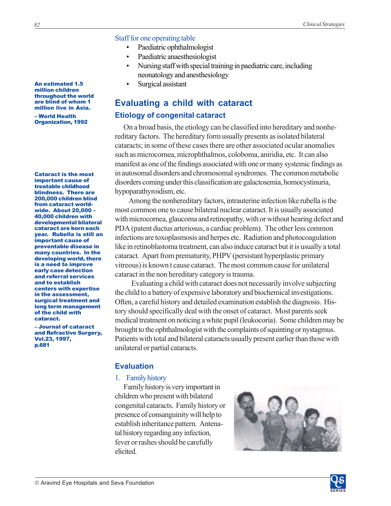#### Staff for one operating table

- Paediatric ophthalmologist
- Paediatric anaesthesiologist
- Nursing staff with special training in paediatric care, including neonatology and anesthesiology
- Surgical assistant

## **Evaluating a child with cataract Etiology of congenital cataract**

On a broad basis, the etiology can be classified into hereditary and nonhereditary factors. The hereditary form usually presents as isolated bilateral cataracts; in some of these cases there are other associated ocular anomalies such as microcornea, microphthalmos, coloboma, aniridia, etc. It can also manifest as one of the findings associated with one or many systemic findings as in autosomal disorders and chromosomal syndromes. The common metabolic disorders coming under this classification are galactosemia, homocystinuria, hypoparathyroidism, etc.

 Among the nonhereditary factors, intrauterine infection like rubella is the most common one to cause bilateral nuclear cataract. It is usually associated with microcornea, glaucoma and retinopathy, with or without hearing defect and PDA (patent ductus arteriosus, a cardiac problem). The other less common infections are toxoplasmosis and herpes etc. Radiation and photocoagulation like in retinoblastoma treatment, can also induce cataract but it is usually a total cataract. Apart from prematurity, PHPV (persistant hyperplastic primary vitreous) is known t cause cataract. The most common cause for unilateral cataract in the non hereditary category is trauma.

 Evaluating a child with cataract does not necessarily involve subjecting the child to a battery of expensive laboratory and biochemical investigations. Often, a careful history and detailed examination establish the diagnosis. History should specifically deal with the onset of cataract. Most parents seek medical treatment on noticing a white pupil (leukocoria). Some children may be brought to the ophthalmologist with the complaints of squinting or nystagmus. Patients with total and bilateral cataracts usually present earlier than those with unilateral or partial cataracts.

## **Evaluation**

## 1. Family history

Family history is very important in children who present with bilateral congenital cataracts. Family history or presence of consanguinity will help to establish inheritance pattern. Antenatal history regarding any infection, fever or rashes should be carefully elicited.



Aravind Eye Hospitals and Seva Foundation

An estimated 1.5 million children throughout the world are blind of whom 1 million live in Asia.

- World Health Organization, 1992

Cataract is the most important cause of treatable childhood blindness. There are 200,000 children blind from cataract worldwide. About 20,000 -40,000 children with developmental bilateral cataract are born each year. Rubella is still an important cause of preventable disease in many countries. In the developing world, there is a need to improve early case detection and referral services and to establish centers with expertise in the assessment, surgical treatment and long term management of the child with cataract.

- Journal of cataract and Refractive Surgery, Vol.23, 1997, p.681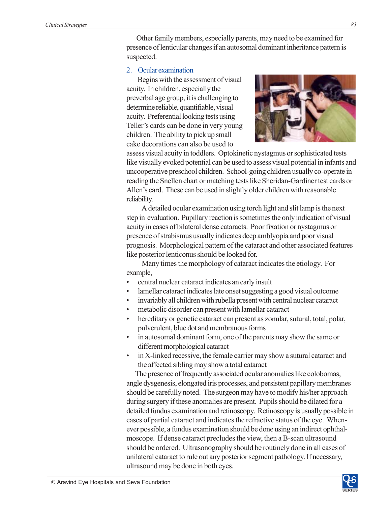Other family members, especially parents, may need to be examined for presence of lenticular changes if an autosomal dominant inheritance pattern is suspected.

#### 2. Ocular examination

 Begins with the assessment of visual acuity. In children, especially the preverbal age group, it is challenging to determine reliable, quantifiable, visual acuity. Preferential looking tests using Teller's cards can be done in very young children. The ability to pick up small cake decorations can also be used to



assess visual acuity in toddlers. Optokinetic nystagmus or sophisticated tests like visually evoked potential can be used to assess visual potential in infants and uncooperative preschool children. School-going children usually co-operate in reading the Snellen chart or matching tests like Sheridan-Gardiner test cards or Allen's card. These can be used in slightly older children with reasonable reliability.

 A detailed ocular examination using torch light and slit lamp is the next step in evaluation. Pupillary reaction is sometimes the only indication of visual acuity in cases of bilateral dense cataracts. Poor fixation or nystagmus or presence of strabismus usually indicates deep amblyopia and poor visual prognosis. Morphological pattern of the cataract and other associated features like posterior lenticonus should be looked for.

 Many times the morphology of cataract indicates the etiology. For example,

- central nuclear cataract indicates an early insult
- lamellar cataract indicates late onset suggesting a good visual outcome
- invariably all children with rubella present with central nuclear cataract
- metabolic disorder can present with lamellar cataract
- hereditary or genetic cataract can present as zonular, sutural, total, polar, pulverulent, blue dot and membranous forms
- in autosomal dominant form, one of the parents may show the same or different morphological cataract
- in X-linked recessive, the female carrier may show a sutural cataract and the affected sibling may show a total cataract

The presence of frequently associated ocular anomalies like colobomas, angle dysgenesis, elongated iris processes, and persistent papillary membranes should be carefully noted. The surgeon may have to modify his/her approach during surgery if these anomalies are present. Pupils should be dilated for a detailed fundus examination and retinoscopy. Retinoscopy is usually possible in cases of partial cataract and indicates the refractive status of the eye. Whenever possible, a fundus examination should be done using an indirect ophthalmoscope. If dense cataract precludes the view, then a B-scan ultrasound should be ordered. Ultrasonography should be routinely done in all cases of unilateral cataract to rule out any posterior segment pathology. If necessary, ultrasound may be done in both eyes.

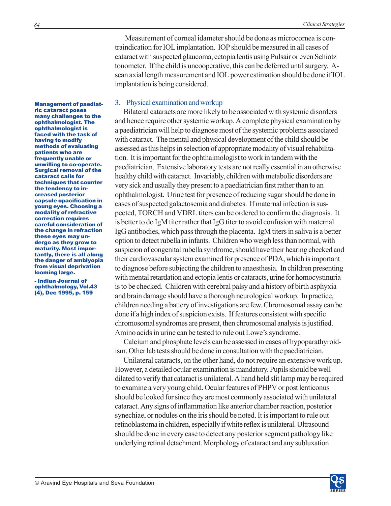Measurement of corneal idameter should be done as microcornea is contraindication for IOL implantation. IOP should be measured in all cases of cataract with suspected glaucoma, ectopia lentis using Pulsair or even Schiotz tonometer. If the child is uncooperative, this can be deferred until surgery. Ascan axial length measurement and IOL power estimation should be done if IOL implantation is being considered.

#### 3. Physical examination and workup

Bilateral cataracts are more likely to be associated with systemic disorders and hence require other systemic workup. A complete physical examination by a paediatrician will help to diagnose most of the systemic problems associated with cataract. The mental and physical development of the child should be assessed as this helps in selection of appropriate modality of visual rehabilitation. It is important for the ophthalmologist to work in tandem with the paediatrician. Extensive laboratory tests are not really essential in an otherwise healthy child with cataract. Invariably, children with metabolic disorders are very sick and usually they present to a paediatrician first rather than to an ophthalmologist. Urine test for presence of reducing sugar should be done in cases of suspected galactosemia and diabetes. If maternal infection is suspected, TORCH and VDRL titers can be ordered to confirm the diagnosis. It is better to do IgM titer rather that IgG titer to avoid confusion with maternal IgG antibodies, which pass through the placenta. IgM titers in saliva is a better option to detect rubella in infants. Children who weigh less than normal, with suspicion of congenital rubella syndrome, should have their hearing checked and their cardiovascular system examined for presence of PDA, which is important to diagnose before subjecting the children to anaesthesia. In children presenting with mental retardation and ectopia lentis or cataracts, urine for homocystinuria is to be checked. Children with cerebral palsy and a history of birth asphyxia and brain damage should have a thorough neurological workup. In practice, children needing a battery of investigations are few. Chromosomal assay can be done if a high index of suspicion exists. If features consistent with specific chromosomal syndromes are present, then chromosomal analysis is justified. Amino acids in urine can be tested to rule out Lowe's syndrome.

Calcium and phosphate levels can be assessed in cases of hypoparathyroidism. Other lab tests should be done in consultation with the paediatrician.

Unilateral cataracts, on the other hand, do not require an extensive work up. However, a detailed ocular examination is mandatory. Pupils should be well dilated to verify that cataract is unilateral. A hand held slit lamp may be required to examine a very young child. Ocular features of PHPV or post lenticonus should be looked for since they are most commonly associated with unilateral cataract. Any signs of inflammation like anterior chamber reaction, posterior synechiae, or nodules on the iris should be noted. It is important to rule out retinoblastoma in children, especially if white reflex is unilateral. Ultrasound should be done in every case to detect any posterior segment pathology like underlying retinal detachment. Morphology of cataract and any subluxation

Management of paediatric cataract poses many challenges to the ophthalmologist. The ophthalmologist is faced with the task of having to modify methods of evaluating patients who are frequently unable or unwilling to co-operate. Surgical removal of the cataract calls for techniques that counter the tendency to increased posterior capsule opacification in young eyes. Choosing a modality of refractive correction requires careful consideration of the change in refraction these eyes may undergo as they grow to maturity. Most importantly, there is all along the danger of amblyopia from visual deprivation looming large.

- Indian Journal of ophthalmology, Vol.43 (4), Dec 1995, p. 159

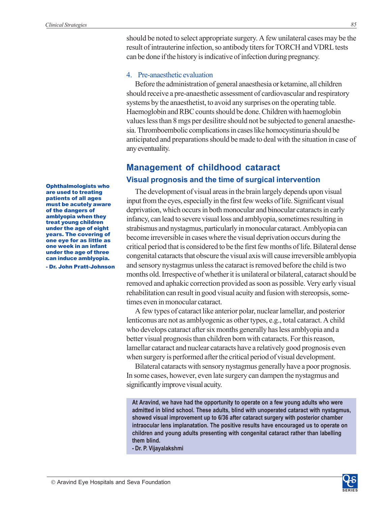should be noted to select appropriate surgery. A few unilateral cases may be the result of intrauterine infection, so antibody titers for TORCH and VDRL tests can be done if the history is indicative of infection during pregnancy.

## 4. Pre-anaesthetic evaluation

Before the administration of general anaesthesia or ketamine, all children should receive a pre-anaesthetic assessment of cardiovascular and respiratory systems by the anaesthetist, to avoid any surprises on the operating table. Haemoglobin and RBC counts should be done. Children with haemoglobin values less than 8 mgs per desilitre should not be subjected to general anaesthesia. Thromboembolic complications in cases like homocystinuria should be anticipated and preparations should be made to deal with the situation in case of any eventuality.

## **Management of childhood cataract**

## **Visual prognosis and the time of surgical intervention**

The development of visual areas in the brain largely depends upon visual input from the eyes, especially in the first few weeks of life. Significant visual deprivation, which occurs in both monocular and binocular cataracts in early infancy, can lead to severe visual loss and amblyopia, sometimes resulting in strabismus and nystagmus, particularly in monocular cataract. Amblyopia can become irreversible in cases where the visual deprivation occurs during the critical period that is considered to be the first few months of life. Bilateral dense congenital cataracts that obscure the visual axis will cause irreversible amblyopia and sensory nystagmus unless the cataract is removed before the child is two months old. Irrespective of whether it is unilateral or bilateral, cataract should be removed and aphakic correction provided as soon as possible. Very early visual rehabilitation can result in good visual acuity and fusion with stereopsis, sometimes even in monocular cataract.

A few types of cataract like anterior polar, nuclear lamellar, and posterior lenticonus are not as amblyogenic as other types, e.g., total cataract. A child who develops cataract after six months generally has less amblyopia and a better visual prognosis than children born with cataracts. For this reason, lamellar cataract and nuclear cataracts have a relatively good prognosis even when surgery is performed after the critical period of visual development.

Bilateral cataracts with sensory nystagmus generally have a poor prognosis. In some cases, however, even late surgery can dampen the nystagmus and significantly improve visual acuity.

**At Aravind, we have had the opportunity to operate on a few young adults who were admitted in blind school. These adults, blind with unoperated cataract with nystagmus, showed visual improvement up to 6/36 after cataract surgery with posterior chamber intraocular lens implanatation. The positive results have encouraged us to operate on children and young adults presenting with congenital cataract rather than labelling them blind.**

**- Dr. P. Vijayalakshmi**

Ophthalmologists who are used to treating patients of all ages must be acutely aware of the dangers of amblyopia when they treat young children under the age of eight years. The covering of one eye for as little as one week in an infant under the age of three can induce amblyopia. - Dr. John Pratt-Johnson

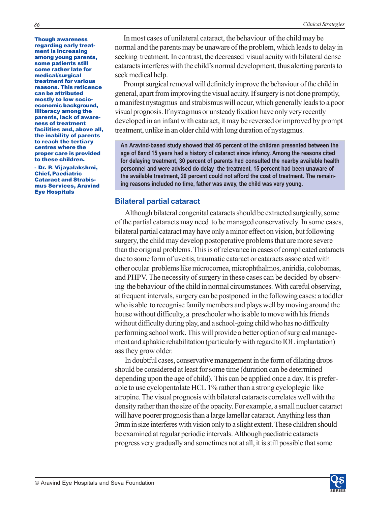Though awareness regarding early treatment is increasing among young parents, some patients still come rather late for medical/surgical treatment for various reasons. This reticence can be attributed mostly to low socioeconomic background, illiteracy among the parents, lack of awareness of treatment facilities and, above all, the inability of parents to reach the tertiary centres where the proper care is provided to these children.

- Dr. P. Vijayalakshmi, Chief, Paediatric Cataract and Strabismus Services, Aravind Eye Hospitals

In most cases of unilateral cataract, the behaviour of the child may be normal and the parents may be unaware of the problem, which leads to delay in seeking treatment. In contrast, the decreased visual acuity with bilateral dense cataracts interferes with the child's normal development, thus alerting parents to seek medical help.

Prompt surgical removal will definitely improve the behaviour of the child in general, apart from improving the visual acuity. If surgery is not done promptly, a manifest nystagmus and strabismus will occur, which generally leads to a poor visual prognosis. If nystagmus or unsteady fixation have only very recently developed in an infant with cataract, it may be reversed or improved by prompt treatment, unlike in an older child with long duration of nystagmus.

**An Aravind-based study showed that 46 percent of the children presented between the age of 6and 15 years had a history of cataract since infancy. Among the reasons cited for delaying treatment, 30 percent of parents had consulted the nearby available health personnel and were advised do delay the treatment, 15 percent had been unaware of the available treatment, 20 percent could not afford the cost of treatment. The remaining reasons included no time, father was away, the child was very young.**

## **Bilateral partial cataract**

 Although bilateral congenital cataracts should be extracted surgically, some of the partial cataracts may need to be managed conservatively. In some cases, bilateral partial cataract may have only a minor effect on vision, but following surgery, the child may develop postoperative problems that are more severe than the original problems. This is of relevance in cases of complicated cataracts due to some form of uveitis, traumatic cataract or cataracts associated with other ocular problems like microcornea, microphthalmos, aniridia, colobomas, and PHPV. The necessity of surgery in these cases can be decided by observing the behaviour of the child in normal circumstances. With careful observing, at frequent intervals, surgery can be postponed in the following cases: a toddler who is able to recognise family members and plays well by moving around the house without difficulty, a preschooler who is able to move with his friends without difficulty during play, and a school-going child who has no difficulty performing school work. This will provide a better option of surgical management and aphakic rehabilitation (particularly with regard to IOL implantation) ass they grow older.

 In doubtful cases, conservative management in the form of dilating drops should be considered at least for some time (duration can be determined depending upon the age of child). This can be applied once a day. It is preferable to use cyclopentolate HCL 1% rather than a strong cycloplegic like atropine. The visual prognosis with bilateral cataracts correlates well with the density rather than the size of the opacity. For example, a small nucluer cataract will have poorer prognosis than a large lamellar cataract. Anything less than 3mm in size interferes with vision only to a slight extent. These children should be examined at regular periodic intervals. Although paediatric cataracts progress very gradually and sometimes not at all, it is still possible that some

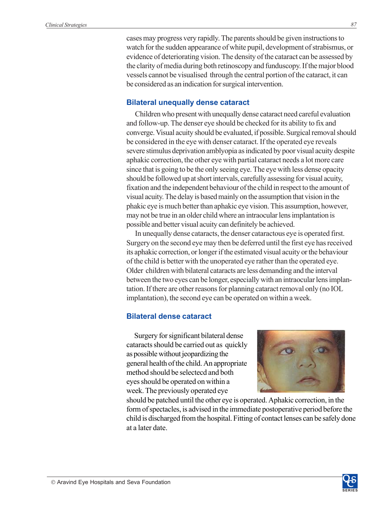cases may progress very rapidly. The parents should be given instructions to watch for the sudden appearance of white pupil, development of strabismus, or evidence of deteriorating vision. The density of the cataract can be assessed by the clarity of media during both retinoscopy and funduscopy. If the major blood vessels cannot be visualised through the central portion of the cataract, it can be considered as an indication for surgical intervention.

## **Bilateral unequally dense cataract**

Children who present with unequally dense cataract need careful evaluation and follow-up. The denser eye should be checked for its ability to fix and converge. Visual acuity should be evaluated, if possible. Surgical removal should be considered in the eye with denser cataract. If the operated eye reveals severe stimulus deprivation amblyopia as indicated by poor visual acuity despite aphakic correction, the other eye with partial cataract needs a lot more care since that is going to be the only seeing eye. The eye with less dense opacity should be followed up at short intervals, carefully assessing for visual acuity, fixation and the independent behaviour of the child in respect to the amount of visual acuity. The delay is based mainly on the assumption that vision in the phakic eye is much better than aphakic eye vision. This assumption, however, may not be true in an older child where an intraocular lens implantation is possible and better visual acuity can definitely be achieved.

In unequally dense cataracts, the denser cataractous eye is operated first. Surgery on the second eye may then be deferred until the first eye has received its aphakic correction, or longer if the estimated visual acuity or the behaviour of the child is better with the unoperated eye rather than the operated eye. Older children with bilateral cataracts are less demanding and the interval between the two eyes can be longer, especially with an intraocular lens implantation. If there are other reasons for planning cataract removal only (no IOL implantation), the second eye can be operated on within a week.

## **Bilateral dense cataract**

 Surgery for significant bilateral dense cataracts should be carried out as quickly as possible without jeopardizing the general health of the child. An appropriate method should be selectecd and both eyes should be operated on within a week. The previously operated eye



should be patched until the other eye is operated. Aphakic correction, in the form of spectacles, is advised in the immediate postoperative period before the child is discharged from the hospital. Fitting of contact lenses can be safely done at a later date.



*87*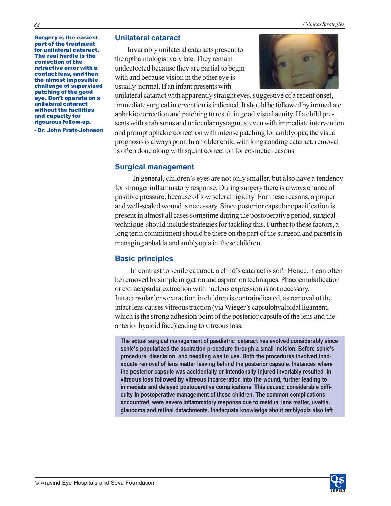Surgery is the easiest part of the treatment for unilateral cataract. The real hurdle is the correction of the refractive error with a contact lens, and then the almost impossible challenge of supervised patching of the good eye. Don't operate on a unilateral cataract without the facilities and capacity for rigourous follow-up.

- Dr. John Pratt-Johnson

#### **Unilateral cataract**

 Invariably unilateral cataracts present to the opthalmologist very late. They remain undectected because they are partial to begin with and because vision in the other eye is usually normal. If an infant presents with



unilateral cataract with apparently straight eyes, suggestive of a recent onset, immediate surgical intervention is indicated. It should be followed by immediate aphakic correction and patching to result in good visual acuity. If a child presents with strabismus and uniocular nystagmus, even with immediate intervention and prompt aphakic correction with intense patching for amblyopia, the visual prognosis is always poor. In an older child with longstanding cataract, removal is often done along with squint correction for cosmetic reasons.

#### **Surgical management**

In general, children's eyes are not only smaller, but also have a tendency for stronger inflammatory response. During surgery there is always chance of positive pressure, because of low scleral rigidity. For these reasons, a proper and well-sealed wound is necessary. Since posterior capsular opacification is present in almost all cases sometime during the postoperative period, surgical technique should include strategies for tackling this. Further to these factors, a long term commitment should be there on the part of the surgeon and parents in managing aphakia and amblyopia in these children.

#### **Basic principles**

In contrast to senile cataract, a child's cataract is soft. Hence, it can often be removed by simple irrigation and aspiration techniques. Phacoemulsification or extracapsular extraction with nucleus expression is not necessary. Intracapsular lens extraction in children is contraindicated, as removal of the intact lens causes vitreous traction (via Wieger's capsulohyaloidal ligament, which is the strong adhesion point of the posterior capsule of the lens and the anterior hyaloid face)leading to vitreous loss.

**The actual surgical management of paediatric cataract has evolved considerably since** schie's popularized the aspiration procedure through a small incision. Before schie's **procedure, disscision and needling was in use. Both the procedures involved inadequate removal of lens matter leaving behind the posterior capsule. Instances where the posterior capsule was accidentally or intentionally injured invariably resulted in vitreous loss followed by vitreous incarceration into the wound, further leading to immediate and delayed postoperative complications. This caused considerable difficulty in postoperative management of these children. The common complications encountred were severe inflammatory response due to residual lens matter, uveitis, glaucoma and retinal detachments. Inadequate knowledge about amblyopia also left**

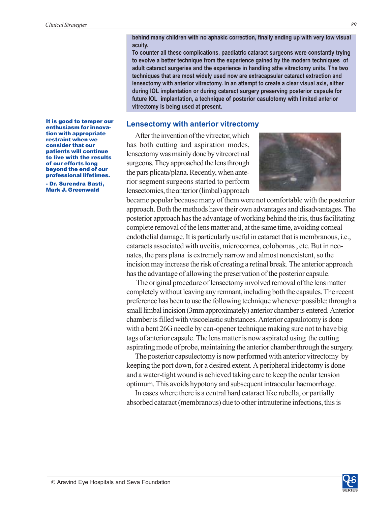**behind many children with no aphakic correction, finally ending up with very low visual acuity.**

**To counter all these complications, paediatric cataract surgeons were constantly trying to evolve a better technique from the experience gained by the modern techniques of adult cataract surgeries and the experience in handling sthe vitrectomy units. The two techniques that are most widely used now are extracapsular cataract extraction and lensectomy with anterior vitrectomy. In an attempt to create a clear visual axis, either during IOL implantation or during cataract surgery preserving posterior capsule for future IOL implantation, a technique of posterior casulotomy with limited anterior vitrectomy is being used at present.**

#### **Lensectomy with anterior vitrectomy**

After the invention of the vitrector, which has both cutting and aspiration modes, lensectomy was mainly done by vitreoretinal surgeons. They approached the lens through the pars plicata/plana. Recently, when anterior segment surgeons started to perform lensectomies, the anterior (limbal) approach



became popular because many of them were not comfortable with the posterior approach. Both the methods have their own advantages and disadvantages. The posterior approach has the advantage of working behind the iris, thus facilitating complete removal of the lens matter and, at the same time, avoiding corneal endothelial damage. It is particularly useful in cataract that is membranous, i.e., cataracts associated with uveitis, microcornea, colobomas , etc. But in neonates, the pars plana is extremely narrow and almost nonexistent, so the incision may increase the risk of creating a retinal break. The anterior approach has the advantage of allowing the preservation of the posterior capsule.

 The original procedure of lensectomy involved removal of the lens matter completely without leaving any remnant, including both the capsules. The recent preference has been to use the following technique whenever possible: through a small limbal incision (3mm approximately) anterior chamber is entered. Anterior chamber is filled with viscoelastic substances. Anterior capsulotomy is done with a bent 26G needle by can-opener technique making sure not to have big tags of anterior capsule. The lens matter is now aspirated using the cutting aspirating mode of probe, maintaining the anterior chamber through the surgery.

The posterior capsulectomy is now performed with anterior vitrectomy by keeping the port down, for a desired extent. A peripheral iridectomy is done and a water-tight wound is achieved taking care to keep the ocular tension optimum. This avoids hypotony and subsequent intraocular haemorrhage.

In cases where there is a central hard cataract like rubella, or partially absorbed cataract (membranous) due to other intrauterine infections, this is

It is good to temper our enthusiasm for innovation with appropriate restraint when we consider that our patients will continue to live with the results of our efforts long beyond the end of our professional lifetimes.

- Dr. Surendra Basti, Mark J. Greenwald

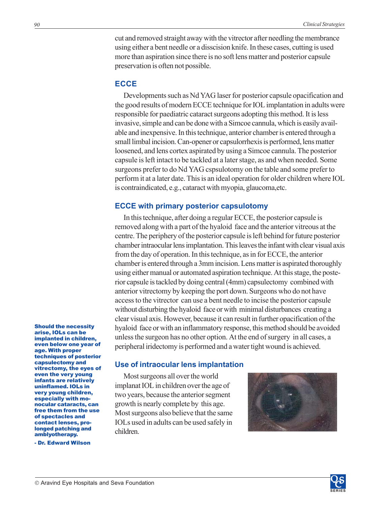cut and removed straight away with the vitrector after needling the membrance using either a bent needle or a disscision knife. In these cases, cutting is used more than aspiration since there is no soft lens matter and posterior capsule preservation is often not possible.

#### **ECCE**

Developments such as Nd YAG laser for posterior capsule opacification and the good results of modern ECCE technique for IOL implantation in adults were responsible for paediatric cataract surgeons adopting this method. It is less invasive, simple and can be done with a Simcoe cannula, which is easily available and inexpensive. In this technique, anterior chamber is entered through a small limbal incision. Can-opener or capsulorrhexis is performed, lens matter loosened, and lens cortex aspirated by using a Simcoe cannula. The posterior capsule is left intact to be tackled at a later stage, as and when needed. Some surgeons prefer to do Nd YAG cspsulotomy on the table and some prefer to perform it at a later date. This is an ideal operation for older children where IOL is contraindicated, e.g., cataract with myopia, glaucoma,etc.

#### **ECCE with primary posterior capsulotomy**

In this technique, after doing a regular ECCE, the posterior capsule is removed along with a part of the hyaloid face and the anterior vitreous at the centre. The periphery of the posterior capsule is left behind for future posterior chamber intraocular lens implantation. This leaves the infant with clear visual axis from the day of operation. In this technique, as in for ECCE, the anterior chamber is entered through a 3mm incision. Lens matter is aspirated thoroughly using either manual or automated aspiration technique. At this stage, the posterior capsule is tackled by doing central (4mm) capsulectomy combined with anterior vitrectomy by keeping the port down. Surgeons who do not have access to the vitrector can use a bent needle to incise the posterior capsule without disturbing the hyaloid face or with minimal disturbances creating a clear visual axis. However, because it can result in further opacification of the hyaloid face or with an inflammatory response, this method should be avoided unless the surgeon has no other option. At the end of surgery in all cases, a peripheral iridectomy is performed and a water tight wound is achieved.

#### **Use of intraocular lens implantation**

Most surgeons all over the world implanat IOL in children over the age of two years, because the anterior segment growth is nearly complete by this age. Most surgeons also believe that the same IOLs used in adults can be used safely in children.



**SERIES**  $\overline{\mathsf{C}}$ Qs

arise, IOLs can be implanted in children, even below one year of age. With proper techniques of posterior capsulectomy and vitrectomy, the eyes of even the very young infants are relatively uninflamed. IOLs in very young children, especially with monocular cataracts, can free them from the use of spectacles and contact lenses, prolonged patching and amblyotherapy.

Should the necessity

- Dr. Edward Wilson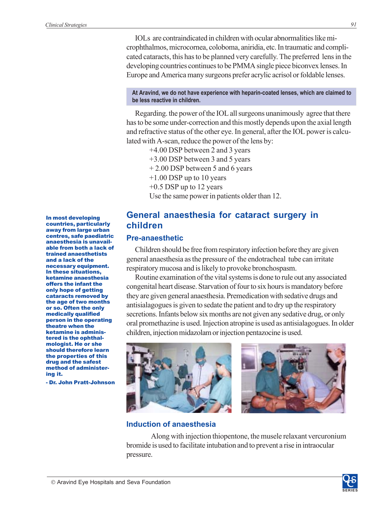IOLs are contraindicated in children with ocular abnormalities like microphthalmos, microcornea, coloboma, aniridia, etc. In traumatic and complicated cataracts, this has to be planned very carefully. The preferred lens in the developing countries continues to be PMMA single piece biconvex lenses. In Europe and America many surgeons prefer acrylic acrisol or foldable lenses.

**At Aravind, we do not have experience with heparin-coated lenses, which are claimed to be less reactive in children.**

Regarding. the power of the IOL all surgeons unanimously agree that there has to be some under-correction and this mostly depends upon the axial length and refractive status of the other eye. In general, after the IOL power is calculated with A-scan, reduce the power of the lens by:

+4.00 DSP between 2 and 3 years

+3.00 DSP between 3 and 5 years

+ 2.00 DSP between 5 and 6 years

+1.00 DSP up to 10 years

+0.5 DSP up to 12 years

Use the same power in patients older than 12.

## **General anaesthesia for cataract surgery in children**

#### **Pre-anaesthetic**

Children should be free from respiratory infection before they are given general anaesthesia as the pressure of the endotracheal tube can irritate respiratory mucosa and is likely to provoke bronchospasm.

Routine examination of the vital systems is done to rule out any associated congenital heart disease. Starvation of four to six hours is mandatory before they are given general anaesthesia. Premedication with sedative drugs and antisialagogues is given to sedate the patient and to dry up the respiratory secretions. Infants below six months are not given any sedative drug, or only oral promethazine is used. Injection atropine is used as antisialagogues. In older children, injection midazolam or injection pentazocine is used.



## **Induction of anaesthesia**

 Along with injection thiopentone, the musele relaxant vercuronium bromide is used to facilitate intubation and to prevent a rise in intraocular pressure.

In most developing countries, particularly away from large urban centres, safe paediatric anaesthesia is unavailable from both a lack of trained anaesthetists and a lack of the necessary equipment. In these situations, ketamine anaesthesia offers the infant the only hope of getting cataracts removed by the age of two months or so. Often the only medically qualified person in the operating theatre when the ketamine is administered is the ophthalmologist. He or she should therefore learn the properties of this drug and the safest method of administering it.

- Dr. John Pratt-Johnson

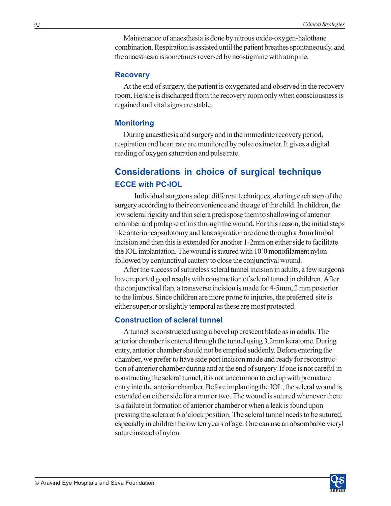Maintenance of anaesthesia is done by nitrous oxide-oxygen-halothane combination. Respiration is assisted until the patient breathes spontaneously, and the anaesthesia is sometimes reversed by neostigmine with atropine.

#### **Recovery**

At the end of surgery, the patient is oxygenated and observed in the recovery room. He/she is discharged from the recovery room only when consciousness is regained and vital signs are stable.

#### **Monitoring**

During anaesthesia and surgery and in the immediate recovery period, respiration and heart rate are monitored by pulse oximeter. It gives a digital reading of oxygen saturation and pulse rate.

## **Considerations in choice of surgical technique ECCE with PC-IOL**

 Individual surgeons adopt different techniques, alerting each step of the surgery according to their convenience and the age of the child. In children, the low scleral rigidity and thin sclera predispose them to shallowing of anterior chamber and prolapse of iris through the wound. For this reason, the initial steps like anterior capsulotomy and lens aspiration are done through a 3mm limbal incision and then this is extended for another 1-2mm on either side to facilitate the IOL implantation. The wound is sutured with 10<sup>o</sup> monofilament nylon followed by conjunctival cautery to close the conjunctival wound.

After the success of sutureless scleral tunnel incision in adults, a few surgeons have reported good results with construction of scleral tunnel in children. After the conjunctival flap, a transverse incision is made for 4-5mm, 2 mm posterior to the limbus. Since children are more prone to injuries, the preferred site is either superior or slightly temporal as these are most protected.

#### **Construction of scleral tunnel**

A tunnel is constructed using a bevel up crescent blade as in adults. The anterior chamber is entered through the tunnel using 3.2mm keratome. During entry, anterior chamber should not be emptied suddenly. Before entering the chamber, we prefer to have side port incision made and ready for reconstruction of anterior chamber during and at the end of surgery. If one is not careful in constructing the scleral tunnel, it is not uncommon to end up with premature entry into the anterior chamber. Before implanting the IOL, the scleral wound is extended on either side for a mm or two. The wound is sutured whenever there is a failure in formation of anterior chamber or when a leak is found upon pressing the sclera at 6 o'clock position. The scleral tunnel needs to be sutured, especially in children below ten years of age. One can use an absorabable vicryl suture instead of nylon.

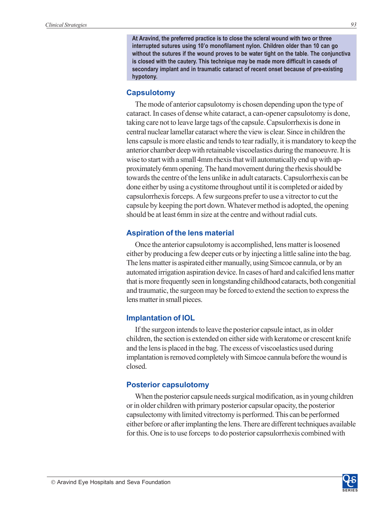**At Aravind, the preferred practice is to close the scleral wound with two or three interrupted sutures using 10ío monofilament nylon. Children older than 10 can go without the sutures if the wound proves to be water tight on the table. The conjunctiva is closed with the cautery. This technique may be made more difficult in caseds of secondary implant and in traumatic cataract of recent onset because of pre-existing hypotony.**

#### **Capsulotomy**

The mode of anterior capsulotomy is chosen depending upon the type of cataract. In cases of dense white cataract, a can-opener capsulotomy is done, taking care not to leave large tags of the capsule. Capsulorrhexis is done in central nuclear lamellar cataract where the view is clear. Since in children the lens capsule is more elastic and tends to tear radially, it is mandatory to keep the anterior chamber deep with retainable viscoelastics during the manoeuvre. It is wise to start with a small 4mm rhexis that will automatically end up with approximately 6mm opening. The hand movement during the rhexis should be towards the centre of the lens unlike in adult cataracts. Capsulorrhexis can be done either by using a cystitome throughout until it is completed or aided by capsulorrhexis forceps. A few surgeons prefer to use a vitrector to cut the capsule by keeping the port down. Whatever method is adopted, the opening should be at least 6mm in size at the centre and without radial cuts.

## **Aspiration of the lens material**

Once the anterior capsulotomy is accomplished, lens matter is loosened either by producing a few deeper cuts or by injecting a little saline into the bag. The lens matter is aspirated either manually, using Simcoe cannula, or by an automated irrigation aspiration device. In cases of hard and calcified lens matter that is more frequently seen in longstanding childhood cataracts, both congenitial and traumatic, the surgeon may be forced to extend the section to express the lens matter in small pieces.

## **Implantation of IOL**

If the surgeon intends to leave the posterior capsule intact, as in older children, the section is extended on either side with keratome or crescent knife and the lens is placed in the bag. The excess of viscoelastics used during implantation is removed completely with Simcoe cannula before the wound is closed.

#### **Posterior capsulotomy**

When the posterior capsule needs surgical modification, as in young children or in older children with primary posterior capsular opacity, the posterior capsulectomy with limited vitrectomy is performed. This can be performed either before or after implanting the lens. There are different techniques available for this. One is to use forceps to do posterior capsulorrhexis combined with

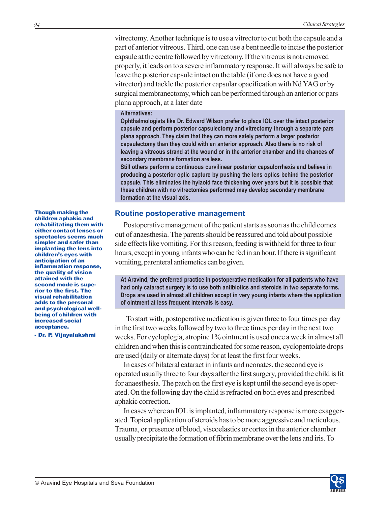vitrectomy. Another technique is to use a vitrector to cut both the capsule and a part of anterior vitreous. Third, one can use a bent needle to incise the posterior capsule at the centre followed by vitrectomy. If the vitreous is not removed properly, it leads on to a severe inflammatory response. It will always be safe to leave the posterior capsule intact on the table (if one does not have a good vitrector) and tackle the posterior capsular opacification with Nd YAG or by surgical membranectomy, which can be performed through an anterior or pars plana approach, at a later date

#### **Alternatives:**

**Ophthalmologists like Dr. Edward Wilson prefer to place IOL over the intact posterior capsule and perform posterior capsulectomy and vitrectomy through a separate pars plana approach. They claim that they can more safely perform a larger posterior capsulectomy than they could with an anterior approach. Also there is no risk of leaving a vitreous strand at the wound or in the anterior chamber and the chances of secondary membrane formation are less.**

**Still others perform a continuous curvilinear posterior capsulorrhexis and believe in producing a posterior optic capture by pushing the lens optics behind the posterior capsule. This eliminates the hylaoid face thickening over years but it is possible that these children with no vitrectomies performed may develop secondary membrane formation at the visual axis.**

#### **Routine postoperative management**

Postoperative management of the patient starts as soon as the child comes out of anaesthesia. The parents should be reassured and told about possible side effects like vomiting. For this reason, feeding is withheld for three to four hours, except in young infants who can be fed in an hour. If there is significant vomiting, parenteral antiemetics can be given.

**At Aravind, the preferred practice in postoperative medication for all patients who have had only cataract surgery is to use both antibiotics and steroids in two separate forms. Drops are used in almost all children except in very young infants where the application of ointment at less frequent intervals is easy.**

 To start with, postoperative medication is given three to four times per day in the first two weeks followed by two to three times per day in the next two weeks. For cycloplegia, atropine 1% ointment is used once a week in almost all children and when this is contraindicated for some reason, cyclopentolate drops are used (daily or alternate days) for at least the first four weeks.

In cases of bilateral cataract in infants and neonates, the second eye is operated usually three to four days after the first surgery, provided the child is fit for anaesthesia. The patch on the first eye is kept until the second eye is operated. On the following day the child is refracted on both eyes and prescribed aphakic correction.

In cases where an IOL is implanted, inflammatory response is more exaggerated. Topical application of steroids has to be more aggressive and meticulous. Trauma, or presence of blood, viscoelastics or cortex in the anterior chamber usually precipitate the formation of fibrin membrane over the lens and iris. To

Though making the children aphakic and rehabilitating them with either contact lenses or spectacles seems much simpler and safer than implanting the lens into children's eyes with anticipation of an inflammation response, the quality of vision attained with the second mode is superior to the first. The visual rehabilitation adds to the personal and psychological wellbeing of children with increased social acceptance.

- Dr. P. Vijayalakshmi

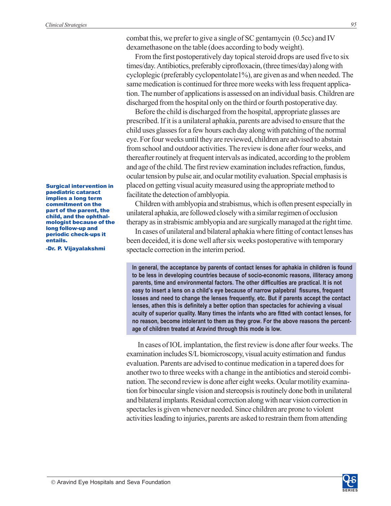Surgical intervention in paediatric cataract implies a long term commitment on the part of the parent, the child, and the ophthalmologist because of the long follow-up and periodic check-ups it entails.

-Dr. P. Vijayalakshmi

combat this, we prefer to give a single of SC gentamycin (0.5cc) and IV dexamethasone on the table (does according to body weight).

From the first postoperatively day topical steroid drops are used five to six times/day. Antibiotics, preferably ciprofloxacin, (three times/day) along with cycloplegic (preferably cyclopentolate1%), are given as and when needed. The same medication is continued for three more weeks with less frequent application. The number of applications is assessed on an individual basis. Children are discharged from the hospital only on the third or fourth postoperative day.

Before the child is discharged from the hospital, appropriate glasses are prescribed. If it is a unilateral aphakia, parents are advised to ensure that the child uses glasses for a few hours each day along with patching of the normal eye. For four weeks until they are reviewed, children are advised to abstain from school and outdoor activities. The review is done after four weeks, and thereafter routinely at frequent intervals as indicated, according to the problem and age of the child. The first review examination includes refraction, fundus, ocular tension by pulse air, and ocular motility evaluation. Special emphasis is placed on getting visual acuity measured using the appropriate method to facilitate the detection of amblyopia.

Children with amblyopia and strabismus, which is often present especially in unilateral aphakia, are followed closely with a similar regimen of occlusion therapy as in strabismic amblyopia and are surgically managed at the right time.

In cases of unilateral and bilateral aphakia where fitting of contact lenses has been deceided, it is done well after six weeks postoperative with temporary spectacle correction in the interim period.

**In general, the acceptance by parents of contact lenses for aphakia in children is found to be less in developing countries because of socio-economic reasons, illiteracy among parents, time and environmental factors. The other difficulties are practical. It is not** easy to insert a lens on a child's eye because of narrow palpebral fissures, frequent **losses and need to change the lenses frequently, etc. But if parents accept the contact lenses, athen this is definitely a better option than spectacles for achieving a visual acuity of superior quality. Many times the infants who are fitted with contact lenses, for no reason, become intolerant to them as they grow. For the above reasons the percentage of children treated at Aravind through this mode is low.**

 In cases of IOL implantation, the first review is done after four weeks. The examination includes S/L biomicroscopy, visual acuity estimation and fundus evaluation. Parents are advised to continue medication in a tapered does for another two to three weeks with a change in the antibiotics and steroid combination. The second review is done after eight weeks. Ocular motility examination for binocular single vision and stereopsis is routinely done both in unilateral and bilateral implants. Residual correction along with near vision correction in spectacles is given whenever needed. Since children are prone to violent activities leading to injuries, parents are asked to restrain them from attending

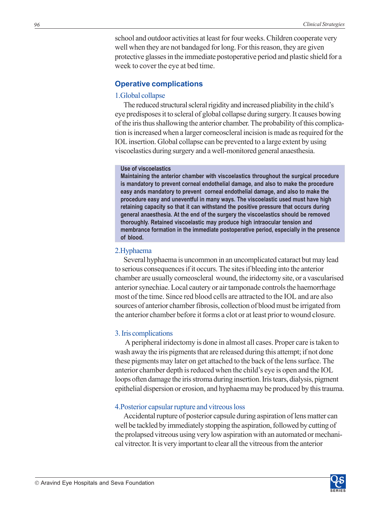school and outdoor activities at least for four weeks. Children cooperate very well when they are not bandaged for long. For this reason, they are given protective glasses in the immediate postoperative period and plastic shield for a week to cover the eye at bed time.

#### **Operative complications**

#### 1.Global collapse

The reduced structural scleral rigidity and increased pliability in the child's eye predisposes it to scleral of global collapse during surgery. It causes bowing of the iris thus shallowing the anterior chamber. The probability of this complication is increased when a larger corneoscleral incision is made as required for the IOL insertion. Global collapse can be prevented to a large extent by using viscoelastics during surgery and a well-monitored general anaesthesia.

#### **Use of viscoelastics**

**Maintaining the anterior chamber with viscoelastics throughout the surgical procedure is mandatory to prevent corneal endothelial damage, and also to make the procedure easy ands mandatory to prevent corneal endothelial damage, and also to make the procedure easy and uneventful in many ways. The viscoelastic used must have high retaining capacity so that it can withstand the positive pressure that occurs during general anaesthesia. At the end of the surgery the viscoelastics should be removed thoroughly. Retained viscoelastic may produce high intraocular tension and membrance formation in the immediate postoperative period, especially in the presence of blood.**

#### 2.Hyphaema

Several hyphaema is uncommon in an uncomplicated cataract but may lead to serious consequences if it occurs. The sites if bleeding into the anterior chamber are usually corneoscleral wound, the iridectomy site, or a vascularised anterior synechiae. Local cautery or air tamponade controls the haemorrhage most of the time. Since red blood cells are attracted to the IOL and are also sources of anterior chamber fibrosis, collection of blood must be irrigated from the anterior chamber before it forms a clot or at least prior to wound closure.

#### 3. Iris complications

 A peripheral iridectomy is done in almost all cases. Proper care is taken to wash away the iris pigments that are released during this attempt; if not done these pigments may later on get attached to the back of the lens surface. The anterior chamber depth is reduced when the child's eye is open and the IOL loops often damage the iris stroma during insertion. Iris tears, dialysis, pigment epithelial dispersion or erosion, and hyphaema may be produced by this trauma.

#### 4.Posterior capsular rupture and vitreous loss

Accidental rupture of posterior capsule during aspiration of lens matter can well be tackled by immediately stopping the aspiration, followed by cutting of the prolapsed vitreous using very low aspiration with an automated or mechanical vitrector. It is very important to clear all the vitreous from the anterior

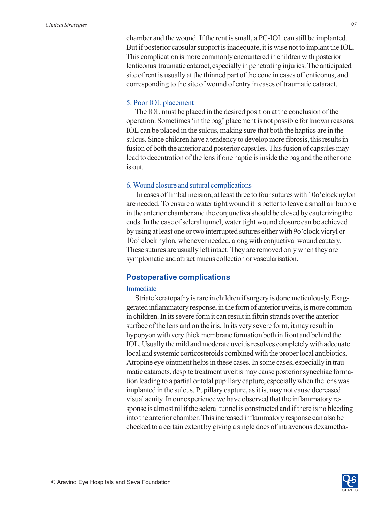chamber and the wound. If the rent is small, a PC-IOL can still be implanted. But if posterior capsular support is inadequate, it is wise not to implant the IOL. This complication is more commonly encountered in children with posterior lenticonus traumatic cataract, especially in penetrating injuries. The anticipated site of rent is usually at the thinned part of the cone in cases of lenticonus, and corresponding to the site of wound of entry in cases of traumatic cataract.

#### 5. Poor IOL placement

The IOL must be placed in the desired position at the conclusion of the operation. Sometimes 'in the bag' placement is not possible for known reasons. IOL can be placed in the sulcus, making sure that both the haptics are in the sulcus. Since children have a tendency to develop more fibrosis, this results in fusion of both the anterior and posterior capsules. This fusion of capsules may lead to decentration of the lens if one haptic is inside the bag and the other one is out.

#### 6. Wound closure and sutural complications

In cases of limbal incision, at least three to four sutures with 10o'clock nylon are needed. To ensure a water tight wound it is better to leave a small air bubble in the anterior chamber and the conjunctiva should be closed by cauterizing the ends. In the case of scleral tunnel, water tight wound closure can be achieved by using at least one or two interrupted sutures either with 9o'clock vicryl or 10oí clock nylon, whenever needed, along with conjuctival wound cautery. These sutures are usually left intact. They are removed only when they are symptomatic and attract mucus collection or vascularisation.

#### **Postoperative complications**

#### Immediate

Striate keratopathy is rare in children if surgery is done meticulously. Exaggerated inflammatory response, in the form of anterior uveitis, is more common in children. In its severe form it can result in fibrin strands over the anterior surface of the lens and on the iris. In its very severe form, it may result in hypopyon with very thick membrane formation both in front and behind the IOL. Usually the mild and moderate uveitis resolves completely with adequate local and systemic corticosteroids combined with the proper local antibiotics. Atropine eye ointment helps in these cases. In some cases, especially in traumatic cataracts, despite treatment uveitis may cause posterior synechiae formation leading to a partial or total pupillary capture, especially when the lens was implanted in the sulcus. Pupillary capture, as it is, may not cause decreased visual acuity. In our experience we have observed that the inflammatory response is almost nil if the scleral tunnel is constructed and if there is no bleeding into the anterior chamber. This increased inflammatory response can also be checked to a certain extent by giving a single does of intravenous dexametha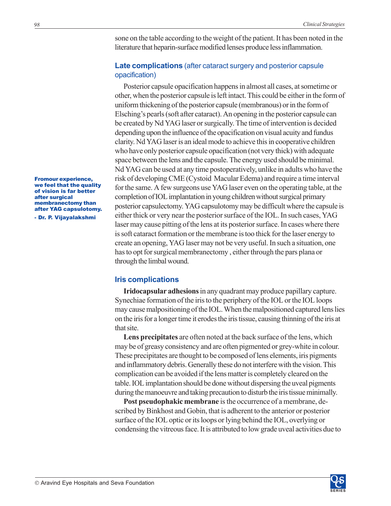sone on the table according to the weight of the patient. It has been noted in the literature that heparin-surface modified lenses produce less inflammation.

## **Late complications** (after cataract surgery and posterior capsule opacification)

Posterior capsule opacification happens in almost all cases, at sometime or other, when the posterior capsule is left intact. This could be either in the form of uniform thickening of the posterior capsule (membranous) or in the form of Elsching's pearls (soft after cataract). An opening in the posterior capsule can be created by Nd YAG laser or surgically. The time of intervention is decided depending upon the influence of the opacification on visual acuity and fundus clarity. Nd YAG laser is an ideal mode to achieve this in cooperative children who have only posterior capsule opacification (not very thick) with adequate space between the lens and the capsule. The energy used should be minimal. Nd YAG can be used at any time postoperatively, unlike in adults who have the risk of developing CME (Cystoid Macular Edema) and require a time interval for the same. A few surgeons use YAG laser even on the operating table, at the completion of IOL implantation in young children without surgical primary posterior capsulectomy. YAG capsulotomy may be difficult where the capsule is either thick or very near the posterior surface of the IOL. In such cases, YAG laser may cause pitting of the lens at its posterior surface. In cases where there is soft cataract formation or the membrane is too thick for the laser energy to create an opening, YAG laser may not be very useful. In such a situation, one has to opt for surgical membranectomy , either through the pars plana or through the limbal wound.

#### **Iris complications**

**Iridocapsular adhesions** in any quadrant may produce papillary capture. Synechiae formation of the iris to the periphery of the IOL or the IOL loops may cause malpositioning of the IOL. When the malpositioned captured lens lies on the iris for a longer time it erodes the iris tissue, causing thinning of the iris at that site.

**Lens precipitates** are often noted at the back surface of the lens, which may be of greasy consistency and are often pigmented or grey-white in colour. These precipitates are thought to be composed of lens elements, iris pigments and inflammatory debris. Generally these do not interfere with the vision. This complication can be avoided if the lens matter is completely cleared on the table. IOL implantation should be done without dispersing the uveal pigments during the manoeuvre and taking precaution to disturb the iris tissue minimally.

**Post pseudophakic membrane** is the occurrence of a membrane, described by Binkhost and Gobin, that is adherent to the anterior or posterior surface of the IOL optic or its loops or lying behind the IOL, overlying or condensing the vitreous face. It is attributed to low grade uveal activities due to

Fromour experience, we feel that the quality of vision is far better after surgical membranectomy than after YAG capsulotomy.

- Dr. P. Vijayalakshmi